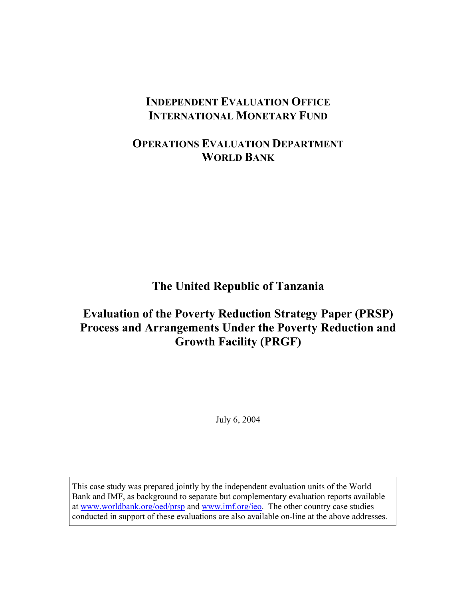# **INDEPENDENT EVALUATION OFFICE INTERNATIONAL MONETARY FUND**

# **OPERATIONS EVALUATION DEPARTMENT WORLD BANK**

**The United Republic of Tanzania** 

# **Evaluation of the Poverty Reduction Strategy Paper (PRSP) Process and Arrangements Under the Poverty Reduction and Growth Facility (PRGF)**

July 6, 2004

This case study was prepared jointly by the independent evaluation units of the World Bank and IMF, as background to separate but complementary evaluation reports available at www.worldbank.org/oed/prsp and www.imf.org/ieo. The other country case studies conducted in support of these evaluations are also available on-line at the above addresses.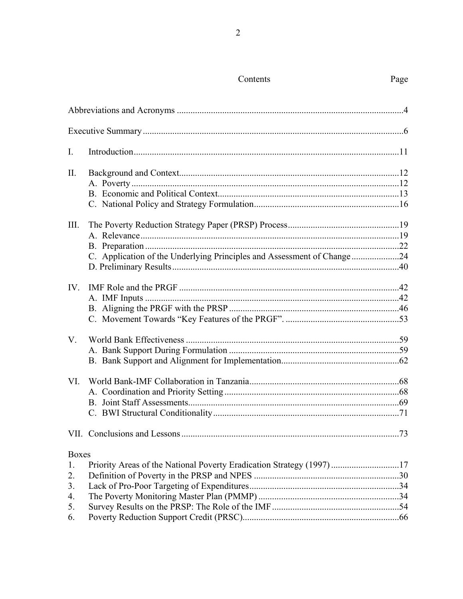| I.           |                                                                        |  |
|--------------|------------------------------------------------------------------------|--|
| $\prod$ .    |                                                                        |  |
|              |                                                                        |  |
|              |                                                                        |  |
|              |                                                                        |  |
| III.         |                                                                        |  |
|              |                                                                        |  |
|              |                                                                        |  |
|              | C. Application of the Underlying Principles and Assessment of Change24 |  |
|              |                                                                        |  |
| IV.          |                                                                        |  |
|              |                                                                        |  |
|              |                                                                        |  |
|              |                                                                        |  |
| $V_{\cdot}$  |                                                                        |  |
|              |                                                                        |  |
|              |                                                                        |  |
| VI.          |                                                                        |  |
|              |                                                                        |  |
|              |                                                                        |  |
|              |                                                                        |  |
|              |                                                                        |  |
| <b>Boxes</b> |                                                                        |  |
| 1.           | Priority Areas of the National Poverty Eradication Strategy (1997) 17  |  |
| 2.           |                                                                        |  |
| 3.           |                                                                        |  |
| 4.           |                                                                        |  |
| 5.           |                                                                        |  |
| 6.           |                                                                        |  |

## Contents

## Page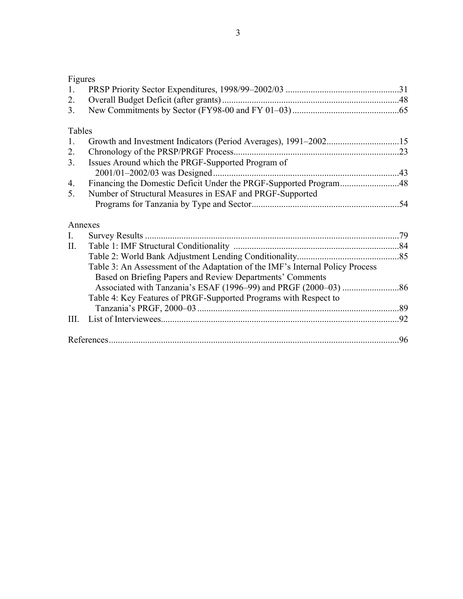| × |  |
|---|--|
|   |  |

| 1.             |                                                                               |  |
|----------------|-------------------------------------------------------------------------------|--|
| 2.             |                                                                               |  |
| 3.             |                                                                               |  |
| Tables         |                                                                               |  |
| 1.             |                                                                               |  |
| 2.             |                                                                               |  |
| 3 <sub>1</sub> | Issues Around which the PRGF-Supported Program of                             |  |
|                |                                                                               |  |
| 4.             | Financing the Domestic Deficit Under the PRGF-Supported Program48             |  |
| 5.             | Number of Structural Measures in ESAF and PRGF-Supported                      |  |
|                |                                                                               |  |
| Annexes        |                                                                               |  |
| I.             |                                                                               |  |
| П.             |                                                                               |  |
|                |                                                                               |  |
|                | Table 3: An Assessment of the Adaptation of the IMF's Internal Policy Process |  |
|                | Based on Briefing Papers and Review Departments' Comments                     |  |
|                |                                                                               |  |
|                | Table 4: Key Features of PRGF-Supported Programs with Respect to              |  |
|                |                                                                               |  |
| III.           |                                                                               |  |
|                |                                                                               |  |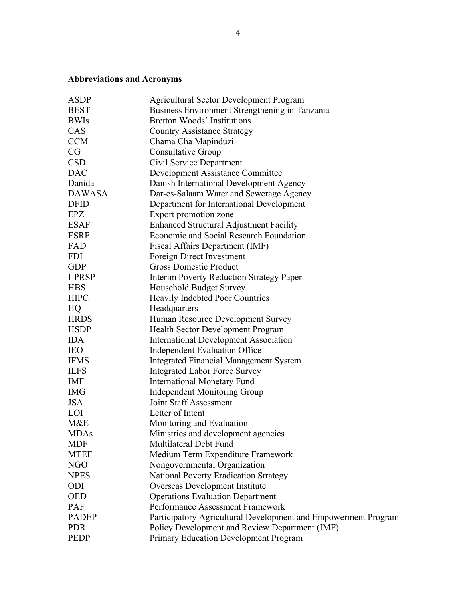## **Abbreviations and Acronyms**

| <b>ASDP</b>   | <b>Agricultural Sector Development Program</b>                 |
|---------------|----------------------------------------------------------------|
| <b>BEST</b>   | Business Environment Strengthening in Tanzania                 |
| <b>BWIs</b>   | <b>Bretton Woods' Institutions</b>                             |
| CAS           | <b>Country Assistance Strategy</b>                             |
| <b>CCM</b>    | Chama Cha Mapinduzi                                            |
| CG            | <b>Consultative Group</b>                                      |
| <b>CSD</b>    | Civil Service Department                                       |
| <b>DAC</b>    | Development Assistance Committee                               |
| Danida        | Danish International Development Agency                        |
| <b>DAWASA</b> | Dar-es-Salaam Water and Sewerage Agency                        |
| <b>DFID</b>   | Department for International Development                       |
| EPZ           | Export promotion zone                                          |
| <b>ESAF</b>   | <b>Enhanced Structural Adjustment Facility</b>                 |
| <b>ESRF</b>   | Economic and Social Research Foundation                        |
| FAD           | Fiscal Affairs Department (IMF)                                |
| <b>FDI</b>    | Foreign Direct Investment                                      |
| <b>GDP</b>    | <b>Gross Domestic Product</b>                                  |
| <b>I-PRSP</b> | <b>Interim Poverty Reduction Strategy Paper</b>                |
| <b>HBS</b>    | <b>Household Budget Survey</b>                                 |
| <b>HIPC</b>   | <b>Heavily Indebted Poor Countries</b>                         |
| HQ            | Headquarters                                                   |
| <b>HRDS</b>   | Human Resource Development Survey                              |
| <b>HSDP</b>   | <b>Health Sector Development Program</b>                       |
| <b>IDA</b>    | <b>International Development Association</b>                   |
| <b>IEO</b>    | <b>Independent Evaluation Office</b>                           |
| <b>IFMS</b>   | <b>Integrated Financial Management System</b>                  |
| <b>ILFS</b>   | <b>Integrated Labor Force Survey</b>                           |
| <b>IMF</b>    | <b>International Monetary Fund</b>                             |
| <b>IMG</b>    | Independent Monitoring Group                                   |
| <b>JSA</b>    | Joint Staff Assessment                                         |
| <b>LOI</b>    | Letter of Intent                                               |
| M&E           | Monitoring and Evaluation                                      |
| <b>MDAs</b>   | Ministries and development agencies                            |
| <b>MDF</b>    | Multilateral Debt Fund                                         |
| <b>MTEF</b>   | Medium Term Expenditure Framework                              |
| NGO           | Nongovernmental Organization                                   |
| <b>NPES</b>   | National Poverty Eradication Strategy                          |
| ODI           | Overseas Development Institute                                 |
| <b>OED</b>    | <b>Operations Evaluation Department</b>                        |
| <b>PAF</b>    | Performance Assessment Framework                               |
| <b>PADEP</b>  | Participatory Agricultural Development and Empowerment Program |
| <b>PDR</b>    | Policy Development and Review Department (IMF)                 |
| <b>PEDP</b>   | Primary Education Development Program                          |
|               |                                                                |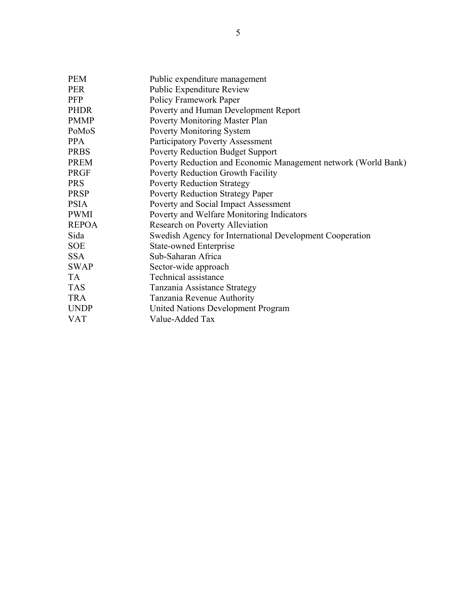| <b>PEM</b>   | Public expenditure management                                  |
|--------------|----------------------------------------------------------------|
| <b>PER</b>   | <b>Public Expenditure Review</b>                               |
| <b>PFP</b>   | Policy Framework Paper                                         |
| <b>PHDR</b>  | Poverty and Human Development Report                           |
| <b>PMMP</b>  | Poverty Monitoring Master Plan                                 |
| PoMoS        | <b>Poverty Monitoring System</b>                               |
| <b>PPA</b>   | Participatory Poverty Assessment                               |
| <b>PRBS</b>  | <b>Poverty Reduction Budget Support</b>                        |
| <b>PREM</b>  | Poverty Reduction and Economic Management network (World Bank) |
| <b>PRGF</b>  | Poverty Reduction Growth Facility                              |
| <b>PRS</b>   | <b>Poverty Reduction Strategy</b>                              |
| <b>PRSP</b>  | <b>Poverty Reduction Strategy Paper</b>                        |
| <b>PSIA</b>  | Poverty and Social Impact Assessment                           |
| <b>PWMI</b>  | Poverty and Welfare Monitoring Indicators                      |
| <b>REPOA</b> | Research on Poverty Alleviation                                |
| Sida         | Swedish Agency for International Development Cooperation       |
| <b>SOE</b>   | <b>State-owned Enterprise</b>                                  |
| <b>SSA</b>   | Sub-Saharan Africa                                             |
| <b>SWAP</b>  | Sector-wide approach                                           |
| <b>TA</b>    | Technical assistance                                           |
| <b>TAS</b>   | Tanzania Assistance Strategy                                   |
| <b>TRA</b>   | Tanzania Revenue Authority                                     |
| <b>UNDP</b>  | <b>United Nations Development Program</b>                      |
| <b>VAT</b>   | Value-Added Tax                                                |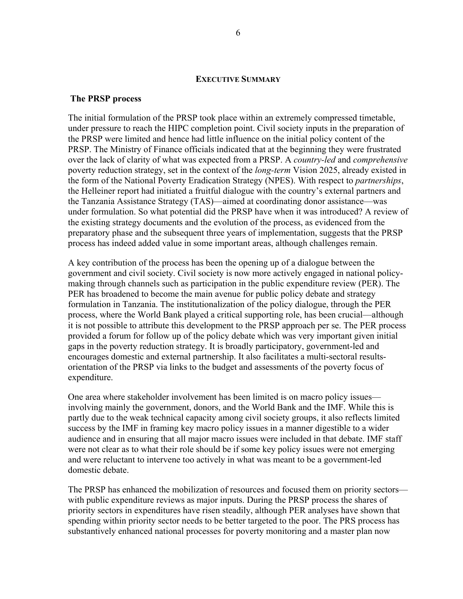#### **EXECUTIVE SUMMARY**

#### **The PRSP process**

The initial formulation of the PRSP took place within an extremely compressed timetable, under pressure to reach the HIPC completion point. Civil society inputs in the preparation of the PRSP were limited and hence had little influence on the initial policy content of the PRSP. The Ministry of Finance officials indicated that at the beginning they were frustrated over the lack of clarity of what was expected from a PRSP. A *country-led* and *comprehensive*  poverty reduction strategy, set in the context of the *long-term* Vision 2025, already existed in the form of the National Poverty Eradication Strategy (NPES). With respect to *partnerships*, the Helleiner report had initiated a fruitful dialogue with the country's external partners and the Tanzania Assistance Strategy (TAS)—aimed at coordinating donor assistance—was under formulation. So what potential did the PRSP have when it was introduced? A review of the existing strategy documents and the evolution of the process, as evidenced from the preparatory phase and the subsequent three years of implementation, suggests that the PRSP process has indeed added value in some important areas, although challenges remain.

A key contribution of the process has been the opening up of a dialogue between the government and civil society. Civil society is now more actively engaged in national policymaking through channels such as participation in the public expenditure review (PER). The PER has broadened to become the main avenue for public policy debate and strategy formulation in Tanzania. The institutionalization of the policy dialogue, through the PER process, where the World Bank played a critical supporting role, has been crucial—although it is not possible to attribute this development to the PRSP approach per se. The PER process provided a forum for follow up of the policy debate which was very important given initial gaps in the poverty reduction strategy. It is broadly participatory, government-led and encourages domestic and external partnership. It also facilitates a multi-sectoral resultsorientation of the PRSP via links to the budget and assessments of the poverty focus of expenditure.

One area where stakeholder involvement has been limited is on macro policy issues involving mainly the government, donors, and the World Bank and the IMF. While this is partly due to the weak technical capacity among civil society groups, it also reflects limited success by the IMF in framing key macro policy issues in a manner digestible to a wider audience and in ensuring that all major macro issues were included in that debate. IMF staff were not clear as to what their role should be if some key policy issues were not emerging and were reluctant to intervene too actively in what was meant to be a government-led domestic debate.

The PRSP has enhanced the mobilization of resources and focused them on priority sectors with public expenditure reviews as major inputs. During the PRSP process the shares of priority sectors in expenditures have risen steadily, although PER analyses have shown that spending within priority sector needs to be better targeted to the poor. The PRS process has substantively enhanced national processes for poverty monitoring and a master plan now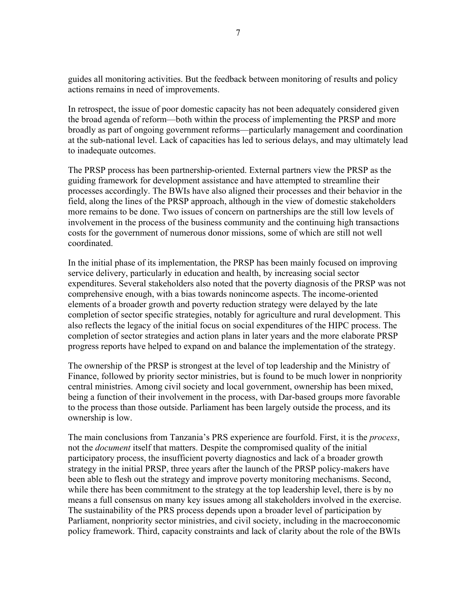guides all monitoring activities. But the feedback between monitoring of results and policy actions remains in need of improvements.

In retrospect, the issue of poor domestic capacity has not been adequately considered given the broad agenda of reform—both within the process of implementing the PRSP and more broadly as part of ongoing government reforms—particularly management and coordination at the sub-national level. Lack of capacities has led to serious delays, and may ultimately lead to inadequate outcomes.

The PRSP process has been partnership-oriented. External partners view the PRSP as the guiding framework for development assistance and have attempted to streamline their processes accordingly. The BWIs have also aligned their processes and their behavior in the field, along the lines of the PRSP approach, although in the view of domestic stakeholders more remains to be done. Two issues of concern on partnerships are the still low levels of involvement in the process of the business community and the continuing high transactions costs for the government of numerous donor missions, some of which are still not well coordinated.

In the initial phase of its implementation, the PRSP has been mainly focused on improving service delivery, particularly in education and health, by increasing social sector expenditures. Several stakeholders also noted that the poverty diagnosis of the PRSP was not comprehensive enough, with a bias towards nonincome aspects. The income-oriented elements of a broader growth and poverty reduction strategy were delayed by the late completion of sector specific strategies, notably for agriculture and rural development. This also reflects the legacy of the initial focus on social expenditures of the HIPC process. The completion of sector strategies and action plans in later years and the more elaborate PRSP progress reports have helped to expand on and balance the implementation of the strategy.

The ownership of the PRSP is strongest at the level of top leadership and the Ministry of Finance, followed by priority sector ministries, but is found to be much lower in nonpriority central ministries. Among civil society and local government, ownership has been mixed, being a function of their involvement in the process, with Dar-based groups more favorable to the process than those outside. Parliament has been largely outside the process, and its ownership is low.

The main conclusions from Tanzania's PRS experience are fourfold. First, it is the *process*, not the *document* itself that matters. Despite the compromised quality of the initial participatory process, the insufficient poverty diagnostics and lack of a broader growth strategy in the initial PRSP, three years after the launch of the PRSP policy-makers have been able to flesh out the strategy and improve poverty monitoring mechanisms. Second, while there has been commitment to the strategy at the top leadership level, there is by no means a full consensus on many key issues among all stakeholders involved in the exercise. The sustainability of the PRS process depends upon a broader level of participation by Parliament, nonpriority sector ministries, and civil society, including in the macroeconomic policy framework. Third, capacity constraints and lack of clarity about the role of the BWIs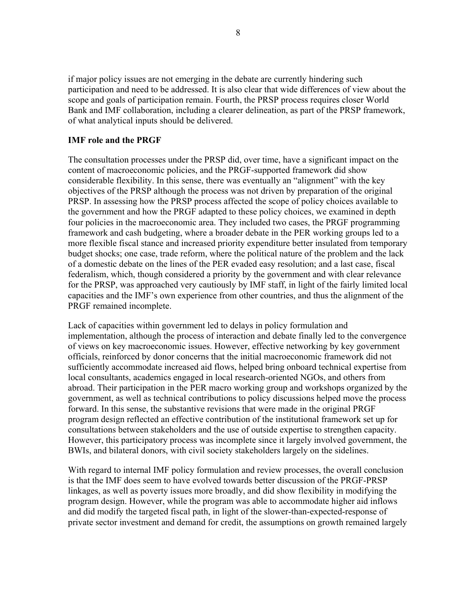if major policy issues are not emerging in the debate are currently hindering such participation and need to be addressed. It is also clear that wide differences of view about the scope and goals of participation remain. Fourth, the PRSP process requires closer World Bank and IMF collaboration, including a clearer delineation, as part of the PRSP framework, of what analytical inputs should be delivered.

#### **IMF role and the PRGF**

The consultation processes under the PRSP did, over time, have a significant impact on the content of macroeconomic policies, and the PRGF-supported framework did show considerable flexibility. In this sense, there was eventually an "alignment" with the key objectives of the PRSP although the process was not driven by preparation of the original PRSP. In assessing how the PRSP process affected the scope of policy choices available to the government and how the PRGF adapted to these policy choices, we examined in depth four policies in the macroeconomic area. They included two cases, the PRGF programming framework and cash budgeting, where a broader debate in the PER working groups led to a more flexible fiscal stance and increased priority expenditure better insulated from temporary budget shocks; one case, trade reform, where the political nature of the problem and the lack of a domestic debate on the lines of the PER evaded easy resolution; and a last case, fiscal federalism, which, though considered a priority by the government and with clear relevance for the PRSP, was approached very cautiously by IMF staff, in light of the fairly limited local capacities and the IMF's own experience from other countries, and thus the alignment of the PRGF remained incomplete.

Lack of capacities within government led to delays in policy formulation and implementation, although the process of interaction and debate finally led to the convergence of views on key macroeconomic issues. However, effective networking by key government officials, reinforced by donor concerns that the initial macroeconomic framework did not sufficiently accommodate increased aid flows, helped bring onboard technical expertise from local consultants, academics engaged in local research-oriented NGOs, and others from abroad. Their participation in the PER macro working group and workshops organized by the government, as well as technical contributions to policy discussions helped move the process forward. In this sense, the substantive revisions that were made in the original PRGF program design reflected an effective contribution of the institutional framework set up for consultations between stakeholders and the use of outside expertise to strengthen capacity. However, this participatory process was incomplete since it largely involved government, the BWIs, and bilateral donors, with civil society stakeholders largely on the sidelines.

With regard to internal IMF policy formulation and review processes, the overall conclusion is that the IMF does seem to have evolved towards better discussion of the PRGF-PRSP linkages, as well as poverty issues more broadly, and did show flexibility in modifying the program design. However, while the program was able to accommodate higher aid inflows and did modify the targeted fiscal path, in light of the slower-than-expected-response of private sector investment and demand for credit, the assumptions on growth remained largely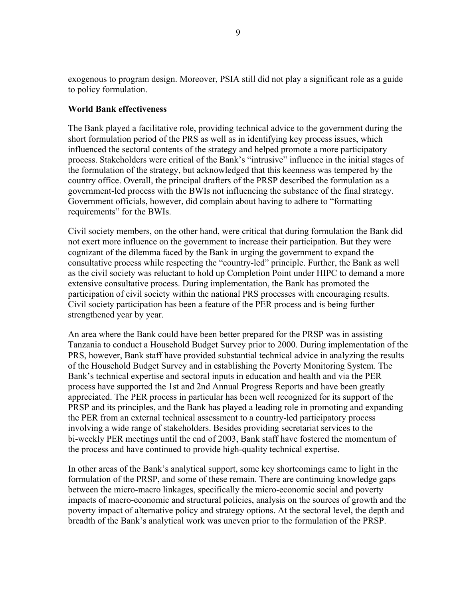exogenous to program design. Moreover, PSIA still did not play a significant role as a guide to policy formulation.

#### **World Bank effectiveness**

The Bank played a facilitative role, providing technical advice to the government during the short formulation period of the PRS as well as in identifying key process issues, which influenced the sectoral contents of the strategy and helped promote a more participatory process. Stakeholders were critical of the Bank's "intrusive" influence in the initial stages of the formulation of the strategy, but acknowledged that this keenness was tempered by the country office. Overall, the principal drafters of the PRSP described the formulation as a government-led process with the BWIs not influencing the substance of the final strategy. Government officials, however, did complain about having to adhere to "formatting requirements" for the BWIs.

Civil society members, on the other hand, were critical that during formulation the Bank did not exert more influence on the government to increase their participation. But they were cognizant of the dilemma faced by the Bank in urging the government to expand the consultative process while respecting the "country-led" principle. Further, the Bank as well as the civil society was reluctant to hold up Completion Point under HIPC to demand a more extensive consultative process. During implementation, the Bank has promoted the participation of civil society within the national PRS processes with encouraging results. Civil society participation has been a feature of the PER process and is being further strengthened year by year.

An area where the Bank could have been better prepared for the PRSP was in assisting Tanzania to conduct a Household Budget Survey prior to 2000. During implementation of the PRS, however, Bank staff have provided substantial technical advice in analyzing the results of the Household Budget Survey and in establishing the Poverty Monitoring System. The Bank's technical expertise and sectoral inputs in education and health and via the PER process have supported the 1st and 2nd Annual Progress Reports and have been greatly appreciated. The PER process in particular has been well recognized for its support of the PRSP and its principles, and the Bank has played a leading role in promoting and expanding the PER from an external technical assessment to a country-led participatory process involving a wide range of stakeholders. Besides providing secretariat services to the bi-weekly PER meetings until the end of 2003, Bank staff have fostered the momentum of the process and have continued to provide high-quality technical expertise.

In other areas of the Bank's analytical support, some key shortcomings came to light in the formulation of the PRSP, and some of these remain. There are continuing knowledge gaps between the micro-macro linkages, specifically the micro-economic social and poverty impacts of macro-economic and structural policies, analysis on the sources of growth and the poverty impact of alternative policy and strategy options. At the sectoral level, the depth and breadth of the Bank's analytical work was uneven prior to the formulation of the PRSP.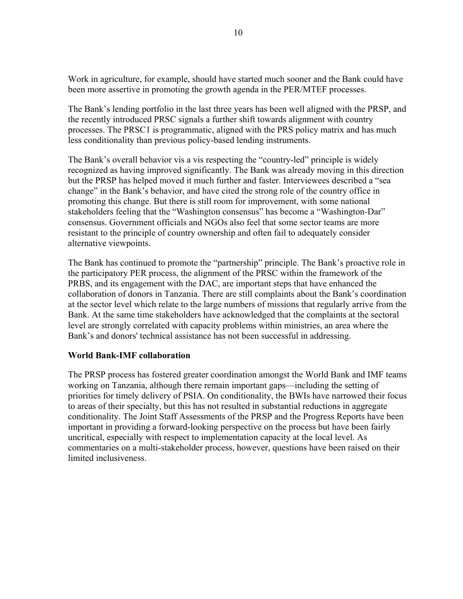Work in agriculture, for example, should have started much sooner and the Bank could have been more assertive in promoting the growth agenda in the PER/MTEF processes.

The Bank's lending portfolio in the last three years has been well aligned with the PRSP, and the recently introduced PRSC signals a further shift towards alignment with country processes. The PRSC1 is programmatic, aligned with the PRS policy matrix and has much less conditionality than previous policy-based lending instruments.

The Bank's overall behavior vis a vis respecting the "country-led" principle is widely recognized as having improved significantly. The Bank was already moving in this direction but the PRSP has helped moved it much further and faster. Interviewees described a "sea change" in the Bank's behavior, and have cited the strong role of the country office in promoting this change. But there is still room for improvement, with some national stakeholders feeling that the "Washington consensus" has become a "Washington-Dar" consensus. Government officials and NGOs also feel that some sector teams are more resistant to the principle of country ownership and often fail to adequately consider alternative viewpoints.

The Bank has continued to promote the "partnership" principle. The Bank's proactive role in the participatory PER process, the alignment of the PRSC within the framework of the PRBS, and its engagement with the DAC, are important steps that have enhanced the collaboration of donors in Tanzania. There are still complaints about the Bank's coordination at the sector level which relate to the large numbers of missions that regularly arrive from the Bank. At the same time stakeholders have acknowledged that the complaints at the sectoral level are strongly correlated with capacity problems within ministries, an area where the Bank's and donors' technical assistance has not been successful in addressing.

#### **World Bank-IMF collaboration**

The PRSP process has fostered greater coordination amongst the World Bank and IMF teams working on Tanzania, although there remain important gaps—including the setting of priorities for timely delivery of PSIA. On conditionality, the BWIs have narrowed their focus to areas of their specialty, but this has not resulted in substantial reductions in aggregate conditionality. The Joint Staff Assessments of the PRSP and the Progress Reports have been important in providing a forward-looking perspective on the process but have been fairly uncritical, especially with respect to implementation capacity at the local level. As commentaries on a multi-stakeholder process, however, questions have been raised on their limited inclusiveness.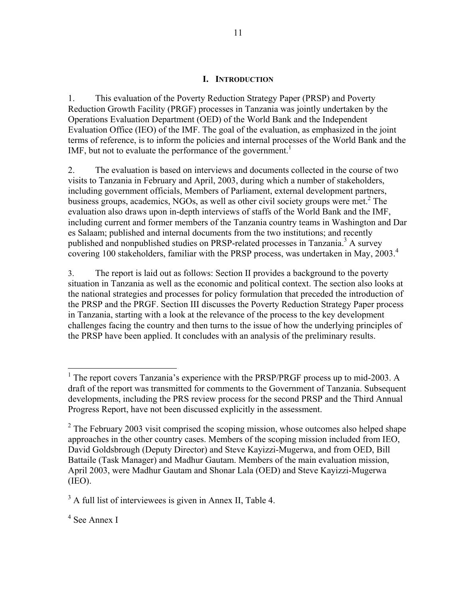#### **I. INTRODUCTION**

1. This evaluation of the Poverty Reduction Strategy Paper (PRSP) and Poverty Reduction Growth Facility (PRGF) processes in Tanzania was jointly undertaken by the Operations Evaluation Department (OED) of the World Bank and the Independent Evaluation Office (IEO) of the IMF. The goal of the evaluation, as emphasized in the joint terms of reference, is to inform the policies and internal processes of the World Bank and the IMF, but not to evaluate the performance of the government.<sup>1</sup>

2. The evaluation is based on interviews and documents collected in the course of two visits to Tanzania in February and April, 2003, during which a number of stakeholders, including government officials, Members of Parliament, external development partners, business groups, academics, NGOs, as well as other civil society groups were met.<sup>2</sup> The evaluation also draws upon in-depth interviews of staffs of the World Bank and the IMF, including current and former members of the Tanzania country teams in Washington and Dar es Salaam; published and internal documents from the two institutions; and recently published and nonpublished studies on PRSP-related processes in Tanzania.<sup>3</sup> A survey covering 100 stakeholders, familiar with the PRSP process, was undertaken in May, 2003.<sup>4</sup>

3. The report is laid out as follows: Section II provides a background to the poverty situation in Tanzania as well as the economic and political context. The section also looks at the national strategies and processes for policy formulation that preceded the introduction of the PRSP and the PRGF. Section III discusses the Poverty Reduction Strategy Paper process in Tanzania, starting with a look at the relevance of the process to the key development challenges facing the country and then turns to the issue of how the underlying principles of the PRSP have been applied. It concludes with an analysis of the preliminary results.

 $\overline{a}$ 

<sup>&</sup>lt;sup>1</sup> The report covers Tanzania's experience with the PRSP/PRGF process up to mid-2003. A draft of the report was transmitted for comments to the Government of Tanzania. Subsequent developments, including the PRS review process for the second PRSP and the Third Annual Progress Report, have not been discussed explicitly in the assessment.

 $2^2$  The February 2003 visit comprised the scoping mission, whose outcomes also helped shape approaches in the other country cases. Members of the scoping mission included from IEO, David Goldsbrough (Deputy Director) and Steve Kayizzi-Mugerwa, and from OED, Bill Battaile (Task Manager) and Madhur Gautam. Members of the main evaluation mission, April 2003, were Madhur Gautam and Shonar Lala (OED) and Steve Kayizzi-Mugerwa (IEO).

 $3$  A full list of interviewees is given in Annex II, Table 4.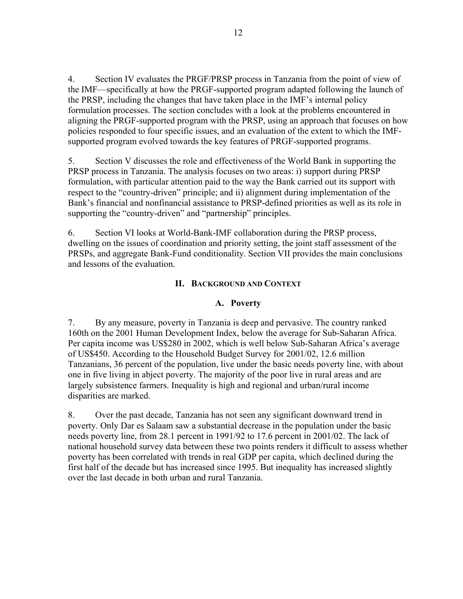4. Section IV evaluates the PRGF/PRSP process in Tanzania from the point of view of the IMF—specifically at how the PRGF-supported program adapted following the launch of the PRSP, including the changes that have taken place in the IMF's internal policy formulation processes. The section concludes with a look at the problems encountered in aligning the PRGF-supported program with the PRSP, using an approach that focuses on how policies responded to four specific issues, and an evaluation of the extent to which the IMFsupported program evolved towards the key features of PRGF-supported programs.

5. Section V discusses the role and effectiveness of the World Bank in supporting the PRSP process in Tanzania. The analysis focuses on two areas: i) support during PRSP formulation, with particular attention paid to the way the Bank carried out its support with respect to the "country-driven" principle; and ii) alignment during implementation of the Bank's financial and nonfinancial assistance to PRSP-defined priorities as well as its role in supporting the "country-driven" and "partnership" principles.

6. Section VI looks at World-Bank-IMF collaboration during the PRSP process, dwelling on the issues of coordination and priority setting, the joint staff assessment of the PRSPs, and aggregate Bank-Fund conditionality. Section VII provides the main conclusions and lessons of the evaluation.

## **II. BACKGROUND AND CONTEXT**

### **A. Poverty**

7. By any measure, poverty in Tanzania is deep and pervasive. The country ranked 160th on the 2001 Human Development Index, below the average for Sub-Saharan Africa. Per capita income was US\$280 in 2002, which is well below Sub-Saharan Africa's average of US\$450. According to the Household Budget Survey for 2001/02, 12.6 million Tanzanians, 36 percent of the population, live under the basic needs poverty line, with about one in five living in abject poverty. The majority of the poor live in rural areas and are largely subsistence farmers. Inequality is high and regional and urban/rural income disparities are marked.

8. Over the past decade, Tanzania has not seen any significant downward trend in poverty. Only Dar es Salaam saw a substantial decrease in the population under the basic needs poverty line, from 28.1 percent in 1991/92 to 17.6 percent in 2001/02. The lack of national household survey data between these two points renders it difficult to assess whether poverty has been correlated with trends in real GDP per capita, which declined during the first half of the decade but has increased since 1995. But inequality has increased slightly over the last decade in both urban and rural Tanzania.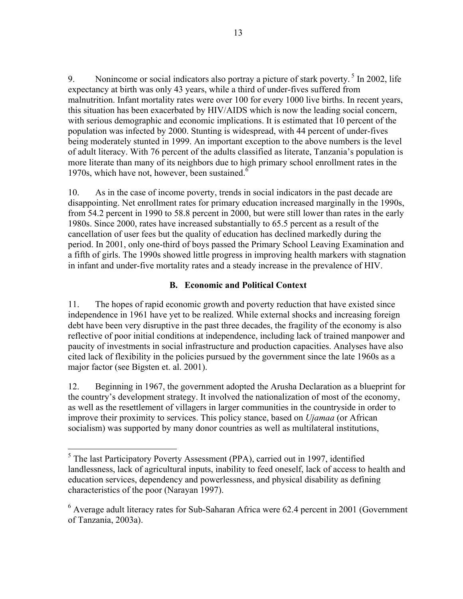9. Nonincome or social indicators also portray a picture of stark poverty.  $5 \text{ In } 2002$ , life expectancy at birth was only 43 years, while a third of under-fives suffered from malnutrition. Infant mortality rates were over 100 for every 1000 live births. In recent years, this situation has been exacerbated by HIV/AIDS which is now the leading social concern, with serious demographic and economic implications. It is estimated that 10 percent of the population was infected by 2000. Stunting is widespread, with 44 percent of under-fives being moderately stunted in 1999. An important exception to the above numbers is the level of adult literacy. With 76 percent of the adults classified as literate, Tanzania's population is more literate than many of its neighbors due to high primary school enrollment rates in the 1970s, which have not, however, been sustained. $6$ 

10. As in the case of income poverty, trends in social indicators in the past decade are disappointing. Net enrollment rates for primary education increased marginally in the 1990s, from 54.2 percent in 1990 to 58.8 percent in 2000, but were still lower than rates in the early 1980s. Since 2000, rates have increased substantially to 65.5 percent as a result of the cancellation of user fees but the quality of education has declined markedly during the period. In 2001, only one-third of boys passed the Primary School Leaving Examination and a fifth of girls. The 1990s showed little progress in improving health markers with stagnation in infant and under-five mortality rates and a steady increase in the prevalence of HIV.

## **B. Economic and Political Context**

11. The hopes of rapid economic growth and poverty reduction that have existed since independence in 1961 have yet to be realized. While external shocks and increasing foreign debt have been very disruptive in the past three decades, the fragility of the economy is also reflective of poor initial conditions at independence, including lack of trained manpower and paucity of investments in social infrastructure and production capacities. Analyses have also cited lack of flexibility in the policies pursued by the government since the late 1960s as a major factor (see Bigsten et. al. 2001).

12. Beginning in 1967, the government adopted the Arusha Declaration as a blueprint for the country's development strategy. It involved the nationalization of most of the economy, as well as the resettlement of villagers in larger communities in the countryside in order to improve their proximity to services. This policy stance, based on *Ujamaa* (or African socialism) was supported by many donor countries as well as multilateral institutions,

 $\overline{a}$ 

<sup>&</sup>lt;sup>5</sup> The last Participatory Poverty Assessment (PPA), carried out in 1997, identified landlessness, lack of agricultural inputs, inability to feed oneself, lack of access to health and education services, dependency and powerlessness, and physical disability as defining characteristics of the poor (Narayan 1997).

 $6$  Average adult literacy rates for Sub-Saharan Africa were 62.4 percent in 2001 (Government of Tanzania, 2003a).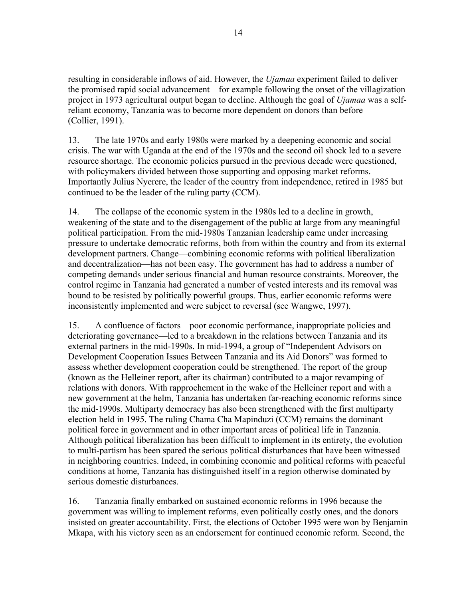resulting in considerable inflows of aid. However, the *Ujamaa* experiment failed to deliver the promised rapid social advancement—for example following the onset of the villagization project in 1973 agricultural output began to decline. Although the goal of *Ujamaa* was a selfreliant economy, Tanzania was to become more dependent on donors than before (Collier, 1991).

13. The late 1970s and early 1980s were marked by a deepening economic and social crisis. The war with Uganda at the end of the 1970s and the second oil shock led to a severe resource shortage. The economic policies pursued in the previous decade were questioned, with policymakers divided between those supporting and opposing market reforms. Importantly Julius Nyerere, the leader of the country from independence, retired in 1985 but continued to be the leader of the ruling party (CCM).

14. The collapse of the economic system in the 1980s led to a decline in growth, weakening of the state and to the disengagement of the public at large from any meaningful political participation. From the mid-1980s Tanzanian leadership came under increasing pressure to undertake democratic reforms, both from within the country and from its external development partners. Change—combining economic reforms with political liberalization and decentralization—has not been easy. The government has had to address a number of competing demands under serious financial and human resource constraints. Moreover, the control regime in Tanzania had generated a number of vested interests and its removal was bound to be resisted by politically powerful groups. Thus, earlier economic reforms were inconsistently implemented and were subject to reversal (see Wangwe, 1997).

15. A confluence of factors—poor economic performance, inappropriate policies and deteriorating governance—led to a breakdown in the relations between Tanzania and its external partners in the mid-1990s. In mid-1994, a group of "Independent Advisors on Development Cooperation Issues Between Tanzania and its Aid Donors" was formed to assess whether development cooperation could be strengthened. The report of the group (known as the Helleiner report, after its chairman) contributed to a major revamping of relations with donors. With rapprochement in the wake of the Helleiner report and with a new government at the helm, Tanzania has undertaken far-reaching economic reforms since the mid-1990s. Multiparty democracy has also been strengthened with the first multiparty election held in 1995. The ruling Chama Cha Mapinduzi (CCM) remains the dominant political force in government and in other important areas of political life in Tanzania. Although political liberalization has been difficult to implement in its entirety, the evolution to multi-partism has been spared the serious political disturbances that have been witnessed in neighboring countries. Indeed, in combining economic and political reforms with peaceful conditions at home, Tanzania has distinguished itself in a region otherwise dominated by serious domestic disturbances.

16. Tanzania finally embarked on sustained economic reforms in 1996 because the government was willing to implement reforms, even politically costly ones, and the donors insisted on greater accountability. First, the elections of October 1995 were won by Benjamin Mkapa, with his victory seen as an endorsement for continued economic reform. Second, the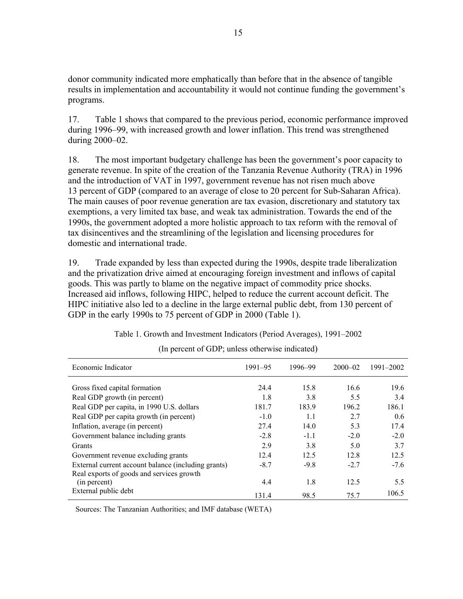donor community indicated more emphatically than before that in the absence of tangible results in implementation and accountability it would not continue funding the government's programs.

17. Table 1 shows that compared to the previous period, economic performance improved during 1996–99, with increased growth and lower inflation. This trend was strengthened during 2000–02.

18. The most important budgetary challenge has been the government's poor capacity to generate revenue. In spite of the creation of the Tanzania Revenue Authority (TRA) in 1996 and the introduction of VAT in 1997, government revenue has not risen much above 13 percent of GDP (compared to an average of close to 20 percent for Sub-Saharan Africa). The main causes of poor revenue generation are tax evasion, discretionary and statutory tax exemptions, a very limited tax base, and weak tax administration. Towards the end of the 1990s, the government adopted a more holistic approach to tax reform with the removal of tax disincentives and the streamlining of the legislation and licensing procedures for domestic and international trade.

19. Trade expanded by less than expected during the 1990s, despite trade liberalization and the privatization drive aimed at encouraging foreign investment and inflows of capital goods. This was partly to blame on the negative impact of commodity price shocks. Increased aid inflows, following HIPC, helped to reduce the current account deficit. The HIPC initiative also led to a decline in the large external public debt, from 130 percent of GDP in the early 1990s to 75 percent of GDP in 2000 (Table 1).

| Economic Indicator                                  | $1991 - 95$ | 1996-99 | $2000 - 02$ | 1991-2002 |
|-----------------------------------------------------|-------------|---------|-------------|-----------|
| Gross fixed capital formation                       | 24.4        | 15.8    | 16.6        | 19.6      |
| Real GDP growth (in percent)                        | 1.8         | 3.8     | 5.5         | 3.4       |
| Real GDP per capita, in 1990 U.S. dollars           | 181.7       | 183.9   | 196.2       | 186.1     |
| Real GDP per capita growth (in percent)             | $-1.0$      | 1.1     | 2.7         | 0.6       |
| Inflation, average (in percent)                     | 27.4        | 14.0    | 5.3         | 17.4      |
| Government balance including grants                 | $-2.8$      | $-1.1$  | $-2.0$      | $-2.0$    |
| Grants                                              | 2.9         | 3.8     | 5.0         | 3.7       |
| Government revenue excluding grants                 | 12.4        | 12.5    | 12.8        | 12.5      |
| External current account balance (including grants) | $-8.7$      | $-9.8$  | $-2.7$      | $-7.6$    |
| Real exports of goods and services growth           |             |         |             |           |
| (in percent)                                        | 4.4         | 1.8     | 12.5        | 5.5       |
| External public debt                                | 131.4       | 98.5    | 75.7        | 106.5     |

Table 1. Growth and Investment Indicators (Period Averages), 1991–2002

(In percent of GDP; unless otherwise indicated)

Sources: The Tanzanian Authorities; and IMF database (WETA)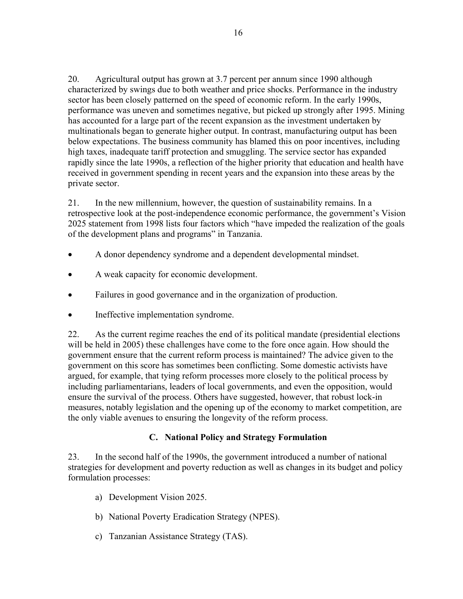20. Agricultural output has grown at 3.7 percent per annum since 1990 although characterized by swings due to both weather and price shocks. Performance in the industry sector has been closely patterned on the speed of economic reform. In the early 1990s, performance was uneven and sometimes negative, but picked up strongly after 1995. Mining has accounted for a large part of the recent expansion as the investment undertaken by multinationals began to generate higher output. In contrast, manufacturing output has been below expectations. The business community has blamed this on poor incentives, including high taxes, inadequate tariff protection and smuggling. The service sector has expanded rapidly since the late 1990s, a reflection of the higher priority that education and health have received in government spending in recent years and the expansion into these areas by the private sector.

21. In the new millennium, however, the question of sustainability remains. In a retrospective look at the post-independence economic performance, the government's Vision 2025 statement from 1998 lists four factors which "have impeded the realization of the goals of the development plans and programs" in Tanzania.

- A donor dependency syndrome and a dependent developmental mindset.
- A weak capacity for economic development.
- Failures in good governance and in the organization of production.
- Ineffective implementation syndrome.

22. As the current regime reaches the end of its political mandate (presidential elections will be held in 2005) these challenges have come to the fore once again. How should the government ensure that the current reform process is maintained? The advice given to the government on this score has sometimes been conflicting. Some domestic activists have argued, for example, that tying reform processes more closely to the political process by including parliamentarians, leaders of local governments, and even the opposition, would ensure the survival of the process. Others have suggested, however, that robust lock-in measures, notably legislation and the opening up of the economy to market competition, are the only viable avenues to ensuring the longevity of the reform process.

#### **C. National Policy and Strategy Formulation**

23. In the second half of the 1990s, the government introduced a number of national strategies for development and poverty reduction as well as changes in its budget and policy formulation processes:

- a) Development Vision 2025.
- b) National Poverty Eradication Strategy (NPES).
- c) Tanzanian Assistance Strategy (TAS).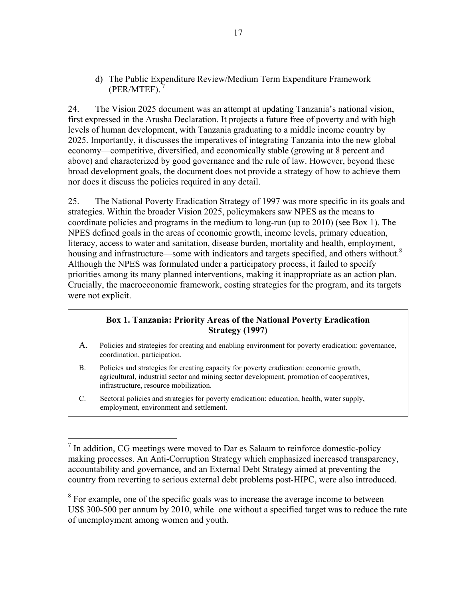d) The Public Expenditure Review/Medium Term Expenditure Framework (PER/MTEF). 7

24. The Vision 2025 document was an attempt at updating Tanzania's national vision, first expressed in the Arusha Declaration. It projects a future free of poverty and with high levels of human development, with Tanzania graduating to a middle income country by 2025. Importantly, it discusses the imperatives of integrating Tanzania into the new global economy—competitive, diversified, and economically stable (growing at 8 percent and above) and characterized by good governance and the rule of law. However, beyond these broad development goals, the document does not provide a strategy of how to achieve them nor does it discuss the policies required in any detail.

25. The National Poverty Eradication Strategy of 1997 was more specific in its goals and strategies. Within the broader Vision 2025, policymakers saw NPES as the means to coordinate policies and programs in the medium to long-run (up to 2010) (see Box 1). The NPES defined goals in the areas of economic growth, income levels, primary education, literacy, access to water and sanitation, disease burden, mortality and health, employment, housing and infrastructure—some with indicators and targets specified, and others without.<sup>8</sup> Although the NPES was formulated under a participatory process, it failed to specify priorities among its many planned interventions, making it inappropriate as an action plan. Crucially, the macroeconomic framework, costing strategies for the program, and its targets were not explicit.

## **Box 1. Tanzania: Priority Areas of the National Poverty Eradication Strategy (1997)**

- A. Policies and strategies for creating and enabling environment for poverty eradication: governance, coordination, participation.
- B. Policies and strategies for creating capacity for poverty eradication: economic growth, agricultural, industrial sector and mining sector development, promotion of cooperatives, infrastructure, resource mobilization.
- C. Sectoral policies and strategies for poverty eradication: education, health, water supply, employment, environment and settlement.

 $\overline{a}$ 

 $8\,\text{For example, one of the specific goals was to increase the average income to between }$ US\$ 300-500 per annum by 2010, while one without a specified target was to reduce the rate of unemployment among women and youth.

 $<sup>7</sup>$  In addition, CG meetings were moved to Dar es Salaam to reinforce domestic-policy</sup> making processes. An Anti-Corruption Strategy which emphasized increased transparency, accountability and governance, and an External Debt Strategy aimed at preventing the country from reverting to serious external debt problems post-HIPC, were also introduced.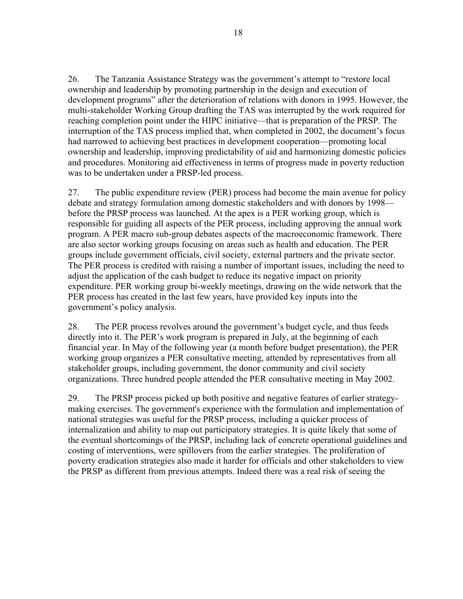26. The Tanzania Assistance Strategy was the government's attempt to "restore local ownership and leadership by promoting partnership in the design and execution of development programs" after the deterioration of relations with donors in 1995. However, the multi-stakeholder Working Group drafting the TAS was interrupted by the work required for reaching completion point under the HIPC initiative—that is preparation of the PRSP. The interruption of the TAS process implied that, when completed in 2002, the document's focus had narrowed to achieving best practices in development cooperation—promoting local ownership and leadership, improving predictability of aid and harmonizing domestic policies and procedures. Monitoring aid effectiveness in terms of progress made in poverty reduction was to be undertaken under a PRSP-led process.

27. The public expenditure review (PER) process had become the main avenue for policy debate and strategy formulation among domestic stakeholders and with donors by 1998 before the PRSP process was launched. At the apex is a PER working group, which is responsible for guiding all aspects of the PER process, including approving the annual work program. A PER macro sub-group debates aspects of the macroeconomic framework. There are also sector working groups focusing on areas such as health and education. The PER groups include government officials, civil society, external partners and the private sector. The PER process is credited with raising a number of important issues, including the need to adjust the application of the cash budget to reduce its negative impact on priority expenditure. PER working group bi-weekly meetings, drawing on the wide network that the PER process has created in the last few years, have provided key inputs into the government's policy analysis.

28. The PER process revolves around the government's budget cycle, and thus feeds directly into it. The PER's work program is prepared in July, at the beginning of each financial year. In May of the following year (a month before budget presentation), the PER working group organizes a PER consultative meeting, attended by representatives from all stakeholder groups, including government, the donor community and civil society organizations. Three hundred people attended the PER consultative meeting in May 2002.

29. The PRSP process picked up both positive and negative features of earlier strategymaking exercises. The government's experience with the formulation and implementation of national strategies was useful for the PRSP process, including a quicker process of internalization and ability to map out participatory strategies. It is quite likely that some of the eventual shortcomings of the PRSP, including lack of concrete operational guidelines and costing of interventions, were spillovers from the earlier strategies. The proliferation of poverty eradication strategies also made it harder for officials and other stakeholders to view the PRSP as different from previous attempts. Indeed there was a real risk of seeing the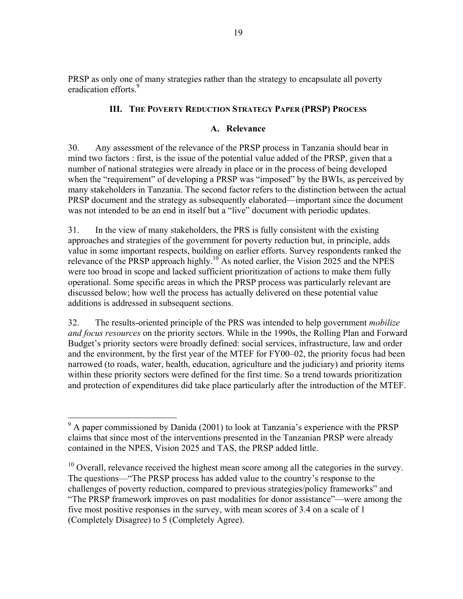PRSP as only one of many strategies rather than the strategy to encapsulate all poverty eradication efforts.<sup>9</sup>

## **III. THE POVERTY REDUCTION STRATEGY PAPER (PRSP) PROCESS**

## **A. Relevance**

30. Any assessment of the relevance of the PRSP process in Tanzania should bear in mind two factors : first, is the issue of the potential value added of the PRSP, given that a number of national strategies were already in place or in the process of being developed when the "requirement" of developing a PRSP was "imposed" by the BWIs, as perceived by many stakeholders in Tanzania. The second factor refers to the distinction between the actual PRSP document and the strategy as subsequently elaborated—important since the document was not intended to be an end in itself but a "live" document with periodic updates.

31. In the view of many stakeholders, the PRS is fully consistent with the existing approaches and strategies of the government for poverty reduction but, in principle, adds value in some important respects, building on earlier efforts. Survey respondents ranked the relevance of the PRSP approach highly.<sup>10</sup> As noted earlier, the Vision 2025 and the NPES were too broad in scope and lacked sufficient prioritization of actions to make them fully operational. Some specific areas in which the PRSP process was particularly relevant are discussed below; how well the process has actually delivered on these potential value additions is addressed in subsequent sections.

32. The results-oriented principle of the PRS was intended to help government *mobilize and focus resources* on the priority sectors. While in the 1990s, the Rolling Plan and Forward Budget's priority sectors were broadly defined: social services, infrastructure, law and order and the environment, by the first year of the MTEF for FY00–02, the priority focus had been narrowed (to roads, water, health, education, agriculture and the judiciary) and priority items within these priority sectors were defined for the first time. So a trend towards prioritization and protection of expenditures did take place particularly after the introduction of the MTEF.

<sup>&</sup>lt;sup>9</sup> A paper commissioned by Danida (2001) to look at Tanzania's experience with the PRSP claims that since most of the interventions presented in the Tanzanian PRSP were already contained in the NPES, Vision 2025 and TAS, the PRSP added little.

 $10$  Overall, relevance received the highest mean score among all the categories in the survey. The questions—"The PRSP process has added value to the country's response to the challenges of poverty reduction, compared to previous strategies/policy frameworks" and "The PRSP framework improves on past modalities for donor assistance"—were among the five most positive responses in the survey, with mean scores of 3.4 on a scale of 1 (Completely Disagree) to 5 (Completely Agree).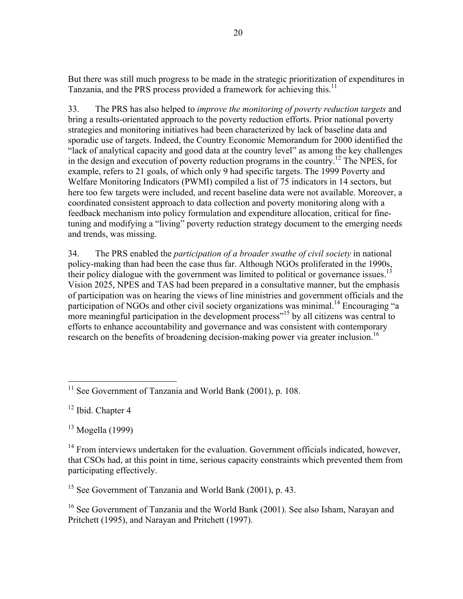But there was still much progress to be made in the strategic prioritization of expenditures in Tanzania, and the PRS process provided a framework for achieving this.<sup>11</sup>

33. The PRS has also helped to *improve the monitoring of poverty reduction targets* and bring a results-orientated approach to the poverty reduction efforts. Prior national poverty strategies and monitoring initiatives had been characterized by lack of baseline data and sporadic use of targets. Indeed, the Country Economic Memorandum for 2000 identified the "lack of analytical capacity and good data at the country level" as among the key challenges in the design and execution of poverty reduction programs in the country.<sup>12</sup> The NPES, for example, refers to 21 goals, of which only 9 had specific targets. The 1999 Poverty and Welfare Monitoring Indicators (PWMI) compiled a list of 75 indicators in 14 sectors, but here too few targets were included, and recent baseline data were not available. Moreover, a coordinated consistent approach to data collection and poverty monitoring along with a feedback mechanism into policy formulation and expenditure allocation, critical for finetuning and modifying a "living" poverty reduction strategy document to the emerging needs and trends, was missing.

34. The PRS enabled the *participation of a broader swathe of civil society* in national policy-making than had been the case thus far. Although NGOs proliferated in the 1990s, their policy dialogue with the government was limited to political or governance issues.<sup>13</sup> Vision 2025, NPES and TAS had been prepared in a consultative manner, but the emphasis of participation was on hearing the views of line ministries and government officials and the participation of NGOs and other civil society organizations was minimal.<sup>14</sup> Encouraging "a more meaningful participation in the development process<sup> $15$ </sup> by all citizens was central to efforts to enhance accountability and governance and was consistent with contemporary research on the benefits of broadening decision-making power via greater inclusion.<sup>16</sup>

<sup>12</sup> Ibid. Chapter 4

1

 $13$  Mogella (1999)

<sup>15</sup> See Government of Tanzania and World Bank (2001), p. 43.

16 See Government of Tanzania and the World Bank (2001). See also Isham, Narayan and Pritchett (1995), and Narayan and Pritchett (1997).

 $11$  See Government of Tanzania and World Bank (2001), p. 108.

<sup>&</sup>lt;sup>14</sup> From interviews undertaken for the evaluation. Government officials indicated, however, that CSOs had, at this point in time, serious capacity constraints which prevented them from participating effectively.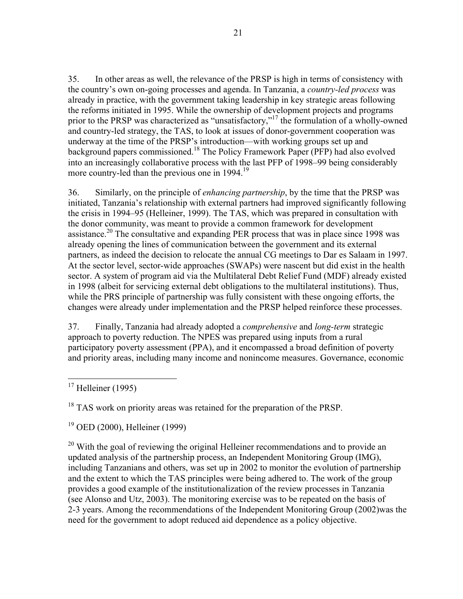35. In other areas as well, the relevance of the PRSP is high in terms of consistency with the country's own on-going processes and agenda. In Tanzania, a *country-led process* was already in practice, with the government taking leadership in key strategic areas following the reforms initiated in 1995. While the ownership of development projects and programs prior to the PRSP was characterized as "unsatisfactory,"17 the formulation of a wholly-owned and country-led strategy, the TAS, to look at issues of donor-government cooperation was underway at the time of the PRSP's introduction—with working groups set up and background papers commissioned.18 The Policy Framework Paper (PFP) had also evolved into an increasingly collaborative process with the last PFP of 1998–99 being considerably more country-led than the previous one in 1994.<sup>19</sup>

36. Similarly, on the principle of *enhancing partnership*, by the time that the PRSP was initiated, Tanzania's relationship with external partners had improved significantly following the crisis in 1994–95 (Helleiner, 1999). The TAS, which was prepared in consultation with the donor community, was meant to provide a common framework for development assistance.<sup>20</sup> The consultative and expanding PER process that was in place since 1998 was already opening the lines of communication between the government and its external partners, as indeed the decision to relocate the annual CG meetings to Dar es Salaam in 1997. At the sector level, sector-wide approaches (SWAPs) were nascent but did exist in the health sector. A system of program aid via the Multilateral Debt Relief Fund (MDF) already existed in 1998 (albeit for servicing external debt obligations to the multilateral institutions). Thus, while the PRS principle of partnership was fully consistent with these ongoing efforts, the changes were already under implementation and the PRSP helped reinforce these processes.

37. Finally, Tanzania had already adopted a *comprehensive* and *long-term* strategic approach to poverty reduction. The NPES was prepared using inputs from a rural participatory poverty assessment (PPA), and it encompassed a broad definition of poverty and priority areas, including many income and nonincome measures. Governance, economic

1

<sup>18</sup> TAS work on priority areas was retained for the preparation of the PRSP.

19 OED (2000), Helleiner (1999)

<sup>20</sup> With the goal of reviewing the original Helleiner recommendations and to provide an updated analysis of the partnership process, an Independent Monitoring Group (IMG), including Tanzanians and others, was set up in 2002 to monitor the evolution of partnership and the extent to which the TAS principles were being adhered to. The work of the group provides a good example of the institutionalization of the review processes in Tanzania (see Alonso and Utz, 2003). The monitoring exercise was to be repeated on the basis of 2-3 years. Among the recommendations of the Independent Monitoring Group (2002)was the need for the government to adopt reduced aid dependence as a policy objective.

 $17$  Helleiner (1995)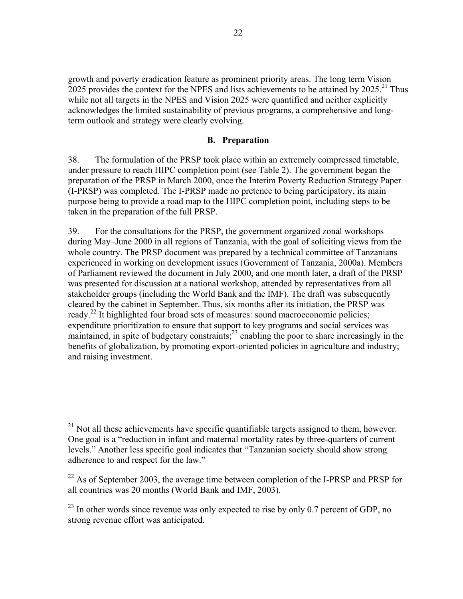growth and poverty eradication feature as prominent priority areas. The long term Vision 2025 provides the context for the NPES and lists achievements to be attained by  $2025$ <sup>21</sup>. Thus while not all targets in the NPES and Vision 2025 were quantified and neither explicitly acknowledges the limited sustainability of previous programs, a comprehensive and longterm outlook and strategy were clearly evolving.

#### **B. Preparation**

38. The formulation of the PRSP took place within an extremely compressed timetable, under pressure to reach HIPC completion point (see Table 2). The government began the preparation of the PRSP in March 2000, once the Interim Poverty Reduction Strategy Paper (I-PRSP) was completed. The I-PRSP made no pretence to being participatory, its main purpose being to provide a road map to the HIPC completion point, including steps to be taken in the preparation of the full PRSP.

39. For the consultations for the PRSP, the government organized zonal workshops during May–June 2000 in all regions of Tanzania, with the goal of soliciting views from the whole country. The PRSP document was prepared by a technical committee of Tanzanians experienced in working on development issues (Government of Tanzania, 2000a). Members of Parliament reviewed the document in July 2000, and one month later, a draft of the PRSP was presented for discussion at a national workshop, attended by representatives from all stakeholder groups (including the World Bank and the IMF). The draft was subsequently cleared by the cabinet in September. Thus, six months after its initiation, the PRSP was ready.<sup>22</sup> It highlighted four broad sets of measures: sound macroeconomic policies; expenditure prioritization to ensure that support to key programs and social services was maintained, in spite of budgetary constraints;<sup>23</sup> enabling the poor to share increasingly in the benefits of globalization, by promoting export-oriented policies in agriculture and industry; and raising investment.

 $\overline{a}$ 

 $2<sup>1</sup>$  Not all these achievements have specific quantifiable targets assigned to them, however. One goal is a "reduction in infant and maternal mortality rates by three-quarters of current levels." Another less specific goal indicates that "Tanzanian society should show strong adherence to and respect for the law."

 $^{22}$  As of September 2003, the average time between completion of the I-PRSP and PRSP for all countries was 20 months (World Bank and IMF, 2003).

 $^{23}$  In other words since revenue was only expected to rise by only 0.7 percent of GDP, no strong revenue effort was anticipated.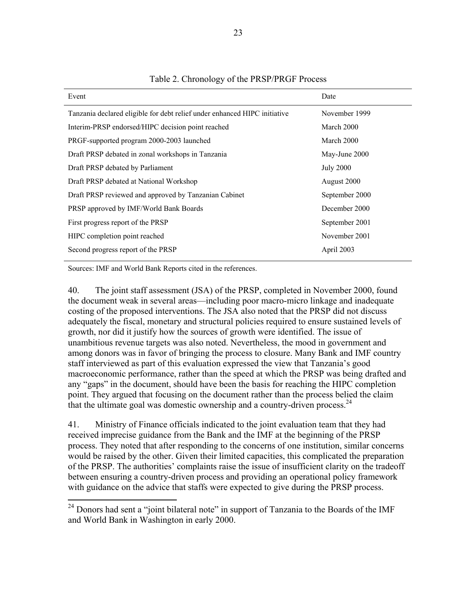| Event                                                                     | Date             |
|---------------------------------------------------------------------------|------------------|
| Tanzania declared eligible for debt relief under enhanced HIPC initiative | November 1999    |
| Interim-PRSP endorsed/HIPC decision point reached                         | March 2000       |
| PRGF-supported program 2000-2003 launched                                 | March 2000       |
| Draft PRSP debated in zonal workshops in Tanzania                         | May-June 2000    |
| Draft PRSP debated by Parliament                                          | <b>July 2000</b> |
| Draft PRSP debated at National Workshop                                   | August 2000      |
| Draft PRSP reviewed and approved by Tanzanian Cabinet                     | September 2000   |
| PRSP approved by IMF/World Bank Boards                                    | December 2000    |
| First progress report of the PRSP                                         | September 2001   |
| HIPC completion point reached                                             | November 2001    |
| Second progress report of the PRSP                                        | April 2003       |

#### Table 2. Chronology of the PRSP/PRGF Process

Sources: IMF and World Bank Reports cited in the references.

 $\overline{a}$ 

40. The joint staff assessment (JSA) of the PRSP, completed in November 2000, found the document weak in several areas—including poor macro-micro linkage and inadequate costing of the proposed interventions. The JSA also noted that the PRSP did not discuss adequately the fiscal, monetary and structural policies required to ensure sustained levels of growth, nor did it justify how the sources of growth were identified. The issue of unambitious revenue targets was also noted. Nevertheless, the mood in government and among donors was in favor of bringing the process to closure. Many Bank and IMF country staff interviewed as part of this evaluation expressed the view that Tanzania's good macroeconomic performance, rather than the speed at which the PRSP was being drafted and any "gaps" in the document, should have been the basis for reaching the HIPC completion point. They argued that focusing on the document rather than the process belied the claim that the ultimate goal was domestic ownership and a country-driven process.  $24$ 

41. Ministry of Finance officials indicated to the joint evaluation team that they had received imprecise guidance from the Bank and the IMF at the beginning of the PRSP process. They noted that after responding to the concerns of one institution, similar concerns would be raised by the other. Given their limited capacities, this complicated the preparation of the PRSP. The authorities' complaints raise the issue of insufficient clarity on the tradeoff between ensuring a country-driven process and providing an operational policy framework with guidance on the advice that staffs were expected to give during the PRSP process.

 $24$  Donors had sent a "joint bilateral note" in support of Tanzania to the Boards of the IMF and World Bank in Washington in early 2000.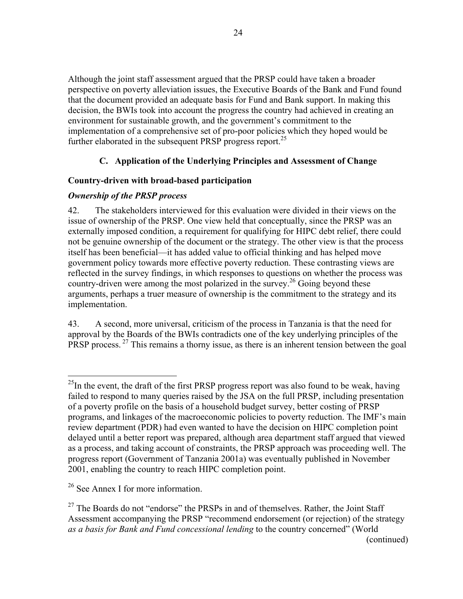Although the joint staff assessment argued that the PRSP could have taken a broader perspective on poverty alleviation issues, the Executive Boards of the Bank and Fund found that the document provided an adequate basis for Fund and Bank support. In making this decision, the BWIs took into account the progress the country had achieved in creating an environment for sustainable growth, and the government's commitment to the implementation of a comprehensive set of pro-poor policies which they hoped would be further elaborated in the subsequent PRSP progress report.<sup>25</sup>

## **C. Application of the Underlying Principles and Assessment of Change**

## **Country-driven with broad-based participation**

## *Ownership of the PRSP process*

42. The stakeholders interviewed for this evaluation were divided in their views on the issue of ownership of the PRSP. One view held that conceptually, since the PRSP was an externally imposed condition, a requirement for qualifying for HIPC debt relief, there could not be genuine ownership of the document or the strategy. The other view is that the process itself has been beneficial—it has added value to official thinking and has helped move government policy towards more effective poverty reduction. These contrasting views are reflected in the survey findings, in which responses to questions on whether the process was country-driven were among the most polarized in the survey.<sup>26</sup> Going beyond these arguments, perhaps a truer measure of ownership is the commitment to the strategy and its implementation.

43. A second, more universal, criticism of the process in Tanzania is that the need for approval by the Boards of the BWIs contradicts one of the key underlying principles of the PRSP process. 27 This remains a thorny issue, as there is an inherent tension between the goal

1

 $^{25}$ In the event, the draft of the first PRSP progress report was also found to be weak, having failed to respond to many queries raised by the JSA on the full PRSP, including presentation of a poverty profile on the basis of a household budget survey, better costing of PRSP programs, and linkages of the macroeconomic policies to poverty reduction. The IMF's main review department (PDR) had even wanted to have the decision on HIPC completion point delayed until a better report was prepared, although area department staff argued that viewed as a process, and taking account of constraints, the PRSP approach was proceeding well. The progress report (Government of Tanzania 2001a) was eventually published in November 2001, enabling the country to reach HIPC completion point.

<sup>&</sup>lt;sup>26</sup> See Annex I for more information.

 $27$  The Boards do not "endorse" the PRSPs in and of themselves. Rather, the Joint Staff Assessment accompanying the PRSP "recommend endorsement (or rejection) of the strategy *as a basis for Bank and Fund concessional lending* to the country concerned" (World (continued)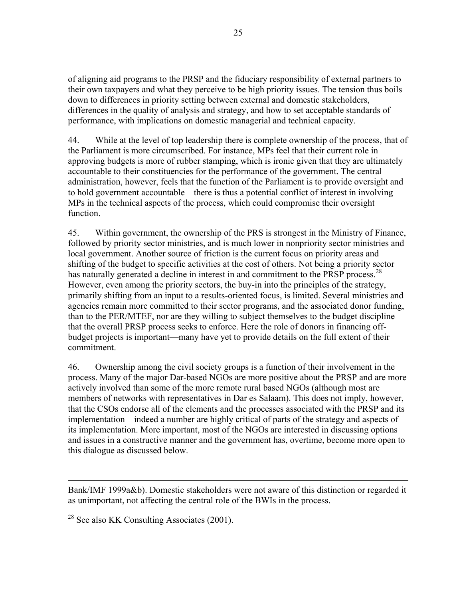of aligning aid programs to the PRSP and the fiduciary responsibility of external partners to their own taxpayers and what they perceive to be high priority issues. The tension thus boils down to differences in priority setting between external and domestic stakeholders, differences in the quality of analysis and strategy, and how to set acceptable standards of performance, with implications on domestic managerial and technical capacity.

44. While at the level of top leadership there is complete ownership of the process, that of the Parliament is more circumscribed. For instance, MPs feel that their current role in approving budgets is more of rubber stamping, which is ironic given that they are ultimately accountable to their constituencies for the performance of the government. The central administration, however, feels that the function of the Parliament is to provide oversight and to hold government accountable—there is thus a potential conflict of interest in involving MPs in the technical aspects of the process, which could compromise their oversight function.

45. Within government, the ownership of the PRS is strongest in the Ministry of Finance, followed by priority sector ministries, and is much lower in nonpriority sector ministries and local government. Another source of friction is the current focus on priority areas and shifting of the budget to specific activities at the cost of others. Not being a priority sector has naturally generated a decline in interest in and commitment to the PRSP process.<sup>28</sup> However, even among the priority sectors, the buy-in into the principles of the strategy, primarily shifting from an input to a results-oriented focus, is limited. Several ministries and agencies remain more committed to their sector programs, and the associated donor funding, than to the PER/MTEF, nor are they willing to subject themselves to the budget discipline that the overall PRSP process seeks to enforce. Here the role of donors in financing offbudget projects is important—many have yet to provide details on the full extent of their commitment.

46. Ownership among the civil society groups is a function of their involvement in the process. Many of the major Dar-based NGOs are more positive about the PRSP and are more actively involved than some of the more remote rural based NGOs (although most are members of networks with representatives in Dar es Salaam). This does not imply, however, that the CSOs endorse all of the elements and the processes associated with the PRSP and its implementation—indeed a number are highly critical of parts of the strategy and aspects of its implementation. More important, most of the NGOs are interested in discussing options and issues in a constructive manner and the government has, overtime, become more open to this dialogue as discussed below.

Bank/IMF 1999a&b). Domestic stakeholders were not aware of this distinction or regarded it as unimportant, not affecting the central role of the BWIs in the process.

 $28$  See also KK Consulting Associates (2001).

1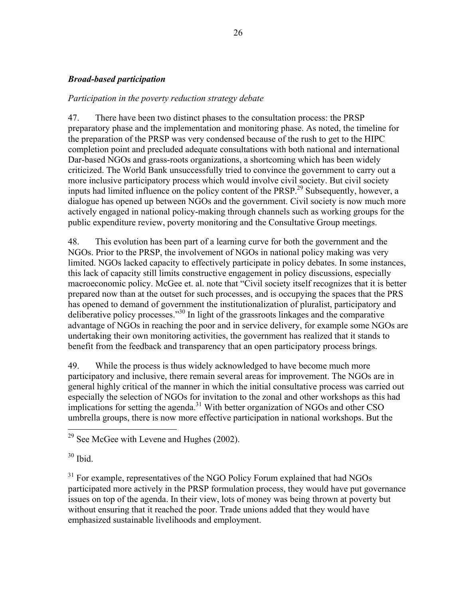### *Broad-based participation*

*Participation in the poverty reduction strategy debate* 

47. There have been two distinct phases to the consultation process: the PRSP preparatory phase and the implementation and monitoring phase. As noted, the timeline for the preparation of the PRSP was very condensed because of the rush to get to the HIPC completion point and precluded adequate consultations with both national and international Dar-based NGOs and grass-roots organizations, a shortcoming which has been widely criticized. The World Bank unsuccessfully tried to convince the government to carry out a more inclusive participatory process which would involve civil society. But civil society inputs had limited influence on the policy content of the  $PRSP<sup>29</sup>$  Subsequently, however, a dialogue has opened up between NGOs and the government. Civil society is now much more actively engaged in national policy-making through channels such as working groups for the public expenditure review, poverty monitoring and the Consultative Group meetings.

48. This evolution has been part of a learning curve for both the government and the NGOs. Prior to the PRSP, the involvement of NGOs in national policy making was very limited. NGOs lacked capacity to effectively participate in policy debates. In some instances, this lack of capacity still limits constructive engagement in policy discussions, especially macroeconomic policy. McGee et. al. note that "Civil society itself recognizes that it is better prepared now than at the outset for such processes, and is occupying the spaces that the PRS has opened to demand of government the institutionalization of pluralist, participatory and deliberative policy processes."30 In light of the grassroots linkages and the comparative advantage of NGOs in reaching the poor and in service delivery, for example some NGOs are undertaking their own monitoring activities, the government has realized that it stands to benefit from the feedback and transparency that an open participatory process brings.

49. While the process is thus widely acknowledged to have become much more participatory and inclusive, there remain several areas for improvement. The NGOs are in general highly critical of the manner in which the initial consultative process was carried out especially the selection of NGOs for invitation to the zonal and other workshops as this had implications for setting the agenda. $31$  With better organization of NGOs and other CSO umbrella groups, there is now more effective participation in national workshops. But the

 $30$  Ibid.

 $\overline{a}$ 

 $31$  For example, representatives of the NGO Policy Forum explained that had NGOs participated more actively in the PRSP formulation process, they would have put governance issues on top of the agenda. In their view, lots of money was being thrown at poverty but without ensuring that it reached the poor. Trade unions added that they would have emphasized sustainable livelihoods and employment.

 $29$  See McGee with Levene and Hughes (2002).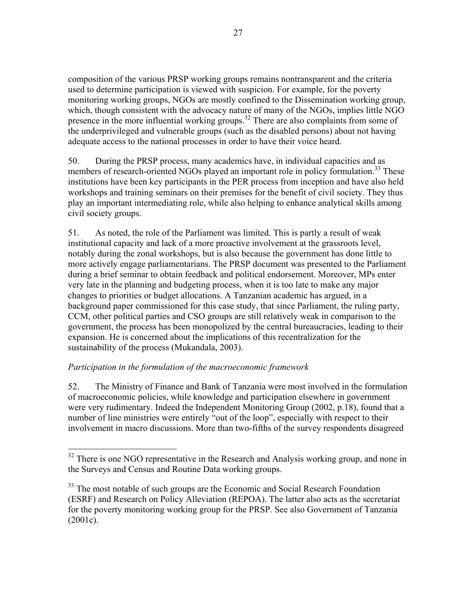composition of the various PRSP working groups remains nontransparent and the criteria used to determine participation is viewed with suspicion. For example, for the poverty monitoring working groups, NGOs are mostly confined to the Dissemination working group, which, though consistent with the advocacy nature of many of the NGOs, implies little NGO presence in the more influential working groups.<sup>32</sup> There are also complaints from some of the underprivileged and vulnerable groups (such as the disabled persons) about not having adequate access to the national processes in order to have their voice heard.

50. During the PRSP process, many academics have, in individual capacities and as members of research-oriented NGOs played an important role in policy formulation.<sup>33</sup> These institutions have been key participants in the PER process from inception and have also held workshops and training seminars on their premises for the benefit of civil society. They thus play an important intermediating role, while also helping to enhance analytical skills among civil society groups.

51. As noted, the role of the Parliament was limited. This is partly a result of weak institutional capacity and lack of a more proactive involvement at the grassroots level, notably during the zonal workshops, but is also because the government has done little to more actively engage parliamentarians. The PRSP document was presented to the Parliament during a brief seminar to obtain feedback and political endorsement. Moreover, MPs enter very late in the planning and budgeting process, when it is too late to make any major changes to priorities or budget allocations. A Tanzanian academic has argued, in a background paper commissioned for this case study, that since Parliament, the ruling party, CCM, other political parties and CSO groups are still relatively weak in comparison to the government, the process has been monopolized by the central bureaucracies, leading to their expansion. He is concerned about the implications of this recentralization for the sustainability of the process (Mukandala, 2003).

## *Participation in the formulation of the macroeconomic framework*

 $\overline{a}$ 

52. The Ministry of Finance and Bank of Tanzania were most involved in the formulation of macroeconomic policies, while knowledge and participation elsewhere in government were very rudimentary. Indeed the Independent Monitoring Group (2002, p.18), found that a number of line ministries were entirely "out of the loop", especially with respect to their involvement in macro discussions. More than two-fifths of the survey respondents disagreed

 $32$  There is one NGO representative in the Research and Analysis working group, and none in the Surveys and Census and Routine Data working groups.

<sup>&</sup>lt;sup>33</sup> The most notable of such groups are the Economic and Social Research Foundation (ESRF) and Research on Policy Alleviation (REPOA). The latter also acts as the secretariat for the poverty monitoring working group for the PRSP. See also Government of Tanzania (2001c).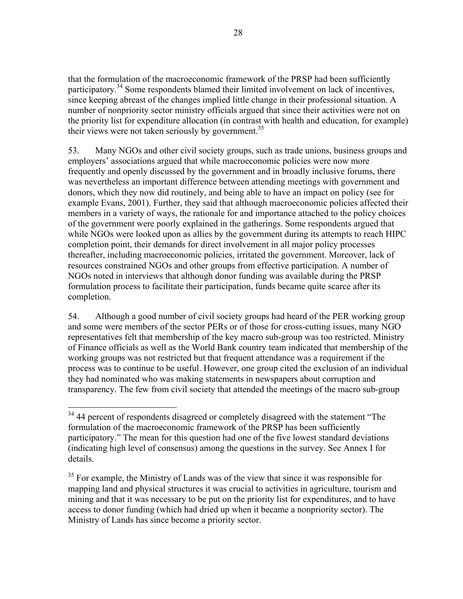that the formulation of the macroeconomic framework of the PRSP had been sufficiently participatory.<sup>34</sup> Some respondents blamed their limited involvement on lack of incentives, since keeping abreast of the changes implied little change in their professional situation. A number of nonpriority sector ministry officials argued that since their activities were not on the priority list for expenditure allocation (in contrast with health and education, for example) their views were not taken seriously by government.<sup>35</sup>

53. Many NGOs and other civil society groups, such as trade unions, business groups and employers' associations argued that while macroeconomic policies were now more frequently and openly discussed by the government and in broadly inclusive forums, there was nevertheless an important difference between attending meetings with government and donors, which they now did routinely, and being able to have an impact on policy (see for example Evans, 2001). Further, they said that although macroeconomic policies affected their members in a variety of ways, the rationale for and importance attached to the policy choices of the government were poorly explained in the gatherings. Some respondents argued that while NGOs were looked upon as allies by the government during its attempts to reach HIPC completion point, their demands for direct involvement in all major policy processes thereafter, including macroeconomic policies, irritated the government. Moreover, lack of resources constrained NGOs and other groups from effective participation. A number of NGOs noted in interviews that although donor funding was available during the PRSP formulation process to facilitate their participation, funds became quite scarce after its completion.

54. Although a good number of civil society groups had heard of the PER working group and some were members of the sector PERs or of those for cross-cutting issues, many NGO representatives felt that membership of the key macro sub-group was too restricted. Ministry of Finance officials as well as the World Bank country team indicated that membership of the working groups was not restricted but that frequent attendance was a requirement if the process was to continue to be useful. However, one group cited the exclusion of an individual they had nominated who was making statements in newspapers about corruption and transparency. The few from civil society that attended the meetings of the macro sub-group

 $\overline{a}$ <sup>34</sup> 44 percent of respondents disagreed or completely disagreed with the statement "The formulation of the macroeconomic framework of the PRSP has been sufficiently participatory." The mean for this question had one of the five lowest standard deviations (indicating high level of consensus) among the questions in the survey. See Annex I for details.

<sup>&</sup>lt;sup>35</sup> For example, the Ministry of Lands was of the view that since it was responsible for mapping land and physical structures it was crucial to activities in agriculture, tourism and mining and that it was necessary to be put on the priority list for expenditures, and to have access to donor funding (which had dried up when it became a nonpriority sector). The Ministry of Lands has since become a priority sector.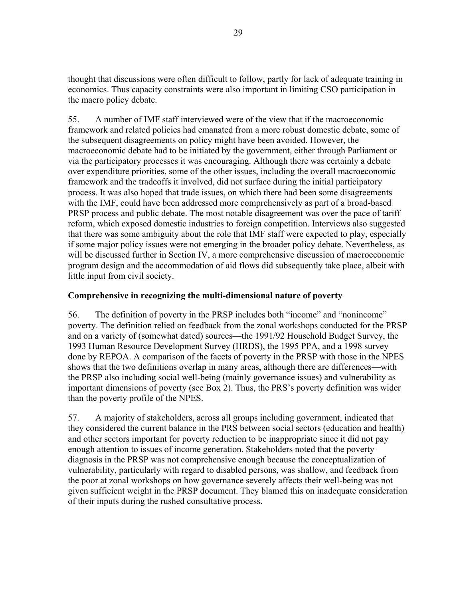thought that discussions were often difficult to follow, partly for lack of adequate training in economics. Thus capacity constraints were also important in limiting CSO participation in the macro policy debate.

55. A number of IMF staff interviewed were of the view that if the macroeconomic framework and related policies had emanated from a more robust domestic debate, some of the subsequent disagreements on policy might have been avoided. However, the macroeconomic debate had to be initiated by the government, either through Parliament or via the participatory processes it was encouraging. Although there was certainly a debate over expenditure priorities, some of the other issues, including the overall macroeconomic framework and the tradeoffs it involved, did not surface during the initial participatory process. It was also hoped that trade issues, on which there had been some disagreements with the IMF, could have been addressed more comprehensively as part of a broad-based PRSP process and public debate. The most notable disagreement was over the pace of tariff reform, which exposed domestic industries to foreign competition. Interviews also suggested that there was some ambiguity about the role that IMF staff were expected to play, especially if some major policy issues were not emerging in the broader policy debate. Nevertheless, as will be discussed further in Section IV, a more comprehensive discussion of macroeconomic program design and the accommodation of aid flows did subsequently take place, albeit with little input from civil society.

## **Comprehensive in recognizing the multi-dimensional nature of poverty**

56. The definition of poverty in the PRSP includes both "income" and "nonincome" poverty. The definition relied on feedback from the zonal workshops conducted for the PRSP and on a variety of (somewhat dated) sources—the 1991/92 Household Budget Survey, the 1993 Human Resource Development Survey (HRDS), the 1995 PPA, and a 1998 survey done by REPOA. A comparison of the facets of poverty in the PRSP with those in the NPES shows that the two definitions overlap in many areas, although there are differences—with the PRSP also including social well-being (mainly governance issues) and vulnerability as important dimensions of poverty (see Box 2). Thus, the PRS's poverty definition was wider than the poverty profile of the NPES.

57. A majority of stakeholders, across all groups including government, indicated that they considered the current balance in the PRS between social sectors (education and health) and other sectors important for poverty reduction to be inappropriate since it did not pay enough attention to issues of income generation. Stakeholders noted that the poverty diagnosis in the PRSP was not comprehensive enough because the conceptualization of vulnerability, particularly with regard to disabled persons, was shallow, and feedback from the poor at zonal workshops on how governance severely affects their well-being was not given sufficient weight in the PRSP document. They blamed this on inadequate consideration of their inputs during the rushed consultative process.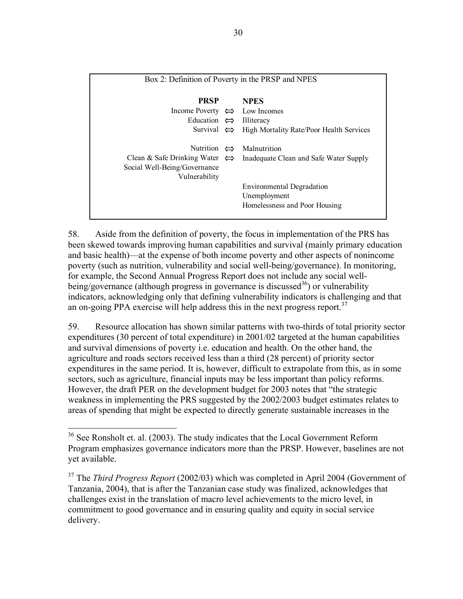| Box 2: Definition of Poverty in the PRSP and NPES                                              |  |                                                                                    |  |
|------------------------------------------------------------------------------------------------|--|------------------------------------------------------------------------------------|--|
| <b>PRSP</b>                                                                                    |  | <b>NPES</b>                                                                        |  |
| Income Poverty $\Leftrightarrow$ Low Incomes                                                   |  |                                                                                    |  |
| Education $\Leftrightarrow$ Illiteracy                                                         |  |                                                                                    |  |
| Survival $\Leftrightarrow$                                                                     |  | High Mortality Rate/Poor Health Services                                           |  |
| Clean & Safe Drinking Water $\Leftrightarrow$<br>Social Well-Being/Governance<br>Vulnerability |  | Nutrition $\Leftrightarrow$ Malnutrition<br>Inadequate Clean and Safe Water Supply |  |
|                                                                                                |  | Environmental Degradation<br>Unemployment<br>Homelessness and Poor Housing         |  |

58. Aside from the definition of poverty, the focus in implementation of the PRS has been skewed towards improving human capabilities and survival (mainly primary education and basic health)—at the expense of both income poverty and other aspects of nonincome poverty (such as nutrition, vulnerability and social well-being/governance). In monitoring, for example, the Second Annual Progress Report does not include any social wellbeing/governance (although progress in governance is discussed<sup>36</sup>) or vulnerability indicators, acknowledging only that defining vulnerability indicators is challenging and that an on-going PPA exercise will help address this in the next progress report.<sup>37</sup>

59. Resource allocation has shown similar patterns with two-thirds of total priority sector expenditures (30 percent of total expenditure) in 2001/02 targeted at the human capabilities and survival dimensions of poverty i.e. education and health. On the other hand, the agriculture and roads sectors received less than a third (28 percent) of priority sector expenditures in the same period. It is, however, difficult to extrapolate from this, as in some sectors, such as agriculture, financial inputs may be less important than policy reforms. However, the draft PER on the development budget for 2003 notes that "the strategic weakness in implementing the PRS suggested by the 2002/2003 budget estimates relates to areas of spending that might be expected to directly generate sustainable increases in the

 $\overline{a}$ 

<sup>&</sup>lt;sup>36</sup> See Ronsholt et. al. (2003). The study indicates that the Local Government Reform Program emphasizes governance indicators more than the PRSP. However, baselines are not yet available.

<sup>37</sup> The *Third Progress Report* (2002/03) which was completed in April 2004 (Government of Tanzania, 2004), that is after the Tanzanian case study was finalized, acknowledges that challenges exist in the translation of macro level achievements to the micro level, in commitment to good governance and in ensuring quality and equity in social service delivery.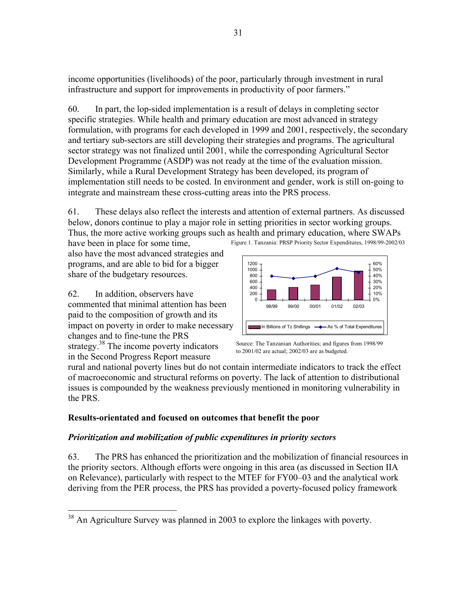income opportunities (livelihoods) of the poor, particularly through investment in rural infrastructure and support for improvements in productivity of poor farmers."

60. In part, the lop-sided implementation is a result of delays in completing sector specific strategies. While health and primary education are most advanced in strategy formulation, with programs for each developed in 1999 and 2001, respectively, the secondary and tertiary sub-sectors are still developing their strategies and programs. The agricultural sector strategy was not finalized until 2001, while the corresponding Agricultural Sector Development Programme (ASDP) was not ready at the time of the evaluation mission. Similarly, while a Rural Development Strategy has been developed, its program of implementation still needs to be costed. In environment and gender, work is still on-going to integrate and mainstream these cross-cutting areas into the PRS process.

Figure 1. Tanzania: PRSP Priority Sector Expenditures, 1998/99-2002/03 61. These delays also reflect the interests and attention of external partners. As discussed below, donors continue to play a major role in setting priorities in sector working groups. Thus, the more active working groups such as health and primary education, where SWAPs have been in place for some time,

also have the most advanced strategies and programs, and are able to bid for a bigger share of the budgetary resources.

62. In addition, observers have commented that minimal attention has been paid to the composition of growth and its impact on poverty in order to make necessary changes and to fine-tune the PRS strategy.<sup>38</sup> The income poverty indicators in the Second Progress Report measure



Source: The Tanzanian Authorities; and figures from 1998/99 to 2001/02 are actual; 2002/03 are as budgeted.

rural and national poverty lines but do not contain intermediate indicators to track the effect of macroeconomic and structural reforms on poverty. The lack of attention to distributional issues is compounded by the weakness previously mentioned in monitoring vulnerability in the PRS.

## **Results-orientated and focused on outcomes that benefit the poor**

## *Prioritization and mobilization of public expenditures in priority sectors*

63. The PRS has enhanced the prioritization and the mobilization of financial resources in the priority sectors. Although efforts were ongoing in this area (as discussed in Section IIA on Relevance), particularly with respect to the MTEF for FY00–03 and the analytical work deriving from the PER process, the PRS has provided a poverty-focused policy framework

<sup>1</sup>  $38$  An Agriculture Survey was planned in 2003 to explore the linkages with poverty.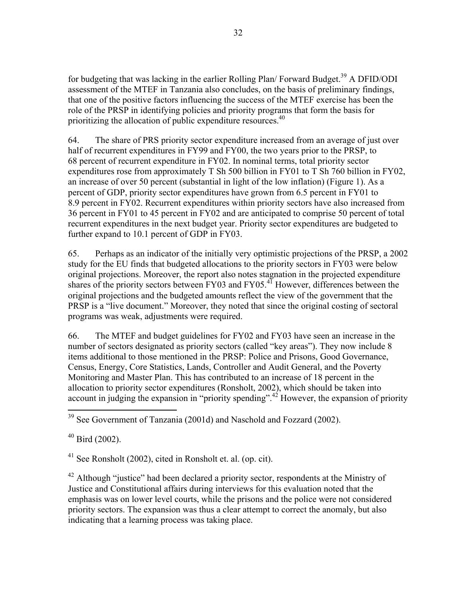for budgeting that was lacking in the earlier Rolling Plan/ Forward Budget.<sup>39</sup> A DFID/ODI assessment of the MTEF in Tanzania also concludes, on the basis of preliminary findings, that one of the positive factors influencing the success of the MTEF exercise has been the role of the PRSP in identifying policies and priority programs that form the basis for prioritizing the allocation of public expenditure resources.<sup>40</sup>

64. The share of PRS priority sector expenditure increased from an average of just over half of recurrent expenditures in FY99 and FY00, the two years prior to the PRSP, to 68 percent of recurrent expenditure in FY02. In nominal terms, total priority sector expenditures rose from approximately T Sh 500 billion in FY01 to T Sh 760 billion in FY02, an increase of over 50 percent (substantial in light of the low inflation) (Figure 1). As a percent of GDP, priority sector expenditures have grown from 6.5 percent in FY01 to 8.9 percent in FY02. Recurrent expenditures within priority sectors have also increased from 36 percent in FY01 to 45 percent in FY02 and are anticipated to comprise 50 percent of total recurrent expenditures in the next budget year. Priority sector expenditures are budgeted to further expand to 10.1 percent of GDP in FY03.

65. Perhaps as an indicator of the initially very optimistic projections of the PRSP, a 2002 study for the EU finds that budgeted allocations to the priority sectors in FY03 were below original projections. Moreover, the report also notes stagnation in the projected expenditure shares of the priority sectors between FY03 and FY05.<sup>41</sup> However, differences between the original projections and the budgeted amounts reflect the view of the government that the PRSP is a "live document." Moreover, they noted that since the original costing of sectoral programs was weak, adjustments were required.

66. The MTEF and budget guidelines for FY02 and FY03 have seen an increase in the number of sectors designated as priority sectors (called "key areas"). They now include 8 items additional to those mentioned in the PRSP: Police and Prisons, Good Governance, Census, Energy, Core Statistics, Lands, Controller and Audit General, and the Poverty Monitoring and Master Plan. This has contributed to an increase of 18 percent in the allocation to priority sector expenditures (Ronsholt, 2002), which should be taken into account in judging the expansion in "priority spending".<sup>42</sup> However, the expansion of priority

 $41$  See Ronsholt (2002), cited in Ronsholt et. al. (op. cit).

 $42$  Although "justice" had been declared a priority sector, respondents at the Ministry of Justice and Constitutional affairs during interviews for this evaluation noted that the emphasis was on lower level courts, while the prisons and the police were not considered priority sectors. The expansion was thus a clear attempt to correct the anomaly, but also indicating that a learning process was taking place.

 $\overline{a}$ <sup>39</sup> See Government of Tanzania (2001d) and Naschold and Fozzard (2002).

 $40$  Bird (2002).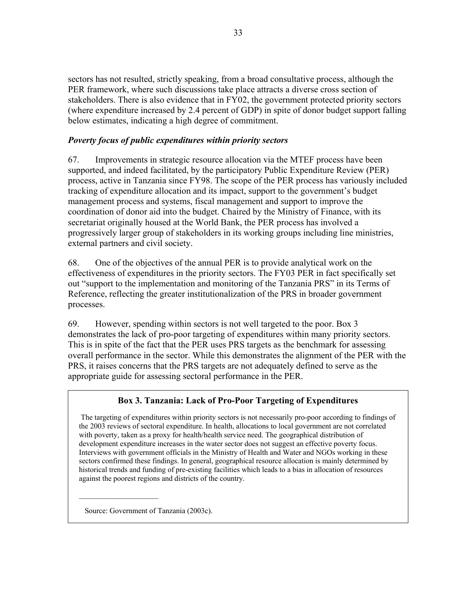sectors has not resulted, strictly speaking, from a broad consultative process, although the PER framework, where such discussions take place attracts a diverse cross section of stakeholders. There is also evidence that in FY02, the government protected priority sectors (where expenditure increased by 2.4 percent of GDP) in spite of donor budget support falling below estimates, indicating a high degree of commitment.

## *Poverty focus of public expenditures within priority sectors*

67. Improvements in strategic resource allocation via the MTEF process have been supported, and indeed facilitated, by the participatory Public Expenditure Review (PER) process, active in Tanzania since FY98. The scope of the PER process has variously included tracking of expenditure allocation and its impact, support to the government's budget management process and systems, fiscal management and support to improve the coordination of donor aid into the budget. Chaired by the Ministry of Finance, with its secretariat originally housed at the World Bank, the PER process has involved a progressively larger group of stakeholders in its working groups including line ministries, external partners and civil society.

68. One of the objectives of the annual PER is to provide analytical work on the effectiveness of expenditures in the priority sectors. The FY03 PER in fact specifically set out "support to the implementation and monitoring of the Tanzania PRS" in its Terms of Reference, reflecting the greater institutionalization of the PRS in broader government processes.

69. However, spending within sectors is not well targeted to the poor. Box 3 demonstrates the lack of pro-poor targeting of expenditures within many priority sectors. This is in spite of the fact that the PER uses PRS targets as the benchmark for assessing overall performance in the sector. While this demonstrates the alignment of the PER with the PRS, it raises concerns that the PRS targets are not adequately defined to serve as the appropriate guide for assessing sectoral performance in the PER.

## **Box 3. Tanzania: Lack of Pro-Poor Targeting of Expenditures**

 The targeting of expenditures within priority sectors is not necessarily pro-poor according to findings of the 2003 reviews of sectoral expenditure. In health, allocations to local government are not correlated with poverty, taken as a proxy for health/health service need. The geographical distribution of development expenditure increases in the water sector does not suggest an effective poverty focus. Interviews with government officials in the Ministry of Health and Water and NGOs working in these sectors confirmed these findings. In general, geographical resource allocation is mainly determined by historical trends and funding of pre-existing facilities which leads to a bias in allocation of resources against the poorest regions and districts of the country.

Source: Government of Tanzania (2003c).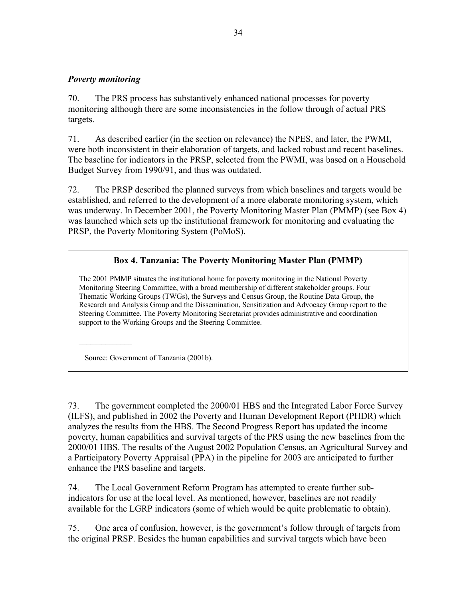#### *Poverty monitoring*

70. The PRS process has substantively enhanced national processes for poverty monitoring although there are some inconsistencies in the follow through of actual PRS targets.

71. As described earlier (in the section on relevance) the NPES, and later, the PWMI, were both inconsistent in their elaboration of targets, and lacked robust and recent baselines. The baseline for indicators in the PRSP, selected from the PWMI, was based on a Household Budget Survey from 1990/91, and thus was outdated.

72. The PRSP described the planned surveys from which baselines and targets would be established, and referred to the development of a more elaborate monitoring system, which was underway. In December 2001, the Poverty Monitoring Master Plan (PMMP) (see Box 4) was launched which sets up the institutional framework for monitoring and evaluating the PRSP, the Poverty Monitoring System (PoMoS).

## **Box 4. Tanzania: The Poverty Monitoring Master Plan (PMMP)**

The 2001 PMMP situates the institutional home for poverty monitoring in the National Poverty Monitoring Steering Committee, with a broad membership of different stakeholder groups. Four Thematic Working Groups (TWGs), the Surveys and Census Group, the Routine Data Group, the Research and Analysis Group and the Dissemination, Sensitization and Advocacy Group report to the Steering Committee. The Poverty Monitoring Secretariat provides administrative and coordination support to the Working Groups and the Steering Committee.

Source: Government of Tanzania (2001b).

 $\mathcal{L}=\mathcal{L}^{\mathcal{L}}$ 

73. The government completed the 2000/01 HBS and the Integrated Labor Force Survey (ILFS), and published in 2002 the Poverty and Human Development Report (PHDR) which analyzes the results from the HBS. The Second Progress Report has updated the income poverty, human capabilities and survival targets of the PRS using the new baselines from the 2000/01 HBS. The results of the August 2002 Population Census, an Agricultural Survey and a Participatory Poverty Appraisal (PPA) in the pipeline for 2003 are anticipated to further enhance the PRS baseline and targets.

74. The Local Government Reform Program has attempted to create further subindicators for use at the local level. As mentioned, however, baselines are not readily available for the LGRP indicators (some of which would be quite problematic to obtain).

75. One area of confusion, however, is the government's follow through of targets from the original PRSP. Besides the human capabilities and survival targets which have been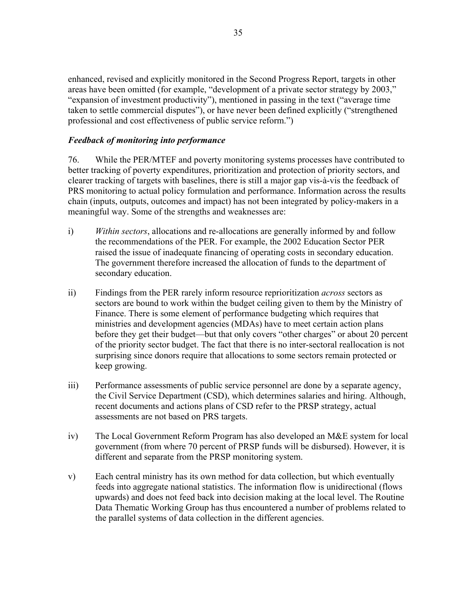enhanced, revised and explicitly monitored in the Second Progress Report, targets in other areas have been omitted (for example, "development of a private sector strategy by 2003," "expansion of investment productivity"), mentioned in passing in the text ("average time taken to settle commercial disputes"), or have never been defined explicitly ("strengthened professional and cost effectiveness of public service reform.")

## *Feedback of monitoring into performance*

76. While the PER/MTEF and poverty monitoring systems processes have contributed to better tracking of poverty expenditures, prioritization and protection of priority sectors, and clearer tracking of targets with baselines, there is still a major gap vis-à-vis the feedback of PRS monitoring to actual policy formulation and performance. Information across the results chain (inputs, outputs, outcomes and impact) has not been integrated by policy-makers in a meaningful way. Some of the strengths and weaknesses are:

- i) *Within sectors*, allocations and re-allocations are generally informed by and follow the recommendations of the PER. For example, the 2002 Education Sector PER raised the issue of inadequate financing of operating costs in secondary education. The government therefore increased the allocation of funds to the department of secondary education.
- ii) Findings from the PER rarely inform resource reprioritization *across* sectors as sectors are bound to work within the budget ceiling given to them by the Ministry of Finance. There is some element of performance budgeting which requires that ministries and development agencies (MDAs) have to meet certain action plans before they get their budget—but that only covers "other charges" or about 20 percent of the priority sector budget. The fact that there is no inter-sectoral reallocation is not surprising since donors require that allocations to some sectors remain protected or keep growing.
- iii) Performance assessments of public service personnel are done by a separate agency, the Civil Service Department (CSD), which determines salaries and hiring. Although, recent documents and actions plans of CSD refer to the PRSP strategy, actual assessments are not based on PRS targets.
- iv) The Local Government Reform Program has also developed an M&E system for local government (from where 70 percent of PRSP funds will be disbursed). However, it is different and separate from the PRSP monitoring system.
- v) Each central ministry has its own method for data collection, but which eventually feeds into aggregate national statistics. The information flow is unidirectional (flows upwards) and does not feed back into decision making at the local level. The Routine Data Thematic Working Group has thus encountered a number of problems related to the parallel systems of data collection in the different agencies.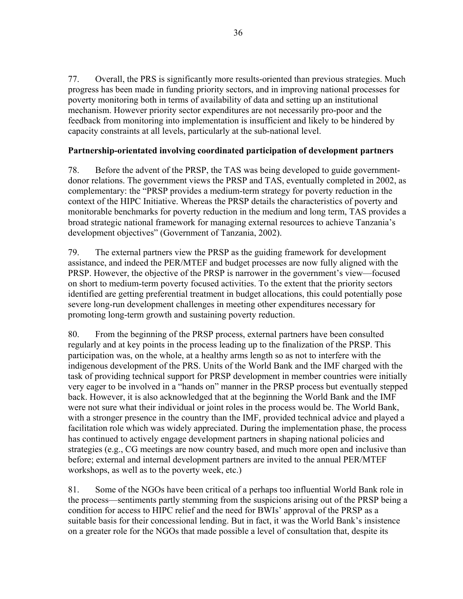77. Overall, the PRS is significantly more results-oriented than previous strategies. Much progress has been made in funding priority sectors, and in improving national processes for poverty monitoring both in terms of availability of data and setting up an institutional mechanism. However priority sector expenditures are not necessarily pro-poor and the feedback from monitoring into implementation is insufficient and likely to be hindered by capacity constraints at all levels, particularly at the sub-national level.

## **Partnership-orientated involving coordinated participation of development partners**

78. Before the advent of the PRSP, the TAS was being developed to guide governmentdonor relations. The government views the PRSP and TAS, eventually completed in 2002, as complementary: the "PRSP provides a medium-term strategy for poverty reduction in the context of the HIPC Initiative. Whereas the PRSP details the characteristics of poverty and monitorable benchmarks for poverty reduction in the medium and long term, TAS provides a broad strategic national framework for managing external resources to achieve Tanzania's development objectives" (Government of Tanzania, 2002).

79. The external partners view the PRSP as the guiding framework for development assistance, and indeed the PER/MTEF and budget processes are now fully aligned with the PRSP. However, the objective of the PRSP is narrower in the government's view—focused on short to medium-term poverty focused activities. To the extent that the priority sectors identified are getting preferential treatment in budget allocations, this could potentially pose severe long-run development challenges in meeting other expenditures necessary for promoting long-term growth and sustaining poverty reduction.

80. From the beginning of the PRSP process, external partners have been consulted regularly and at key points in the process leading up to the finalization of the PRSP. This participation was, on the whole, at a healthy arms length so as not to interfere with the indigenous development of the PRS. Units of the World Bank and the IMF charged with the task of providing technical support for PRSP development in member countries were initially very eager to be involved in a "hands on" manner in the PRSP process but eventually stepped back. However, it is also acknowledged that at the beginning the World Bank and the IMF were not sure what their individual or joint roles in the process would be. The World Bank, with a stronger presence in the country than the IMF, provided technical advice and played a facilitation role which was widely appreciated. During the implementation phase, the process has continued to actively engage development partners in shaping national policies and strategies (e.g., CG meetings are now country based, and much more open and inclusive than before; external and internal development partners are invited to the annual PER/MTEF workshops, as well as to the poverty week, etc.)

81. Some of the NGOs have been critical of a perhaps too influential World Bank role in the process—sentiments partly stemming from the suspicions arising out of the PRSP being a condition for access to HIPC relief and the need for BWIs' approval of the PRSP as a suitable basis for their concessional lending. But in fact, it was the World Bank's insistence on a greater role for the NGOs that made possible a level of consultation that, despite its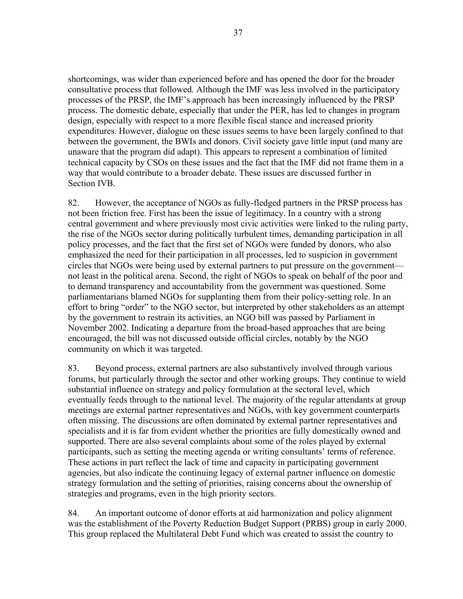shortcomings, was wider than experienced before and has opened the door for the broader consultative process that followed. Although the IMF was less involved in the participatory processes of the PRSP, the IMF's approach has been increasingly influenced by the PRSP process. The domestic debate, especially that under the PER, has led to changes in program design, especially with respect to a more flexible fiscal stance and increased priority expenditures. However, dialogue on these issues seems to have been largely confined to that between the government, the BWIs and donors. Civil society gave little input (and many are unaware that the program did adapt). This appears to represent a combination of limited technical capacity by CSOs on these issues and the fact that the IMF did not frame them in a way that would contribute to a broader debate. These issues are discussed further in Section IVB.

82. However, the acceptance of NGOs as fully-fledged partners in the PRSP process has not been friction free. First has been the issue of legitimacy. In a country with a strong central government and where previously most civic activities were linked to the ruling party, the rise of the NGOs sector during politically turbulent times, demanding participation in all policy processes, and the fact that the first set of NGOs were funded by donors, who also emphasized the need for their participation in all processes, led to suspicion in government circles that NGOs were being used by external partners to put pressure on the government not least in the political arena. Second, the right of NGOs to speak on behalf of the poor and to demand transparency and accountability from the government was questioned. Some parliamentarians blamed NGOs for supplanting them from their policy-setting role. In an effort to bring "order" to the NGO sector, but interpreted by other stakeholders as an attempt by the government to restrain its activities, an NGO bill was passed by Parliament in November 2002. Indicating a departure from the broad-based approaches that are being encouraged, the bill was not discussed outside official circles, notably by the NGO community on which it was targeted.

83. Beyond process, external partners are also substantively involved through various forums, but particularly through the sector and other working groups. They continue to wield substantial influence on strategy and policy formulation at the sectoral level, which eventually feeds through to the national level. The majority of the regular attendants at group meetings are external partner representatives and NGOs, with key government counterparts often missing. The discussions are often dominated by external partner representatives and specialists and it is far from evident whether the priorities are fully domestically owned and supported. There are also several complaints about some of the roles played by external participants, such as setting the meeting agenda or writing consultants' terms of reference. These actions in part reflect the lack of time and capacity in participating government agencies, but also indicate the continuing legacy of external partner influence on domestic strategy formulation and the setting of priorities, raising concerns about the ownership of strategies and programs, even in the high priority sectors.

84. An important outcome of donor efforts at aid harmonization and policy alignment was the establishment of the Poverty Reduction Budget Support (PRBS) group in early 2000. This group replaced the Multilateral Debt Fund which was created to assist the country to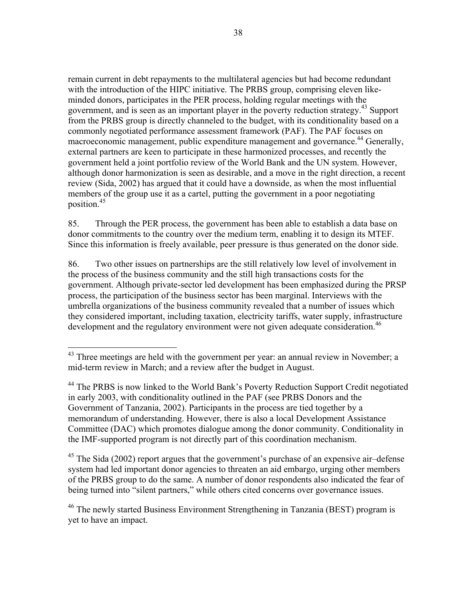remain current in debt repayments to the multilateral agencies but had become redundant with the introduction of the HIPC initiative. The PRBS group, comprising eleven likeminded donors, participates in the PER process, holding regular meetings with the government, and is seen as an important player in the poverty reduction strategy.<sup>43</sup> Support from the PRBS group is directly channeled to the budget, with its conditionality based on a commonly negotiated performance assessment framework (PAF). The PAF focuses on macroeconomic management, public expenditure management and governance.<sup>44</sup> Generally, external partners are keen to participate in these harmonized processes, and recently the government held a joint portfolio review of the World Bank and the UN system. However, although donor harmonization is seen as desirable, and a move in the right direction, a recent review (Sida, 2002) has argued that it could have a downside, as when the most influential members of the group use it as a cartel, putting the government in a poor negotiating position.45

85. Through the PER process, the government has been able to establish a data base on donor commitments to the country over the medium term, enabling it to design its MTEF. Since this information is freely available, peer pressure is thus generated on the donor side.

86. Two other issues on partnerships are the still relatively low level of involvement in the process of the business community and the still high transactions costs for the government. Although private-sector led development has been emphasized during the PRSP process, the participation of the business sector has been marginal. Interviews with the umbrella organizations of the business community revealed that a number of issues which they considered important, including taxation, electricity tariffs, water supply, infrastructure development and the regulatory environment were not given adequate consideration.<sup>46</sup>

1

 $45$  The Sida (2002) report argues that the government's purchase of an expensive air-defense system had led important donor agencies to threaten an aid embargo, urging other members of the PRBS group to do the same. A number of donor respondents also indicated the fear of being turned into "silent partners," while others cited concerns over governance issues.

<sup>46</sup> The newly started Business Environment Strengthening in Tanzania (BEST) program is yet to have an impact.

 $43$  Three meetings are held with the government per year: an annual review in November; a mid-term review in March; and a review after the budget in August.

<sup>&</sup>lt;sup>44</sup> The PRBS is now linked to the World Bank's Poverty Reduction Support Credit negotiated in early 2003, with conditionality outlined in the PAF (see PRBS Donors and the Government of Tanzania, 2002). Participants in the process are tied together by a memorandum of understanding. However, there is also a local Development Assistance Committee (DAC) which promotes dialogue among the donor community. Conditionality in the IMF-supported program is not directly part of this coordination mechanism.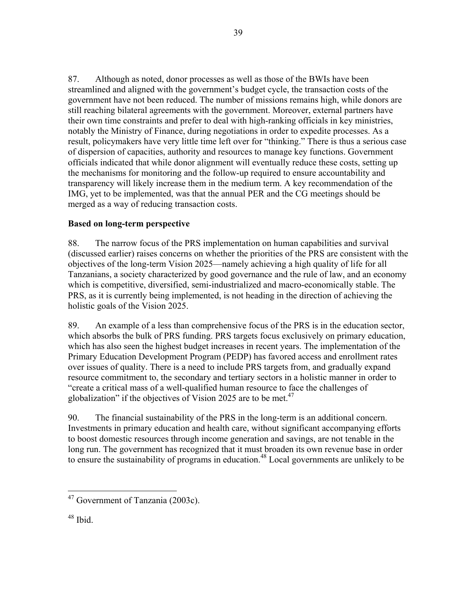87. Although as noted, donor processes as well as those of the BWIs have been streamlined and aligned with the government's budget cycle, the transaction costs of the government have not been reduced. The number of missions remains high, while donors are still reaching bilateral agreements with the government. Moreover, external partners have their own time constraints and prefer to deal with high-ranking officials in key ministries, notably the Ministry of Finance, during negotiations in order to expedite processes. As a result, policymakers have very little time left over for "thinking." There is thus a serious case of dispersion of capacities, authority and resources to manage key functions. Government officials indicated that while donor alignment will eventually reduce these costs, setting up the mechanisms for monitoring and the follow-up required to ensure accountability and transparency will likely increase them in the medium term. A key recommendation of the IMG, yet to be implemented, was that the annual PER and the CG meetings should be merged as a way of reducing transaction costs.

# **Based on long-term perspective**

88. The narrow focus of the PRS implementation on human capabilities and survival (discussed earlier) raises concerns on whether the priorities of the PRS are consistent with the objectives of the long-term Vision 2025—namely achieving a high quality of life for all Tanzanians, a society characterized by good governance and the rule of law, and an economy which is competitive, diversified, semi-industrialized and macro-economically stable. The PRS, as it is currently being implemented, is not heading in the direction of achieving the holistic goals of the Vision 2025.

89. An example of a less than comprehensive focus of the PRS is in the education sector, which absorbs the bulk of PRS funding. PRS targets focus exclusively on primary education, which has also seen the highest budget increases in recent years. The implementation of the Primary Education Development Program (PEDP) has favored access and enrollment rates over issues of quality. There is a need to include PRS targets from, and gradually expand resource commitment to, the secondary and tertiary sectors in a holistic manner in order to "create a critical mass of a well-qualified human resource to face the challenges of globalization" if the objectives of Vision 2025 are to be met.<sup>47</sup>

90. The financial sustainability of the PRS in the long-term is an additional concern. Investments in primary education and health care, without significant accompanying efforts to boost domestic resources through income generation and savings, are not tenable in the long run. The government has recognized that it must broaden its own revenue base in order to ensure the sustainability of programs in education.<sup>48</sup> Local governments are unlikely to be

 $\overline{a}$ <sup>47</sup> Government of Tanzania (2003c).

<sup>48</sup> Ibid.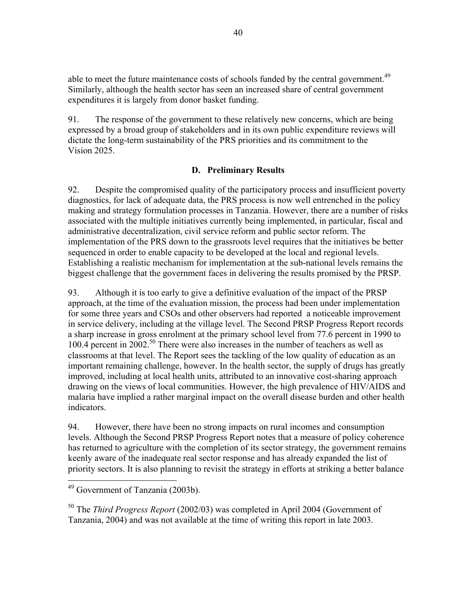able to meet the future maintenance costs of schools funded by the central government.<sup>49</sup> Similarly, although the health sector has seen an increased share of central government expenditures it is largely from donor basket funding.

91. The response of the government to these relatively new concerns, which are being expressed by a broad group of stakeholders and in its own public expenditure reviews will dictate the long-term sustainability of the PRS priorities and its commitment to the Vision 2025.

## **D. Preliminary Results**

92. Despite the compromised quality of the participatory process and insufficient poverty diagnostics, for lack of adequate data, the PRS process is now well entrenched in the policy making and strategy formulation processes in Tanzania. However, there are a number of risks associated with the multiple initiatives currently being implemented, in particular, fiscal and administrative decentralization, civil service reform and public sector reform. The implementation of the PRS down to the grassroots level requires that the initiatives be better sequenced in order to enable capacity to be developed at the local and regional levels. Establishing a realistic mechanism for implementation at the sub-national levels remains the biggest challenge that the government faces in delivering the results promised by the PRSP.

93. Although it is too early to give a definitive evaluation of the impact of the PRSP approach, at the time of the evaluation mission, the process had been under implementation for some three years and CSOs and other observers had reported a noticeable improvement in service delivery, including at the village level. The Second PRSP Progress Report records a sharp increase in gross enrolment at the primary school level from 77.6 percent in 1990 to 100.4 percent in 2002.50 There were also increases in the number of teachers as well as classrooms at that level. The Report sees the tackling of the low quality of education as an important remaining challenge, however. In the health sector, the supply of drugs has greatly improved, including at local health units, attributed to an innovative cost-sharing approach drawing on the views of local communities. However, the high prevalence of HIV/AIDS and malaria have implied a rather marginal impact on the overall disease burden and other health indicators.

94. However, there have been no strong impacts on rural incomes and consumption levels. Although the Second PRSP Progress Report notes that a measure of policy coherence has returned to agriculture with the completion of its sector strategy, the government remains keenly aware of the inadequate real sector response and has already expanded the list of priority sectors. It is also planning to revisit the strategy in efforts at striking a better balance

 $\overline{a}$ 

50 The *Third Progress Report* (2002/03) was completed in April 2004 (Government of Tanzania, 2004) and was not available at the time of writing this report in late 2003.

<sup>&</sup>lt;sup>49</sup> Government of Tanzania (2003b).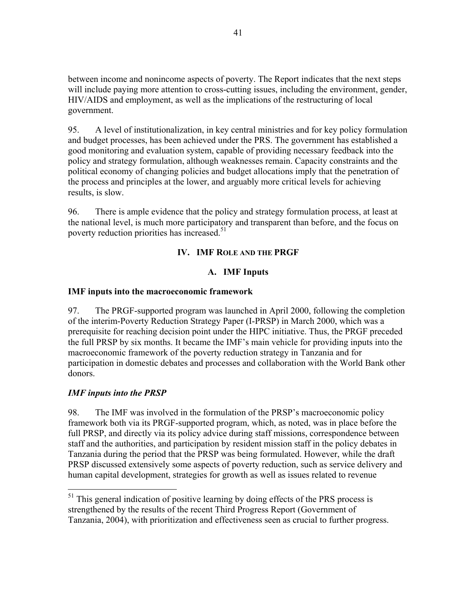between income and nonincome aspects of poverty. The Report indicates that the next steps will include paying more attention to cross-cutting issues, including the environment, gender, HIV/AIDS and employment, as well as the implications of the restructuring of local government.

95. A level of institutionalization, in key central ministries and for key policy formulation and budget processes, has been achieved under the PRS. The government has established a good monitoring and evaluation system, capable of providing necessary feedback into the policy and strategy formulation, although weaknesses remain. Capacity constraints and the political economy of changing policies and budget allocations imply that the penetration of the process and principles at the lower, and arguably more critical levels for achieving results, is slow.

96. There is ample evidence that the policy and strategy formulation process, at least at the national level, is much more participatory and transparent than before, and the focus on poverty reduction priorities has increased.<sup>51</sup>

# **IV. IMF ROLE AND THE PRGF**

# **A. IMF Inputs**

## **IMF inputs into the macroeconomic framework**

97. The PRGF-supported program was launched in April 2000, following the completion of the interim-Poverty Reduction Strategy Paper (I-PRSP) in March 2000, which was a prerequisite for reaching decision point under the HIPC initiative. Thus, the PRGF preceded the full PRSP by six months. It became the IMF's main vehicle for providing inputs into the macroeconomic framework of the poverty reduction strategy in Tanzania and for participation in domestic debates and processes and collaboration with the World Bank other donors.

## *IMF inputs into the PRSP*

 $\overline{a}$ 

98. The IMF was involved in the formulation of the PRSP's macroeconomic policy framework both via its PRGF-supported program, which, as noted, was in place before the full PRSP, and directly via its policy advice during staff missions, correspondence between staff and the authorities, and participation by resident mission staff in the policy debates in Tanzania during the period that the PRSP was being formulated. However, while the draft PRSP discussed extensively some aspects of poverty reduction, such as service delivery and human capital development, strategies for growth as well as issues related to revenue

 $<sup>51</sup>$  This general indication of positive learning by doing effects of the PRS process is</sup> strengthened by the results of the recent Third Progress Report (Government of Tanzania, 2004), with prioritization and effectiveness seen as crucial to further progress.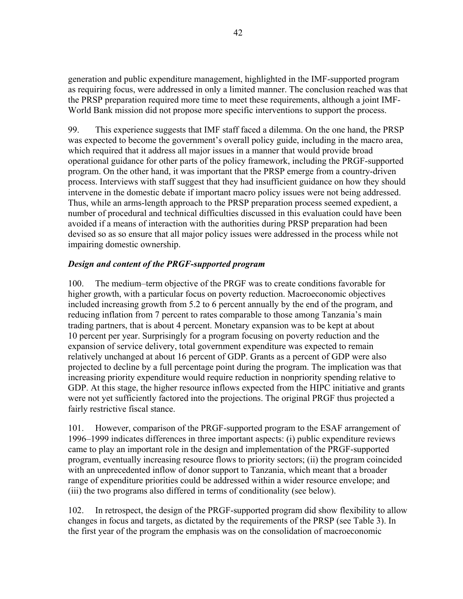generation and public expenditure management, highlighted in the IMF-supported program as requiring focus, were addressed in only a limited manner. The conclusion reached was that the PRSP preparation required more time to meet these requirements, although a joint IMF-World Bank mission did not propose more specific interventions to support the process.

99. This experience suggests that IMF staff faced a dilemma. On the one hand, the PRSP was expected to become the government's overall policy guide, including in the macro area, which required that it address all major issues in a manner that would provide broad operational guidance for other parts of the policy framework, including the PRGF-supported program. On the other hand, it was important that the PRSP emerge from a country-driven process. Interviews with staff suggest that they had insufficient guidance on how they should intervene in the domestic debate if important macro policy issues were not being addressed. Thus, while an arms-length approach to the PRSP preparation process seemed expedient, a number of procedural and technical difficulties discussed in this evaluation could have been avoided if a means of interaction with the authorities during PRSP preparation had been devised so as so ensure that all major policy issues were addressed in the process while not impairing domestic ownership.

# *Design and content of the PRGF-supported program*

100. The medium–term objective of the PRGF was to create conditions favorable for higher growth, with a particular focus on poverty reduction. Macroeconomic objectives included increasing growth from 5.2 to 6 percent annually by the end of the program, and reducing inflation from 7 percent to rates comparable to those among Tanzania's main trading partners, that is about 4 percent. Monetary expansion was to be kept at about 10 percent per year. Surprisingly for a program focusing on poverty reduction and the expansion of service delivery, total government expenditure was expected to remain relatively unchanged at about 16 percent of GDP. Grants as a percent of GDP were also projected to decline by a full percentage point during the program. The implication was that increasing priority expenditure would require reduction in nonpriority spending relative to GDP. At this stage, the higher resource inflows expected from the HIPC initiative and grants were not yet sufficiently factored into the projections. The original PRGF thus projected a fairly restrictive fiscal stance.

101. However, comparison of the PRGF-supported program to the ESAF arrangement of 1996–1999 indicates differences in three important aspects: (i) public expenditure reviews came to play an important role in the design and implementation of the PRGF-supported program, eventually increasing resource flows to priority sectors; (ii) the program coincided with an unprecedented inflow of donor support to Tanzania, which meant that a broader range of expenditure priorities could be addressed within a wider resource envelope; and (iii) the two programs also differed in terms of conditionality (see below).

102. In retrospect, the design of the PRGF-supported program did show flexibility to allow changes in focus and targets, as dictated by the requirements of the PRSP (see Table 3). In the first year of the program the emphasis was on the consolidation of macroeconomic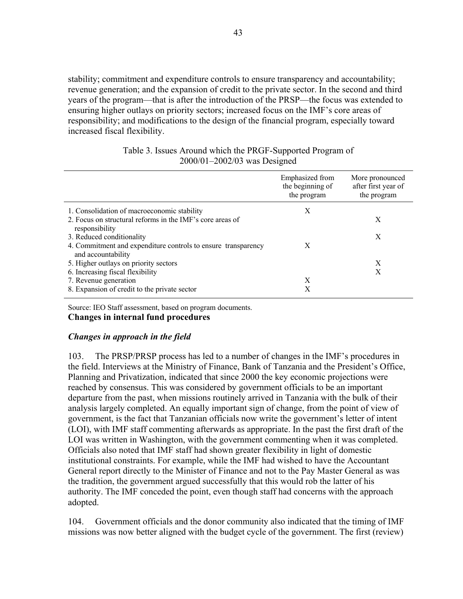stability; commitment and expenditure controls to ensure transparency and accountability; revenue generation; and the expansion of credit to the private sector. In the second and third years of the program—that is after the introduction of the PRSP—the focus was extended to ensuring higher outlays on priority sectors; increased focus on the IMF's core areas of responsibility; and modifications to the design of the financial program, especially toward increased fiscal flexibility.

|  | Table 3. Issues Around which the PRGF-Supported Program of |  |
|--|------------------------------------------------------------|--|
|  | $2000/01 - 2002/03$ was Designed                           |  |

|                                                                                     | Emphasized from<br>the beginning of<br>the program | More pronounced<br>after first year of<br>the program |
|-------------------------------------------------------------------------------------|----------------------------------------------------|-------------------------------------------------------|
| 1. Consolidation of macroeconomic stability                                         | X                                                  |                                                       |
| 2. Focus on structural reforms in the IMF's core areas of<br>responsibility         |                                                    | X                                                     |
| 3. Reduced conditionality                                                           |                                                    | X                                                     |
| 4. Commitment and expenditure controls to ensure transparency<br>and accountability | X                                                  |                                                       |
| 5. Higher outlays on priority sectors                                               |                                                    | X                                                     |
| 6. Increasing fiscal flexibility                                                    |                                                    | X                                                     |
| 7. Revenue generation                                                               | X                                                  |                                                       |
| 8. Expansion of credit to the private sector                                        | Х                                                  |                                                       |

Source: IEO Staff assessment, based on program documents.

#### **Changes in internal fund procedures**

#### *Changes in approach in the field*

103. The PRSP/PRSP process has led to a number of changes in the IMF's procedures in the field. Interviews at the Ministry of Finance, Bank of Tanzania and the President's Office, Planning and Privatization, indicated that since 2000 the key economic projections were reached by consensus. This was considered by government officials to be an important departure from the past, when missions routinely arrived in Tanzania with the bulk of their analysis largely completed. An equally important sign of change, from the point of view of government, is the fact that Tanzanian officials now write the government's letter of intent (LOI), with IMF staff commenting afterwards as appropriate. In the past the first draft of the LOI was written in Washington, with the government commenting when it was completed. Officials also noted that IMF staff had shown greater flexibility in light of domestic institutional constraints. For example, while the IMF had wished to have the Accountant General report directly to the Minister of Finance and not to the Pay Master General as was the tradition, the government argued successfully that this would rob the latter of his authority. The IMF conceded the point, even though staff had concerns with the approach adopted.

104. Government officials and the donor community also indicated that the timing of IMF missions was now better aligned with the budget cycle of the government. The first (review)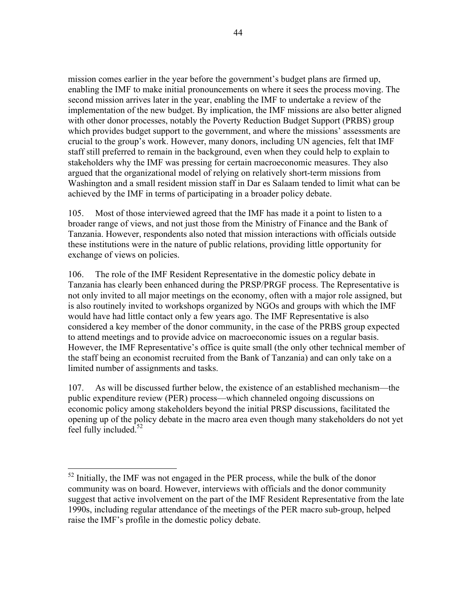mission comes earlier in the year before the government's budget plans are firmed up, enabling the IMF to make initial pronouncements on where it sees the process moving. The second mission arrives later in the year, enabling the IMF to undertake a review of the implementation of the new budget. By implication, the IMF missions are also better aligned with other donor processes, notably the Poverty Reduction Budget Support (PRBS) group which provides budget support to the government, and where the missions' assessments are crucial to the group's work. However, many donors, including UN agencies, felt that IMF staff still preferred to remain in the background, even when they could help to explain to stakeholders why the IMF was pressing for certain macroeconomic measures. They also argued that the organizational model of relying on relatively short-term missions from Washington and a small resident mission staff in Dar es Salaam tended to limit what can be achieved by the IMF in terms of participating in a broader policy debate.

105. Most of those interviewed agreed that the IMF has made it a point to listen to a broader range of views, and not just those from the Ministry of Finance and the Bank of Tanzania. However, respondents also noted that mission interactions with officials outside these institutions were in the nature of public relations, providing little opportunity for exchange of views on policies.

106. The role of the IMF Resident Representative in the domestic policy debate in Tanzania has clearly been enhanced during the PRSP/PRGF process. The Representative is not only invited to all major meetings on the economy, often with a major role assigned, but is also routinely invited to workshops organized by NGOs and groups with which the IMF would have had little contact only a few years ago. The IMF Representative is also considered a key member of the donor community, in the case of the PRBS group expected to attend meetings and to provide advice on macroeconomic issues on a regular basis. However, the IMF Representative's office is quite small (the only other technical member of the staff being an economist recruited from the Bank of Tanzania) and can only take on a limited number of assignments and tasks.

107. As will be discussed further below, the existence of an established mechanism—the public expenditure review (PER) process—which channeled ongoing discussions on economic policy among stakeholders beyond the initial PRSP discussions, facilitated the opening up of the policy debate in the macro area even though many stakeholders do not yet feel fully included. $52$ 

 $\overline{a}$ 

 $52$  Initially, the IMF was not engaged in the PER process, while the bulk of the donor community was on board. However, interviews with officials and the donor community suggest that active involvement on the part of the IMF Resident Representative from the late 1990s, including regular attendance of the meetings of the PER macro sub-group, helped raise the IMF's profile in the domestic policy debate.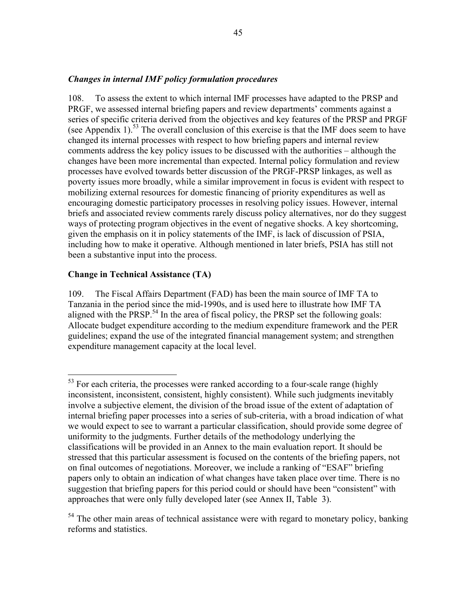### *Changes in internal IMF policy formulation procedures*

108. To assess the extent to which internal IMF processes have adapted to the PRSP and PRGF, we assessed internal briefing papers and review departments' comments against a series of specific criteria derived from the objectives and key features of the PRSP and PRGF (see Appendix 1).<sup>53</sup> The overall conclusion of this exercise is that the IMF does seem to have changed its internal processes with respect to how briefing papers and internal review comments address the key policy issues to be discussed with the authorities – although the changes have been more incremental than expected. Internal policy formulation and review processes have evolved towards better discussion of the PRGF-PRSP linkages, as well as poverty issues more broadly, while a similar improvement in focus is evident with respect to mobilizing external resources for domestic financing of priority expenditures as well as encouraging domestic participatory processes in resolving policy issues. However, internal briefs and associated review comments rarely discuss policy alternatives, nor do they suggest ways of protecting program objectives in the event of negative shocks. A key shortcoming, given the emphasis on it in policy statements of the IMF, is lack of discussion of PSIA, including how to make it operative. Although mentioned in later briefs, PSIA has still not been a substantive input into the process.

### **Change in Technical Assistance (TA)**

 $\overline{a}$ 

109. The Fiscal Affairs Department (FAD) has been the main source of IMF TA to Tanzania in the period since the mid-1990s, and is used here to illustrate how IMF TA aligned with the PRSP.<sup>54</sup> In the area of fiscal policy, the PRSP set the following goals: Allocate budget expenditure according to the medium expenditure framework and the PER guidelines; expand the use of the integrated financial management system; and strengthen expenditure management capacity at the local level.

<sup>&</sup>lt;sup>53</sup> For each criteria, the processes were ranked according to a four-scale range (highly inconsistent, inconsistent, consistent, highly consistent). While such judgments inevitably involve a subjective element, the division of the broad issue of the extent of adaptation of internal briefing paper processes into a series of sub-criteria, with a broad indication of what we would expect to see to warrant a particular classification, should provide some degree of uniformity to the judgments. Further details of the methodology underlying the classifications will be provided in an Annex to the main evaluation report. It should be stressed that this particular assessment is focused on the contents of the briefing papers, not on final outcomes of negotiations. Moreover, we include a ranking of "ESAF" briefing papers only to obtain an indication of what changes have taken place over time. There is no suggestion that briefing papers for this period could or should have been "consistent" with approaches that were only fully developed later (see Annex II, Table 3).

 $<sup>54</sup>$  The other main areas of technical assistance were with regard to monetary policy, banking</sup> reforms and statistics.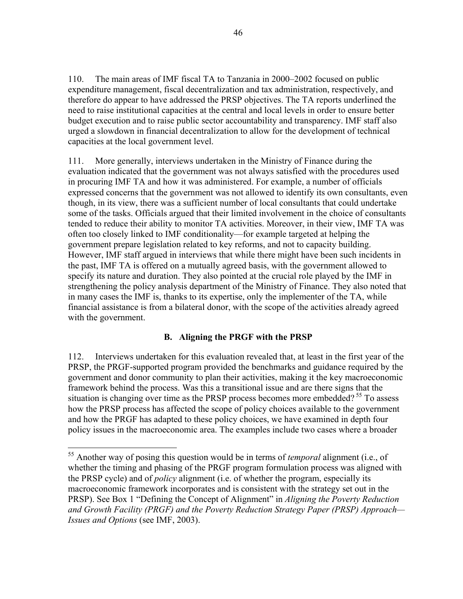110. The main areas of IMF fiscal TA to Tanzania in 2000–2002 focused on public expenditure management, fiscal decentralization and tax administration, respectively, and therefore do appear to have addressed the PRSP objectives. The TA reports underlined the need to raise institutional capacities at the central and local levels in order to ensure better budget execution and to raise public sector accountability and transparency. IMF staff also urged a slowdown in financial decentralization to allow for the development of technical capacities at the local government level.

111. More generally, interviews undertaken in the Ministry of Finance during the evaluation indicated that the government was not always satisfied with the procedures used in procuring IMF TA and how it was administered. For example, a number of officials expressed concerns that the government was not allowed to identify its own consultants, even though, in its view, there was a sufficient number of local consultants that could undertake some of the tasks. Officials argued that their limited involvement in the choice of consultants tended to reduce their ability to monitor TA activities. Moreover, in their view, IMF TA was often too closely linked to IMF conditionality—for example targeted at helping the government prepare legislation related to key reforms, and not to capacity building. However, IMF staff argued in interviews that while there might have been such incidents in the past, IMF TA is offered on a mutually agreed basis, with the government allowed to specify its nature and duration. They also pointed at the crucial role played by the IMF in strengthening the policy analysis department of the Ministry of Finance. They also noted that in many cases the IMF is, thanks to its expertise, only the implementer of the TA, while financial assistance is from a bilateral donor, with the scope of the activities already agreed with the government.

# **B. Aligning the PRGF with the PRSP**

112. Interviews undertaken for this evaluation revealed that, at least in the first year of the PRSP, the PRGF-supported program provided the benchmarks and guidance required by the government and donor community to plan their activities, making it the key macroeconomic framework behind the process. Was this a transitional issue and are there signs that the situation is changing over time as the PRSP process becomes more embedded?<sup>55</sup> To assess how the PRSP process has affected the scope of policy choices available to the government and how the PRGF has adapted to these policy choices, we have examined in depth four policy issues in the macroeconomic area. The examples include two cases where a broader

 $\overline{a}$ 

<sup>55</sup> Another way of posing this question would be in terms of *temporal* alignment (i.e., of whether the timing and phasing of the PRGF program formulation process was aligned with the PRSP cycle) and of *policy* alignment (i.e. of whether the program, especially its macroeconomic framework incorporates and is consistent with the strategy set out in the PRSP). See Box 1 "Defining the Concept of Alignment" in *Aligning the Poverty Reduction and Growth Facility (PRGF) and the Poverty Reduction Strategy Paper (PRSP) Approach— Issues and Options* (see IMF, 2003).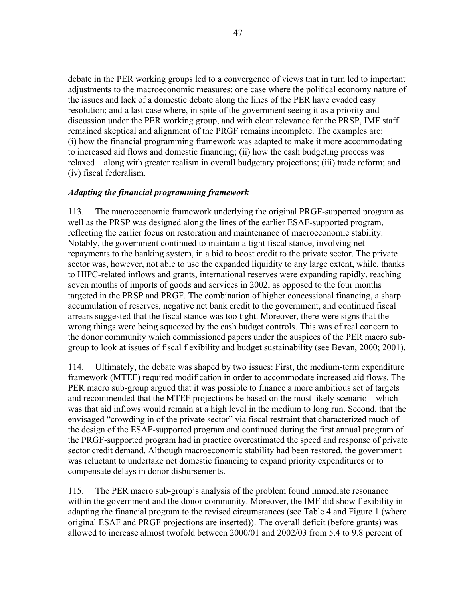debate in the PER working groups led to a convergence of views that in turn led to important adjustments to the macroeconomic measures; one case where the political economy nature of the issues and lack of a domestic debate along the lines of the PER have evaded easy resolution; and a last case where, in spite of the government seeing it as a priority and discussion under the PER working group, and with clear relevance for the PRSP, IMF staff remained skeptical and alignment of the PRGF remains incomplete. The examples are: (i) how the financial programming framework was adapted to make it more accommodating to increased aid flows and domestic financing; (ii) how the cash budgeting process was relaxed—along with greater realism in overall budgetary projections; (iii) trade reform; and (iv) fiscal federalism.

### *Adapting the financial programming framework*

113. The macroeconomic framework underlying the original PRGF-supported program as well as the PRSP was designed along the lines of the earlier ESAF-supported program, reflecting the earlier focus on restoration and maintenance of macroeconomic stability. Notably, the government continued to maintain a tight fiscal stance, involving net repayments to the banking system, in a bid to boost credit to the private sector. The private sector was, however, not able to use the expanded liquidity to any large extent, while, thanks to HIPC-related inflows and grants, international reserves were expanding rapidly, reaching seven months of imports of goods and services in 2002, as opposed to the four months targeted in the PRSP and PRGF. The combination of higher concessional financing, a sharp accumulation of reserves, negative net bank credit to the government, and continued fiscal arrears suggested that the fiscal stance was too tight. Moreover, there were signs that the wrong things were being squeezed by the cash budget controls. This was of real concern to the donor community which commissioned papers under the auspices of the PER macro subgroup to look at issues of fiscal flexibility and budget sustainability (see Bevan, 2000; 2001).

114. Ultimately, the debate was shaped by two issues: First, the medium-term expenditure framework (MTEF) required modification in order to accommodate increased aid flows. The PER macro sub-group argued that it was possible to finance a more ambitious set of targets and recommended that the MTEF projections be based on the most likely scenario—which was that aid inflows would remain at a high level in the medium to long run. Second, that the envisaged "crowding in of the private sector" via fiscal restraint that characterized much of the design of the ESAF-supported program and continued during the first annual program of the PRGF-supported program had in practice overestimated the speed and response of private sector credit demand. Although macroeconomic stability had been restored, the government was reluctant to undertake net domestic financing to expand priority expenditures or to compensate delays in donor disbursements.

115. The PER macro sub-group's analysis of the problem found immediate resonance within the government and the donor community. Moreover, the IMF did show flexibility in adapting the financial program to the revised circumstances (see Table 4 and Figure 1 (where original ESAF and PRGF projections are inserted)). The overall deficit (before grants) was allowed to increase almost twofold between 2000/01 and 2002/03 from 5.4 to 9.8 percent of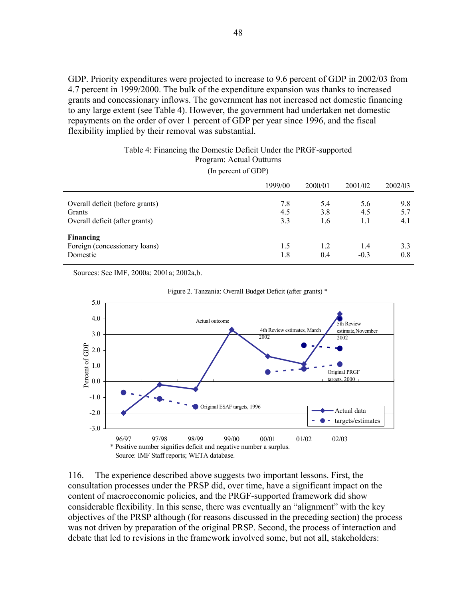GDP. Priority expenditures were projected to increase to 9.6 percent of GDP in 2002/03 from 4.7 percent in 1999/2000. The bulk of the expenditure expansion was thanks to increased grants and concessionary inflows. The government has not increased net domestic financing to any large extent (see Table 4). However, the government had undertaken net domestic repayments on the order of over 1 percent of GDP per year since 1996, and the fiscal flexibility implied by their removal was substantial.

#### Table 4: Financing the Domestic Deficit Under the PRGF-supported Program: Actual Outturns

(In percent of GDP)

|                                                                             | 1999/00           | 2000/01           | 2001/02           | 2002/03           |
|-----------------------------------------------------------------------------|-------------------|-------------------|-------------------|-------------------|
| Overall deficit (before grants)<br>Grants<br>Overall deficit (after grants) | 7.8<br>4.5<br>3.3 | 5.4<br>3.8<br>1.6 | 5.6<br>4.5<br>1.1 | 9.8<br>5.7<br>4.1 |
| <b>Financing</b><br>Foreign (concessionary loans)<br>Domestic               | 1.5<br>1.8        | 1.2<br>0.4        | 1.4<br>$-0.3$     | 3.3<br>0.8        |

Sources: See IMF, 2000a; 2001a; 2002a,b.





116. The experience described above suggests two important lessons. First, the consultation processes under the PRSP did, over time, have a significant impact on the content of macroeconomic policies, and the PRGF-supported framework did show considerable flexibility. In this sense, there was eventually an "alignment" with the key objectives of the PRSP although (for reasons discussed in the preceding section) the process was not driven by preparation of the original PRSP. Second, the process of interaction and debate that led to revisions in the framework involved some, but not all, stakeholders: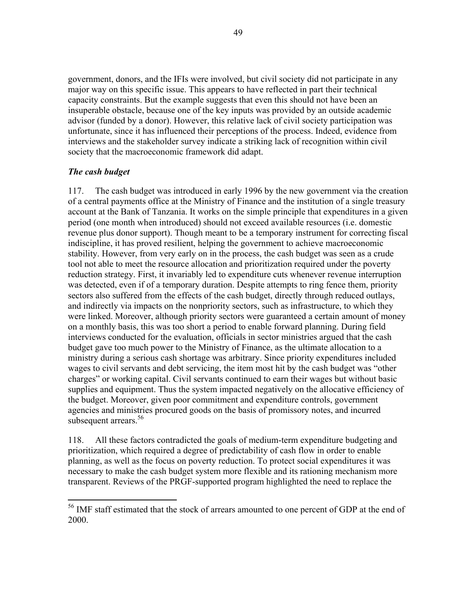government, donors, and the IFIs were involved, but civil society did not participate in any major way on this specific issue. This appears to have reflected in part their technical capacity constraints. But the example suggests that even this should not have been an insuperable obstacle, because one of the key inputs was provided by an outside academic advisor (funded by a donor). However, this relative lack of civil society participation was unfortunate, since it has influenced their perceptions of the process. Indeed, evidence from interviews and the stakeholder survey indicate a striking lack of recognition within civil society that the macroeconomic framework did adapt.

## *The cash budget*

 $\overline{a}$ 

117. The cash budget was introduced in early 1996 by the new government via the creation of a central payments office at the Ministry of Finance and the institution of a single treasury account at the Bank of Tanzania. It works on the simple principle that expenditures in a given period (one month when introduced) should not exceed available resources (i.e. domestic revenue plus donor support). Though meant to be a temporary instrument for correcting fiscal indiscipline, it has proved resilient, helping the government to achieve macroeconomic stability. However, from very early on in the process, the cash budget was seen as a crude tool not able to meet the resource allocation and prioritization required under the poverty reduction strategy. First, it invariably led to expenditure cuts whenever revenue interruption was detected, even if of a temporary duration. Despite attempts to ring fence them, priority sectors also suffered from the effects of the cash budget, directly through reduced outlays, and indirectly via impacts on the nonpriority sectors, such as infrastructure, to which they were linked. Moreover, although priority sectors were guaranteed a certain amount of money on a monthly basis, this was too short a period to enable forward planning. During field interviews conducted for the evaluation, officials in sector ministries argued that the cash budget gave too much power to the Ministry of Finance, as the ultimate allocation to a ministry during a serious cash shortage was arbitrary. Since priority expenditures included wages to civil servants and debt servicing, the item most hit by the cash budget was "other charges" or working capital. Civil servants continued to earn their wages but without basic supplies and equipment. Thus the system impacted negatively on the allocative efficiency of the budget. Moreover, given poor commitment and expenditure controls, government agencies and ministries procured goods on the basis of promissory notes, and incurred subsequent arrears.<sup>56</sup>

118. All these factors contradicted the goals of medium-term expenditure budgeting and prioritization, which required a degree of predictability of cash flow in order to enable planning, as well as the focus on poverty reduction. To protect social expenditures it was necessary to make the cash budget system more flexible and its rationing mechanism more transparent. Reviews of the PRGF-supported program highlighted the need to replace the

<sup>&</sup>lt;sup>56</sup> IMF staff estimated that the stock of arrears amounted to one percent of GDP at the end of 2000.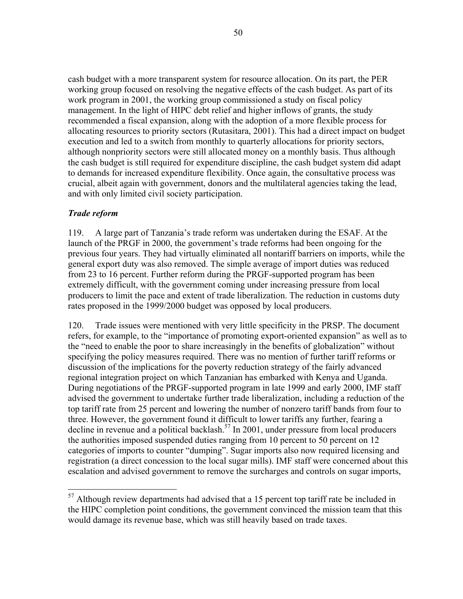cash budget with a more transparent system for resource allocation. On its part, the PER working group focused on resolving the negative effects of the cash budget. As part of its work program in 2001, the working group commissioned a study on fiscal policy management. In the light of HIPC debt relief and higher inflows of grants, the study recommended a fiscal expansion, along with the adoption of a more flexible process for allocating resources to priority sectors (Rutasitara, 2001). This had a direct impact on budget execution and led to a switch from monthly to quarterly allocations for priority sectors, although nonpriority sectors were still allocated money on a monthly basis. Thus although the cash budget is still required for expenditure discipline, the cash budget system did adapt to demands for increased expenditure flexibility. Once again, the consultative process was crucial, albeit again with government, donors and the multilateral agencies taking the lead, and with only limited civil society participation.

## *Trade reform*

1

119. A large part of Tanzania's trade reform was undertaken during the ESAF. At the launch of the PRGF in 2000, the government's trade reforms had been ongoing for the previous four years. They had virtually eliminated all nontariff barriers on imports, while the general export duty was also removed. The simple average of import duties was reduced from 23 to 16 percent. Further reform during the PRGF-supported program has been extremely difficult, with the government coming under increasing pressure from local producers to limit the pace and extent of trade liberalization. The reduction in customs duty rates proposed in the 1999/2000 budget was opposed by local producers.

120. Trade issues were mentioned with very little specificity in the PRSP. The document refers, for example, to the "importance of promoting export-oriented expansion" as well as to the "need to enable the poor to share increasingly in the benefits of globalization" without specifying the policy measures required. There was no mention of further tariff reforms or discussion of the implications for the poverty reduction strategy of the fairly advanced regional integration project on which Tanzanian has embarked with Kenya and Uganda. During negotiations of the PRGF-supported program in late 1999 and early 2000, IMF staff advised the government to undertake further trade liberalization, including a reduction of the top tariff rate from 25 percent and lowering the number of nonzero tariff bands from four to three. However, the government found it difficult to lower tariffs any further, fearing a decline in revenue and a political backlash.<sup>57</sup> In 2001, under pressure from local producers the authorities imposed suspended duties ranging from 10 percent to 50 percent on 12 categories of imports to counter "dumping". Sugar imports also now required licensing and registration (a direct concession to the local sugar mills). IMF staff were concerned about this escalation and advised government to remove the surcharges and controls on sugar imports,

 $57$  Although review departments had advised that a 15 percent top tariff rate be included in the HIPC completion point conditions, the government convinced the mission team that this would damage its revenue base, which was still heavily based on trade taxes.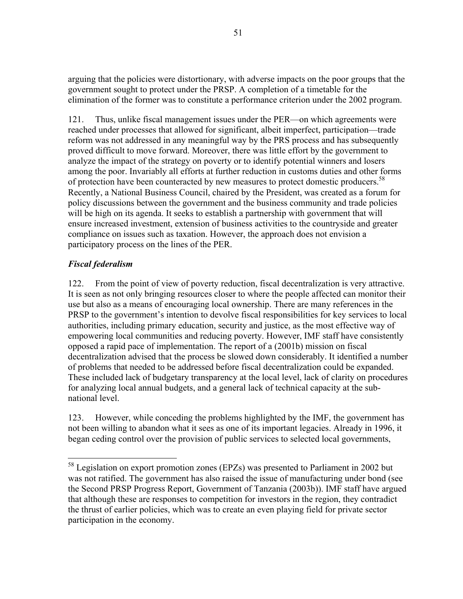arguing that the policies were distortionary, with adverse impacts on the poor groups that the government sought to protect under the PRSP. A completion of a timetable for the elimination of the former was to constitute a performance criterion under the 2002 program.

121. Thus, unlike fiscal management issues under the PER—on which agreements were reached under processes that allowed for significant, albeit imperfect, participation—trade reform was not addressed in any meaningful way by the PRS process and has subsequently proved difficult to move forward. Moreover, there was little effort by the government to analyze the impact of the strategy on poverty or to identify potential winners and losers among the poor. Invariably all efforts at further reduction in customs duties and other forms of protection have been counteracted by new measures to protect domestic producers.<sup>58</sup> Recently, a National Business Council, chaired by the President, was created as a forum for policy discussions between the government and the business community and trade policies will be high on its agenda. It seeks to establish a partnership with government that will ensure increased investment, extension of business activities to the countryside and greater compliance on issues such as taxation. However, the approach does not envision a participatory process on the lines of the PER.

# *Fiscal federalism*

1

122. From the point of view of poverty reduction, fiscal decentralization is very attractive. It is seen as not only bringing resources closer to where the people affected can monitor their use but also as a means of encouraging local ownership. There are many references in the PRSP to the government's intention to devolve fiscal responsibilities for key services to local authorities, including primary education, security and justice, as the most effective way of empowering local communities and reducing poverty. However, IMF staff have consistently opposed a rapid pace of implementation. The report of a (2001b) mission on fiscal decentralization advised that the process be slowed down considerably. It identified a number of problems that needed to be addressed before fiscal decentralization could be expanded. These included lack of budgetary transparency at the local level, lack of clarity on procedures for analyzing local annual budgets, and a general lack of technical capacity at the subnational level.

123. However, while conceding the problems highlighted by the IMF, the government has not been willing to abandon what it sees as one of its important legacies. Already in 1996, it began ceding control over the provision of public services to selected local governments,

 $58$  Legislation on export promotion zones (EPZs) was presented to Parliament in 2002 but was not ratified. The government has also raised the issue of manufacturing under bond (see the Second PRSP Progress Report, Government of Tanzania (2003b)). IMF staff have argued that although these are responses to competition for investors in the region, they contradict the thrust of earlier policies, which was to create an even playing field for private sector participation in the economy.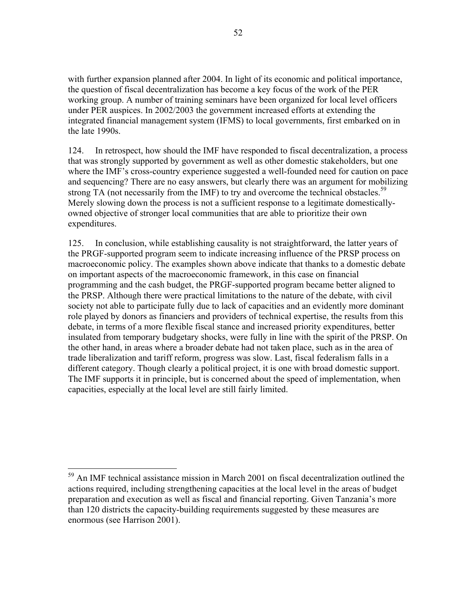with further expansion planned after 2004. In light of its economic and political importance, the question of fiscal decentralization has become a key focus of the work of the PER working group. A number of training seminars have been organized for local level officers under PER auspices. In 2002/2003 the government increased efforts at extending the integrated financial management system (IFMS) to local governments, first embarked on in the late 1990s.

124. In retrospect, how should the IMF have responded to fiscal decentralization, a process that was strongly supported by government as well as other domestic stakeholders, but one where the IMF's cross-country experience suggested a well-founded need for caution on pace and sequencing? There are no easy answers, but clearly there was an argument for mobilizing strong TA (not necessarily from the IMF) to try and overcome the technical obstacles.<sup>59</sup> Merely slowing down the process is not a sufficient response to a legitimate domesticallyowned objective of stronger local communities that are able to prioritize their own expenditures.

125. In conclusion, while establishing causality is not straightforward, the latter years of the PRGF-supported program seem to indicate increasing influence of the PRSP process on macroeconomic policy. The examples shown above indicate that thanks to a domestic debate on important aspects of the macroeconomic framework, in this case on financial programming and the cash budget, the PRGF-supported program became better aligned to the PRSP. Although there were practical limitations to the nature of the debate, with civil society not able to participate fully due to lack of capacities and an evidently more dominant role played by donors as financiers and providers of technical expertise, the results from this debate, in terms of a more flexible fiscal stance and increased priority expenditures, better insulated from temporary budgetary shocks, were fully in line with the spirit of the PRSP. On the other hand, in areas where a broader debate had not taken place, such as in the area of trade liberalization and tariff reform, progress was slow. Last, fiscal federalism falls in a different category. Though clearly a political project, it is one with broad domestic support. The IMF supports it in principle, but is concerned about the speed of implementation, when capacities, especially at the local level are still fairly limited.

<u>.</u>

 $59$  An IMF technical assistance mission in March 2001 on fiscal decentralization outlined the actions required, including strengthening capacities at the local level in the areas of budget preparation and execution as well as fiscal and financial reporting. Given Tanzania's more than 120 districts the capacity-building requirements suggested by these measures are enormous (see Harrison 2001).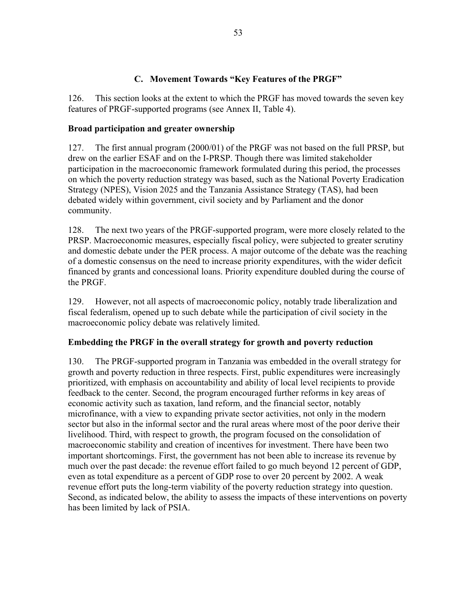## **C. Movement Towards "Key Features of the PRGF"**

126. This section looks at the extent to which the PRGF has moved towards the seven key features of PRGF-supported programs (see Annex II, Table 4).

## **Broad participation and greater ownership**

127. The first annual program (2000/01) of the PRGF was not based on the full PRSP, but drew on the earlier ESAF and on the I-PRSP. Though there was limited stakeholder participation in the macroeconomic framework formulated during this period, the processes on which the poverty reduction strategy was based, such as the National Poverty Eradication Strategy (NPES), Vision 2025 and the Tanzania Assistance Strategy (TAS), had been debated widely within government, civil society and by Parliament and the donor community.

128. The next two years of the PRGF-supported program, were more closely related to the PRSP. Macroeconomic measures, especially fiscal policy, were subjected to greater scrutiny and domestic debate under the PER process. A major outcome of the debate was the reaching of a domestic consensus on the need to increase priority expenditures, with the wider deficit financed by grants and concessional loans. Priority expenditure doubled during the course of the PRGF.

129. However, not all aspects of macroeconomic policy, notably trade liberalization and fiscal federalism, opened up to such debate while the participation of civil society in the macroeconomic policy debate was relatively limited.

## **Embedding the PRGF in the overall strategy for growth and poverty reduction**

130. The PRGF-supported program in Tanzania was embedded in the overall strategy for growth and poverty reduction in three respects. First, public expenditures were increasingly prioritized, with emphasis on accountability and ability of local level recipients to provide feedback to the center. Second, the program encouraged further reforms in key areas of economic activity such as taxation, land reform, and the financial sector, notably microfinance, with a view to expanding private sector activities, not only in the modern sector but also in the informal sector and the rural areas where most of the poor derive their livelihood. Third, with respect to growth, the program focused on the consolidation of macroeconomic stability and creation of incentives for investment. There have been two important shortcomings. First, the government has not been able to increase its revenue by much over the past decade: the revenue effort failed to go much beyond 12 percent of GDP, even as total expenditure as a percent of GDP rose to over 20 percent by 2002. A weak revenue effort puts the long-term viability of the poverty reduction strategy into question. Second, as indicated below, the ability to assess the impacts of these interventions on poverty has been limited by lack of PSIA.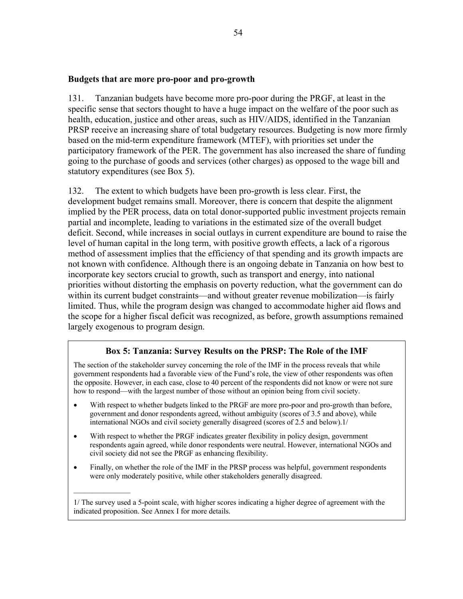#### **Budgets that are more pro-poor and pro-growth**

131. Tanzanian budgets have become more pro-poor during the PRGF, at least in the specific sense that sectors thought to have a huge impact on the welfare of the poor such as health, education, justice and other areas, such as HIV/AIDS, identified in the Tanzanian PRSP receive an increasing share of total budgetary resources. Budgeting is now more firmly based on the mid-term expenditure framework (MTEF), with priorities set under the participatory framework of the PER. The government has also increased the share of funding going to the purchase of goods and services (other charges) as opposed to the wage bill and statutory expenditures (see Box 5).

132. The extent to which budgets have been pro-growth is less clear. First, the development budget remains small. Moreover, there is concern that despite the alignment implied by the PER process, data on total donor-supported public investment projects remain partial and incomplete, leading to variations in the estimated size of the overall budget deficit. Second, while increases in social outlays in current expenditure are bound to raise the level of human capital in the long term, with positive growth effects, a lack of a rigorous method of assessment implies that the efficiency of that spending and its growth impacts are not known with confidence. Although there is an ongoing debate in Tanzania on how best to incorporate key sectors crucial to growth, such as transport and energy, into national priorities without distorting the emphasis on poverty reduction, what the government can do within its current budget constraints—and without greater revenue mobilization—is fairly limited. Thus, while the program design was changed to accommodate higher aid flows and the scope for a higher fiscal deficit was recognized, as before, growth assumptions remained largely exogenous to program design.

## **Box 5: Tanzania: Survey Results on the PRSP: The Role of the IMF**

The section of the stakeholder survey concerning the role of the IMF in the process reveals that while government respondents had a favorable view of the Fund's role, the view of other respondents was often the opposite. However, in each case, close to 40 percent of the respondents did not know or were not sure how to respond—with the largest number of those without an opinion being from civil society.

- With respect to whether budgets linked to the PRGF are more pro-poor and pro-growth than before, government and donor respondents agreed, without ambiguity (scores of 3.5 and above), while international NGOs and civil society generally disagreed (scores of 2.5 and below).1/
- With respect to whether the PRGF indicates greater flexibility in policy design, government respondents again agreed, while donor respondents were neutral. However, international NGOs and civil society did not see the PRGF as enhancing flexibility.
- Finally, on whether the role of the IMF in the PRSP process was helpful, government respondents were only moderately positive, while other stakeholders generally disagreed.

 $\mathcal{L}=\mathcal{L}^{\mathcal{L}}$ 

<sup>1/</sup> The survey used a 5-point scale, with higher scores indicating a higher degree of agreement with the indicated proposition. See Annex I for more details.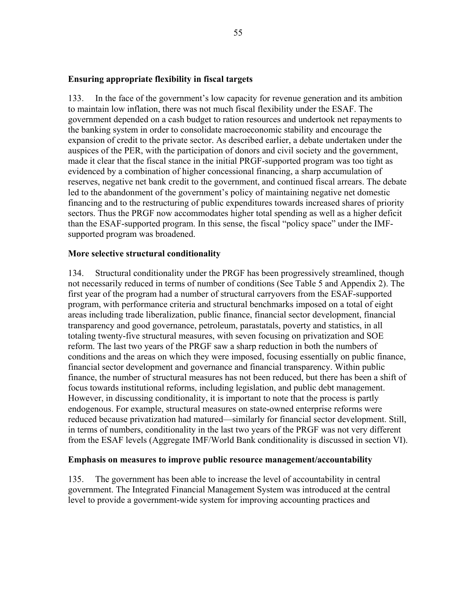#### **Ensuring appropriate flexibility in fiscal targets**

133. In the face of the government's low capacity for revenue generation and its ambition to maintain low inflation, there was not much fiscal flexibility under the ESAF. The government depended on a cash budget to ration resources and undertook net repayments to the banking system in order to consolidate macroeconomic stability and encourage the expansion of credit to the private sector. As described earlier, a debate undertaken under the auspices of the PER, with the participation of donors and civil society and the government, made it clear that the fiscal stance in the initial PRGF-supported program was too tight as evidenced by a combination of higher concessional financing, a sharp accumulation of reserves, negative net bank credit to the government, and continued fiscal arrears. The debate led to the abandonment of the government's policy of maintaining negative net domestic financing and to the restructuring of public expenditures towards increased shares of priority sectors. Thus the PRGF now accommodates higher total spending as well as a higher deficit than the ESAF-supported program. In this sense, the fiscal "policy space" under the IMFsupported program was broadened.

#### **More selective structural conditionality**

134. Structural conditionality under the PRGF has been progressively streamlined, though not necessarily reduced in terms of number of conditions (See Table 5 and Appendix 2). The first year of the program had a number of structural carryovers from the ESAF-supported program, with performance criteria and structural benchmarks imposed on a total of eight areas including trade liberalization, public finance, financial sector development, financial transparency and good governance, petroleum, parastatals, poverty and statistics, in all totaling twenty-five structural measures, with seven focusing on privatization and SOE reform. The last two years of the PRGF saw a sharp reduction in both the numbers of conditions and the areas on which they were imposed, focusing essentially on public finance, financial sector development and governance and financial transparency. Within public finance, the number of structural measures has not been reduced, but there has been a shift of focus towards institutional reforms, including legislation, and public debt management. However, in discussing conditionality, it is important to note that the process is partly endogenous. For example, structural measures on state-owned enterprise reforms were reduced because privatization had matured—similarly for financial sector development. Still, in terms of numbers, conditionality in the last two years of the PRGF was not very different from the ESAF levels (Aggregate IMF/World Bank conditionality is discussed in section VI).

#### **Emphasis on measures to improve public resource management/accountability**

135. The government has been able to increase the level of accountability in central government. The Integrated Financial Management System was introduced at the central level to provide a government-wide system for improving accounting practices and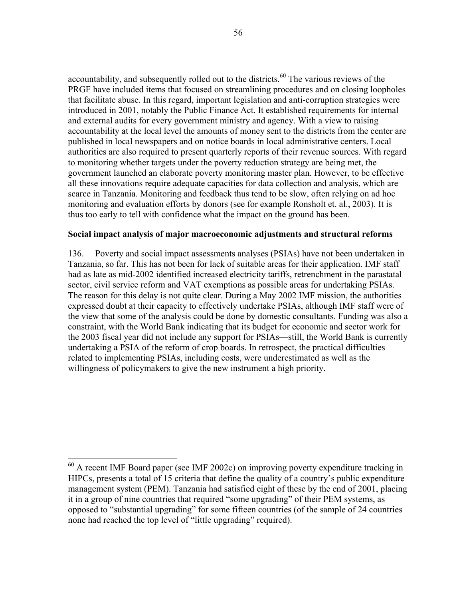accountability, and subsequently rolled out to the districts.<sup>60</sup> The various reviews of the PRGF have included items that focused on streamlining procedures and on closing loopholes that facilitate abuse. In this regard, important legislation and anti-corruption strategies were introduced in 2001, notably the Public Finance Act. It established requirements for internal and external audits for every government ministry and agency. With a view to raising accountability at the local level the amounts of money sent to the districts from the center are published in local newspapers and on notice boards in local administrative centers. Local authorities are also required to present quarterly reports of their revenue sources. With regard to monitoring whether targets under the poverty reduction strategy are being met, the government launched an elaborate poverty monitoring master plan. However, to be effective all these innovations require adequate capacities for data collection and analysis, which are scarce in Tanzania. Monitoring and feedback thus tend to be slow, often relying on ad hoc monitoring and evaluation efforts by donors (see for example Ronsholt et. al., 2003). It is thus too early to tell with confidence what the impact on the ground has been.

#### **Social impact analysis of major macroeconomic adjustments and structural reforms**

136. Poverty and social impact assessments analyses (PSIAs) have not been undertaken in Tanzania, so far. This has not been for lack of suitable areas for their application. IMF staff had as late as mid-2002 identified increased electricity tariffs, retrenchment in the parastatal sector, civil service reform and VAT exemptions as possible areas for undertaking PSIAs. The reason for this delay is not quite clear. During a May 2002 IMF mission, the authorities expressed doubt at their capacity to effectively undertake PSIAs, although IMF staff were of the view that some of the analysis could be done by domestic consultants. Funding was also a constraint, with the World Bank indicating that its budget for economic and sector work for the 2003 fiscal year did not include any support for PSIAs—still, the World Bank is currently undertaking a PSIA of the reform of crop boards. In retrospect, the practical difficulties related to implementing PSIAs, including costs, were underestimated as well as the willingness of policymakers to give the new instrument a high priority.

 $\overline{a}$ 

 $60$  A recent IMF Board paper (see IMF 2002c) on improving poverty expenditure tracking in HIPCs, presents a total of 15 criteria that define the quality of a country's public expenditure management system (PEM). Tanzania had satisfied eight of these by the end of 2001, placing it in a group of nine countries that required "some upgrading" of their PEM systems, as opposed to "substantial upgrading" for some fifteen countries (of the sample of 24 countries none had reached the top level of "little upgrading" required).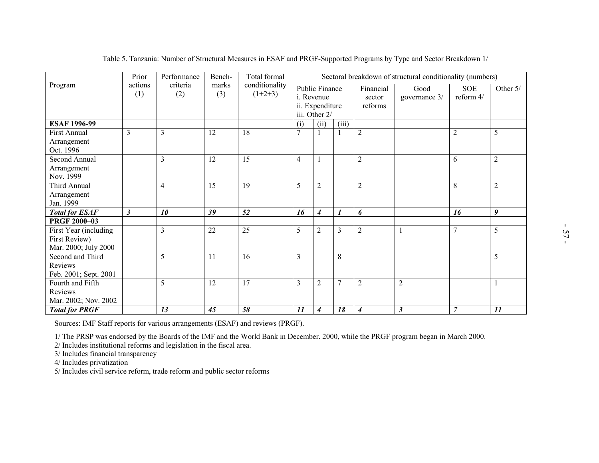|                                                                |                |                 |                 | Table 5. Tanzania: Number of Structural Measures in ESAF and PRGF-Supported Programs by Type and Sector Breakdown 1/ |                |                                                                         |                  |                                |                       |                         |                  |
|----------------------------------------------------------------|----------------|-----------------|-----------------|----------------------------------------------------------------------------------------------------------------------|----------------|-------------------------------------------------------------------------|------------------|--------------------------------|-----------------------|-------------------------|------------------|
|                                                                | Prior          | Performance     | Bench-          | Sectoral breakdown of structural conditionality (numbers)                                                            |                |                                                                         |                  |                                |                       |                         |                  |
| Program                                                        | actions<br>(1) | criteria<br>(2) | marks<br>(3)    | Total formal<br>conditionality<br>$(1+2+3)$                                                                          |                | <b>Public Finance</b><br>i. Revenue<br>ii. Expenditure<br>iii. Other 2/ |                  | Financial<br>sector<br>reforms | Good<br>governance 3/ | <b>SOE</b><br>reform 4/ | Other 5/         |
| <b>ESAF 1996-99</b>                                            |                |                 |                 |                                                                                                                      | (i)            | (ii)                                                                    | (iii)            |                                |                       |                         |                  |
| <b>First Annual</b><br>Arrangement<br>Oct. 1996                | $\overline{3}$ | $\overline{3}$  | $\overline{12}$ | 18                                                                                                                   | $\overline{7}$ |                                                                         |                  | $\overline{2}$                 |                       | $\sqrt{2}$              | 5                |
| <b>Second Annual</b><br>Arrangement<br>Nov. 1999               |                | $\overline{3}$  | 12              | $\overline{15}$                                                                                                      | $\overline{4}$ |                                                                         |                  | $\overline{2}$                 |                       | 6                       | $\overline{2}$   |
| Third Annual<br>Arrangement<br>Jan. 1999                       |                | $\overline{4}$  | 15              | 19                                                                                                                   | 5              | $\overline{c}$                                                          |                  | $\sqrt{2}$                     |                       | 8                       | $\sqrt{2}$       |
| <b>Total for ESAF</b>                                          | $\mathfrak{z}$ | 10              | 39              | 52                                                                                                                   | 16             | $\boldsymbol{4}$                                                        | $\boldsymbol{l}$ | 6                              |                       | 16                      | $\boldsymbol{9}$ |
| <b>PRGF 2000-03</b>                                            |                |                 |                 |                                                                                                                      |                |                                                                         |                  |                                |                       |                         |                  |
| First Year (including<br>First Review)<br>Mar. 2000; July 2000 |                | $\overline{3}$  | 22              | $\overline{25}$                                                                                                      | 5              | $\overline{2}$                                                          | 3                | $\overline{2}$                 | $\overline{1}$        | $\tau$                  | 5                |
| Second and Third<br>Reviews<br>Feb. 2001; Sept. 2001           |                | 5               | 11              | 16                                                                                                                   | $\overline{3}$ |                                                                         | $\,8\,$          |                                |                       |                         | 5                |
| Fourth and Fifth<br>Reviews<br>Mar. 2002; Nov. 2002            |                | 5               | $\overline{12}$ | $\overline{17}$                                                                                                      | $\overline{3}$ | $\overline{2}$                                                          | $\overline{7}$   | $\overline{2}$                 | $\overline{2}$        |                         |                  |
| <b>Total for PRGF</b>                                          |                | 13              | 45              | 58                                                                                                                   | 11             | $\boldsymbol{4}$                                                        | 18               | $\boldsymbol{4}$               | $\boldsymbol{\beta}$  | $\overline{7}$          | 11               |

Sources: IMF Staff reports for various arrangements (ESAF) and reviews (PRGF).<br>
1/ The PRSP was endorsed by the Boards of the IMF and the World Bank in December. 2000, while the PRGF program began in March 2000.<br>
2/ Includ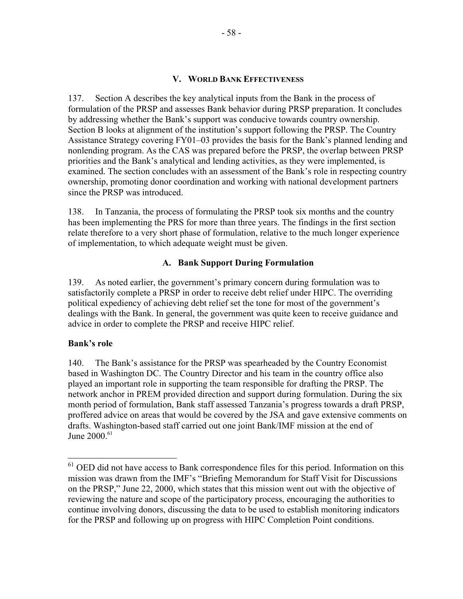#### **V. WORLD BANK EFFECTIVENESS**

137. Section A describes the key analytical inputs from the Bank in the process of formulation of the PRSP and assesses Bank behavior during PRSP preparation. It concludes by addressing whether the Bank's support was conducive towards country ownership. Section B looks at alignment of the institution's support following the PRSP. The Country Assistance Strategy covering FY01–03 provides the basis for the Bank's planned lending and nonlending program. As the CAS was prepared before the PRSP, the overlap between PRSP priorities and the Bank's analytical and lending activities, as they were implemented, is examined. The section concludes with an assessment of the Bank's role in respecting country ownership, promoting donor coordination and working with national development partners since the PRSP was introduced.

138. In Tanzania, the process of formulating the PRSP took six months and the country has been implementing the PRS for more than three years. The findings in the first section relate therefore to a very short phase of formulation, relative to the much longer experience of implementation, to which adequate weight must be given.

### **A. Bank Support During Formulation**

139. As noted earlier, the government's primary concern during formulation was to satisfactorily complete a PRSP in order to receive debt relief under HIPC. The overriding political expediency of achieving debt relief set the tone for most of the government's dealings with the Bank. In general, the government was quite keen to receive guidance and advice in order to complete the PRSP and receive HIPC relief.

#### **Bank's role**

 $\overline{a}$ 

140. The Bank's assistance for the PRSP was spearheaded by the Country Economist based in Washington DC. The Country Director and his team in the country office also played an important role in supporting the team responsible for drafting the PRSP. The network anchor in PREM provided direction and support during formulation. During the six month period of formulation, Bank staff assessed Tanzania's progress towards a draft PRSP, proffered advice on areas that would be covered by the JSA and gave extensive comments on drafts. Washington-based staff carried out one joint Bank/IMF mission at the end of June 2000.<sup>61</sup>

 $<sup>61</sup>$  OED did not have access to Bank correspondence files for this period. Information on this</sup> mission was drawn from the IMF's "Briefing Memorandum for Staff Visit for Discussions on the PRSP," June 22, 2000, which states that this mission went out with the objective of reviewing the nature and scope of the participatory process, encouraging the authorities to continue involving donors, discussing the data to be used to establish monitoring indicators for the PRSP and following up on progress with HIPC Completion Point conditions.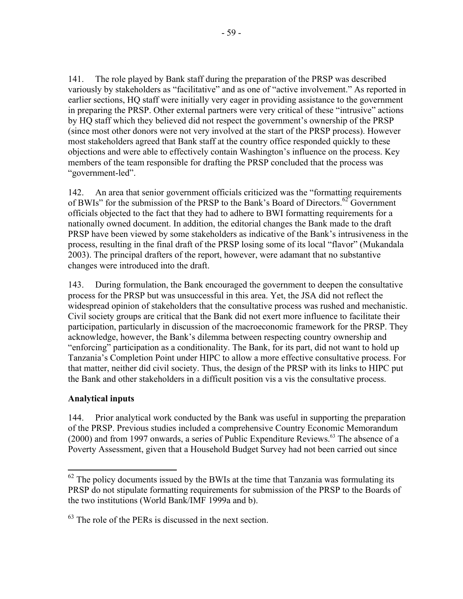141. The role played by Bank staff during the preparation of the PRSP was described variously by stakeholders as "facilitative" and as one of "active involvement." As reported in earlier sections, HQ staff were initially very eager in providing assistance to the government in preparing the PRSP. Other external partners were very critical of these "intrusive" actions by HQ staff which they believed did not respect the government's ownership of the PRSP (since most other donors were not very involved at the start of the PRSP process). However most stakeholders agreed that Bank staff at the country office responded quickly to these objections and were able to effectively contain Washington's influence on the process. Key members of the team responsible for drafting the PRSP concluded that the process was "government-led".

142. An area that senior government officials criticized was the "formatting requirements of BWIs" for the submission of the PRSP to the Bank's Board of Directors.<sup>62</sup> Government officials objected to the fact that they had to adhere to BWI formatting requirements for a nationally owned document. In addition, the editorial changes the Bank made to the draft PRSP have been viewed by some stakeholders as indicative of the Bank's intrusiveness in the process, resulting in the final draft of the PRSP losing some of its local "flavor" (Mukandala 2003). The principal drafters of the report, however, were adamant that no substantive changes were introduced into the draft.

143. During formulation, the Bank encouraged the government to deepen the consultative process for the PRSP but was unsuccessful in this area. Yet, the JSA did not reflect the widespread opinion of stakeholders that the consultative process was rushed and mechanistic. Civil society groups are critical that the Bank did not exert more influence to facilitate their participation, particularly in discussion of the macroeconomic framework for the PRSP. They acknowledge, however, the Bank's dilemma between respecting country ownership and "enforcing" participation as a conditionality. The Bank, for its part, did not want to hold up Tanzania's Completion Point under HIPC to allow a more effective consultative process. For that matter, neither did civil society. Thus, the design of the PRSP with its links to HIPC put the Bank and other stakeholders in a difficult position vis a vis the consultative process.

## **Analytical inputs**

 $\overline{a}$ 

144. Prior analytical work conducted by the Bank was useful in supporting the preparation of the PRSP. Previous studies included a comprehensive Country Economic Memorandum  $(2000)$  and from 1997 onwards, a series of Public Expenditure Reviews.<sup>63</sup> The absence of a Poverty Assessment, given that a Household Budget Survey had not been carried out since

 $62$  The policy documents issued by the BWIs at the time that Tanzania was formulating its PRSP do not stipulate formatting requirements for submission of the PRSP to the Boards of the two institutions (World Bank/IMF 1999a and b).

 $63$  The role of the PERs is discussed in the next section.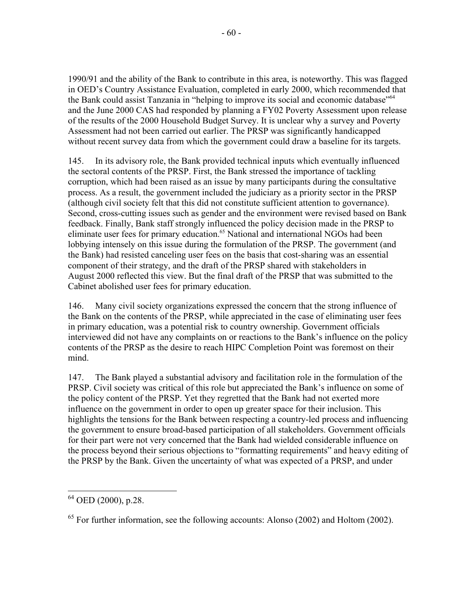1990/91 and the ability of the Bank to contribute in this area, is noteworthy. This was flagged in OED's Country Assistance Evaluation, completed in early 2000, which recommended that the Bank could assist Tanzania in "helping to improve its social and economic database"64 and the June 2000 CAS had responded by planning a FY02 Poverty Assessment upon release of the results of the 2000 Household Budget Survey. It is unclear why a survey and Poverty Assessment had not been carried out earlier. The PRSP was significantly handicapped without recent survey data from which the government could draw a baseline for its targets.

145. In its advisory role, the Bank provided technical inputs which eventually influenced the sectoral contents of the PRSP. First, the Bank stressed the importance of tackling corruption, which had been raised as an issue by many participants during the consultative process. As a result, the government included the judiciary as a priority sector in the PRSP (although civil society felt that this did not constitute sufficient attention to governance). Second, cross-cutting issues such as gender and the environment were revised based on Bank feedback. Finally, Bank staff strongly influenced the policy decision made in the PRSP to eliminate user fees for primary education.<sup>65</sup> National and international NGOs had been lobbying intensely on this issue during the formulation of the PRSP. The government (and the Bank) had resisted canceling user fees on the basis that cost-sharing was an essential component of their strategy, and the draft of the PRSP shared with stakeholders in August 2000 reflected this view. But the final draft of the PRSP that was submitted to the Cabinet abolished user fees for primary education.

146. Many civil society organizations expressed the concern that the strong influence of the Bank on the contents of the PRSP, while appreciated in the case of eliminating user fees in primary education, was a potential risk to country ownership. Government officials interviewed did not have any complaints on or reactions to the Bank's influence on the policy contents of the PRSP as the desire to reach HIPC Completion Point was foremost on their mind.

147. The Bank played a substantial advisory and facilitation role in the formulation of the PRSP. Civil society was critical of this role but appreciated the Bank's influence on some of the policy content of the PRSP. Yet they regretted that the Bank had not exerted more influence on the government in order to open up greater space for their inclusion. This highlights the tensions for the Bank between respecting a country-led process and influencing the government to ensure broad-based participation of all stakeholders. Government officials for their part were not very concerned that the Bank had wielded considerable influence on the process beyond their serious objections to "formatting requirements" and heavy editing of the PRSP by the Bank. Given the uncertainty of what was expected of a PRSP, and under

 $\overline{a}$ 

 $64$  OED (2000), p.28.

 $65$  For further information, see the following accounts: Alonso (2002) and Holtom (2002).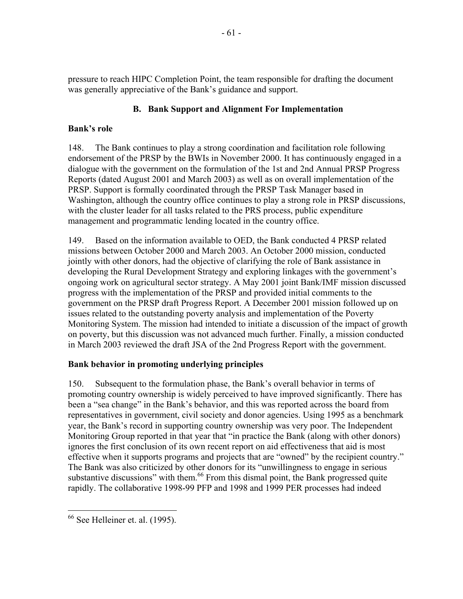pressure to reach HIPC Completion Point, the team responsible for drafting the document was generally appreciative of the Bank's guidance and support.

# **B. Bank Support and Alignment For Implementation**

# **Bank's role**

148. The Bank continues to play a strong coordination and facilitation role following endorsement of the PRSP by the BWIs in November 2000. It has continuously engaged in a dialogue with the government on the formulation of the 1st and 2nd Annual PRSP Progress Reports (dated August 2001 and March 2003) as well as on overall implementation of the PRSP. Support is formally coordinated through the PRSP Task Manager based in Washington, although the country office continues to play a strong role in PRSP discussions, with the cluster leader for all tasks related to the PRS process, public expenditure management and programmatic lending located in the country office.

149. Based on the information available to OED, the Bank conducted 4 PRSP related missions between October 2000 and March 2003. An October 2000 mission, conducted jointly with other donors, had the objective of clarifying the role of Bank assistance in developing the Rural Development Strategy and exploring linkages with the government's ongoing work on agricultural sector strategy. A May 2001 joint Bank/IMF mission discussed progress with the implementation of the PRSP and provided initial comments to the government on the PRSP draft Progress Report. A December 2001 mission followed up on issues related to the outstanding poverty analysis and implementation of the Poverty Monitoring System. The mission had intended to initiate a discussion of the impact of growth on poverty, but this discussion was not advanced much further. Finally, a mission conducted in March 2003 reviewed the draft JSA of the 2nd Progress Report with the government.

# **Bank behavior in promoting underlying principles**

150. Subsequent to the formulation phase, the Bank's overall behavior in terms of promoting country ownership is widely perceived to have improved significantly. There has been a "sea change" in the Bank's behavior, and this was reported across the board from representatives in government, civil society and donor agencies. Using 1995 as a benchmark year, the Bank's record in supporting country ownership was very poor. The Independent Monitoring Group reported in that year that "in practice the Bank (along with other donors) ignores the first conclusion of its own recent report on aid effectiveness that aid is most effective when it supports programs and projects that are "owned" by the recipient country." The Bank was also criticized by other donors for its "unwillingness to engage in serious substantive discussions" with them.<sup>66</sup> From this dismal point, the Bank progressed quite rapidly. The collaborative 1998-99 PFP and 1998 and 1999 PER processes had indeed

 $\overline{a}$  $66$  See Helleiner et. al. (1995).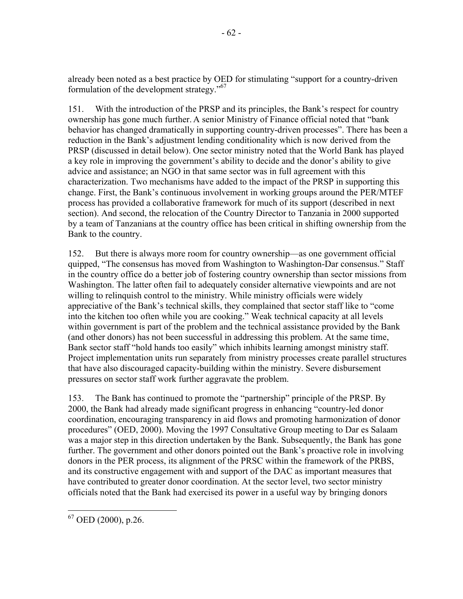already been noted as a best practice by OED for stimulating "support for a country-driven formulation of the development strategy."67

151. With the introduction of the PRSP and its principles, the Bank's respect for country ownership has gone much further. A senior Ministry of Finance official noted that "bank behavior has changed dramatically in supporting country-driven processes". There has been a reduction in the Bank's adjustment lending conditionality which is now derived from the PRSP (discussed in detail below). One sector ministry noted that the World Bank has played a key role in improving the government's ability to decide and the donor's ability to give advice and assistance; an NGO in that same sector was in full agreement with this characterization. Two mechanisms have added to the impact of the PRSP in supporting this change. First, the Bank's continuous involvement in working groups around the PER/MTEF process has provided a collaborative framework for much of its support (described in next section). And second, the relocation of the Country Director to Tanzania in 2000 supported by a team of Tanzanians at the country office has been critical in shifting ownership from the Bank to the country.

152. But there is always more room for country ownership—as one government official quipped, "The consensus has moved from Washington to Washington-Dar consensus." Staff in the country office do a better job of fostering country ownership than sector missions from Washington. The latter often fail to adequately consider alternative viewpoints and are not willing to relinquish control to the ministry. While ministry officials were widely appreciative of the Bank's technical skills, they complained that sector staff like to "come into the kitchen too often while you are cooking." Weak technical capacity at all levels within government is part of the problem and the technical assistance provided by the Bank (and other donors) has not been successful in addressing this problem. At the same time, Bank sector staff "hold hands too easily" which inhibits learning amongst ministry staff. Project implementation units run separately from ministry processes create parallel structures that have also discouraged capacity-building within the ministry. Severe disbursement pressures on sector staff work further aggravate the problem.

153. The Bank has continued to promote the "partnership" principle of the PRSP. By 2000, the Bank had already made significant progress in enhancing "country-led donor coordination, encouraging transparency in aid flows and promoting harmonization of donor procedures" (OED, 2000). Moving the 1997 Consultative Group meeting to Dar es Salaam was a major step in this direction undertaken by the Bank. Subsequently, the Bank has gone further. The government and other donors pointed out the Bank's proactive role in involving donors in the PER process, its alignment of the PRSC within the framework of the PRBS, and its constructive engagement with and support of the DAC as important measures that have contributed to greater donor coordination. At the sector level, two sector ministry officials noted that the Bank had exercised its power in a useful way by bringing donors

 $\overline{a}$  $67$  OED (2000), p.26.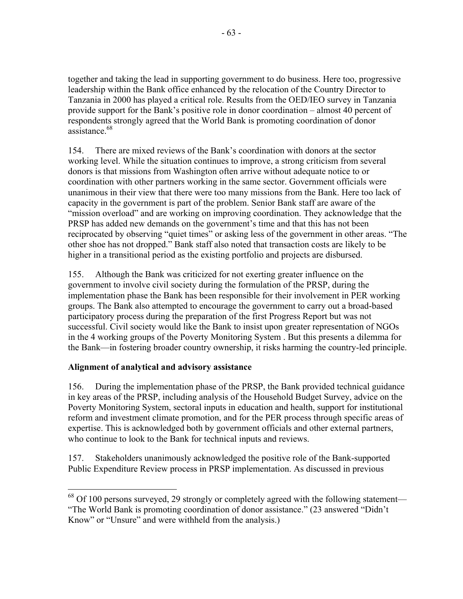together and taking the lead in supporting government to do business. Here too, progressive leadership within the Bank office enhanced by the relocation of the Country Director to Tanzania in 2000 has played a critical role. Results from the OED/IEO survey in Tanzania provide support for the Bank's positive role in donor coordination – almost 40 percent of respondents strongly agreed that the World Bank is promoting coordination of donor assistance<sup>68</sup>

154. There are mixed reviews of the Bank's coordination with donors at the sector working level. While the situation continues to improve, a strong criticism from several donors is that missions from Washington often arrive without adequate notice to or coordination with other partners working in the same sector. Government officials were unanimous in their view that there were too many missions from the Bank. Here too lack of capacity in the government is part of the problem. Senior Bank staff are aware of the "mission overload" and are working on improving coordination. They acknowledge that the PRSP has added new demands on the government's time and that this has not been reciprocated by observing "quiet times" or asking less of the government in other areas. "The other shoe has not dropped." Bank staff also noted that transaction costs are likely to be higher in a transitional period as the existing portfolio and projects are disbursed.

155. Although the Bank was criticized for not exerting greater influence on the government to involve civil society during the formulation of the PRSP, during the implementation phase the Bank has been responsible for their involvement in PER working groups. The Bank also attempted to encourage the government to carry out a broad-based participatory process during the preparation of the first Progress Report but was not successful. Civil society would like the Bank to insist upon greater representation of NGOs in the 4 working groups of the Poverty Monitoring System . But this presents a dilemma for the Bank—in fostering broader country ownership, it risks harming the country-led principle.

# **Alignment of analytical and advisory assistance**

 $\overline{a}$ 

156. During the implementation phase of the PRSP, the Bank provided technical guidance in key areas of the PRSP, including analysis of the Household Budget Survey, advice on the Poverty Monitoring System, sectoral inputs in education and health, support for institutional reform and investment climate promotion, and for the PER process through specific areas of expertise. This is acknowledged both by government officials and other external partners, who continue to look to the Bank for technical inputs and reviews.

157. Stakeholders unanimously acknowledged the positive role of the Bank-supported Public Expenditure Review process in PRSP implementation. As discussed in previous

 $68$  Of 100 persons surveyed, 29 strongly or completely agreed with the following statement— "The World Bank is promoting coordination of donor assistance." (23 answered "Didn't Know" or "Unsure" and were withheld from the analysis.)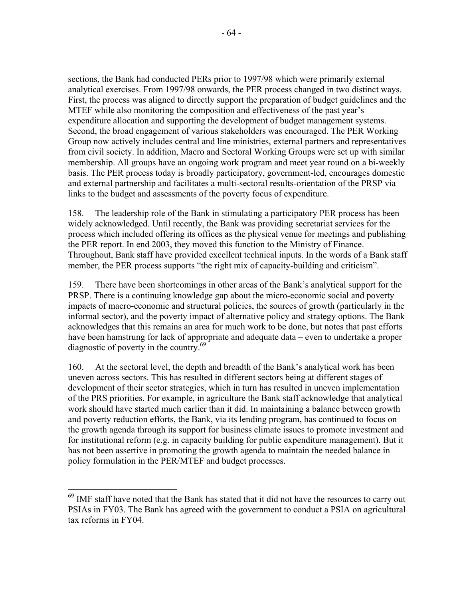sections, the Bank had conducted PERs prior to 1997/98 which were primarily external analytical exercises. From 1997/98 onwards, the PER process changed in two distinct ways. First, the process was aligned to directly support the preparation of budget guidelines and the MTEF while also monitoring the composition and effectiveness of the past year's expenditure allocation and supporting the development of budget management systems. Second, the broad engagement of various stakeholders was encouraged. The PER Working Group now actively includes central and line ministries, external partners and representatives from civil society. In addition, Macro and Sectoral Working Groups were set up with similar membership. All groups have an ongoing work program and meet year round on a bi-weekly basis. The PER process today is broadly participatory, government-led, encourages domestic and external partnership and facilitates a multi-sectoral results-orientation of the PRSP via links to the budget and assessments of the poverty focus of expenditure.

158. The leadership role of the Bank in stimulating a participatory PER process has been widely acknowledged. Until recently, the Bank was providing secretariat services for the process which included offering its offices as the physical venue for meetings and publishing the PER report. In end 2003, they moved this function to the Ministry of Finance. Throughout, Bank staff have provided excellent technical inputs. In the words of a Bank staff member, the PER process supports "the right mix of capacity-building and criticism".

159. There have been shortcomings in other areas of the Bank's analytical support for the PRSP. There is a continuing knowledge gap about the micro-economic social and poverty impacts of macro-economic and structural policies, the sources of growth (particularly in the informal sector), and the poverty impact of alternative policy and strategy options. The Bank acknowledges that this remains an area for much work to be done, but notes that past efforts have been hamstrung for lack of appropriate and adequate data – even to undertake a proper diagnostic of poverty in the country.<sup>69</sup>

160. At the sectoral level, the depth and breadth of the Bank's analytical work has been uneven across sectors. This has resulted in different sectors being at different stages of development of their sector strategies, which in turn has resulted in uneven implementation of the PRS priorities. For example, in agriculture the Bank staff acknowledge that analytical work should have started much earlier than it did. In maintaining a balance between growth and poverty reduction efforts, the Bank, via its lending program, has continued to focus on the growth agenda through its support for business climate issues to promote investment and for institutional reform (e.g. in capacity building for public expenditure management). But it has not been assertive in promoting the growth agenda to maintain the needed balance in policy formulation in the PER/MTEF and budget processes.

 $\overline{a}$ 

 $69$  IMF staff have noted that the Bank has stated that it did not have the resources to carry out PSIAs in FY03. The Bank has agreed with the government to conduct a PSIA on agricultural tax reforms in FY04.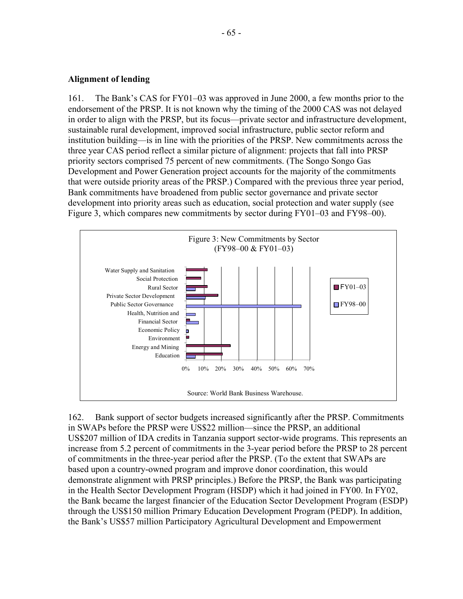#### **Alignment of lending**

161. The Bank's CAS for FY01–03 was approved in June 2000, a few months prior to the endorsement of the PRSP. It is not known why the timing of the 2000 CAS was not delayed in order to align with the PRSP, but its focus—private sector and infrastructure development, sustainable rural development, improved social infrastructure, public sector reform and institution building—is in line with the priorities of the PRSP. New commitments across the three year CAS period reflect a similar picture of alignment: projects that fall into PRSP priority sectors comprised 75 percent of new commitments. (The Songo Songo Gas Development and Power Generation project accounts for the majority of the commitments that were outside priority areas of the PRSP.) Compared with the previous three year period, Bank commitments have broadened from public sector governance and private sector development into priority areas such as education, social protection and water supply (see Figure 3, which compares new commitments by sector during FY01–03 and FY98–00).



162. Bank support of sector budgets increased significantly after the PRSP. Commitments in SWAPs before the PRSP were US\$22 million—since the PRSP, an additional US\$207 million of IDA credits in Tanzania support sector-wide programs. This represents an increase from 5.2 percent of commitments in the 3-year period before the PRSP to 28 percent of commitments in the three-year period after the PRSP. (To the extent that SWAPs are based upon a country-owned program and improve donor coordination, this would demonstrate alignment with PRSP principles.) Before the PRSP, the Bank was participating in the Health Sector Development Program (HSDP) which it had joined in FY00. In FY02, the Bank became the largest financier of the Education Sector Development Program (ESDP) through the US\$150 million Primary Education Development Program (PEDP). In addition, the Bank's US\$57 million Participatory Agricultural Development and Empowerment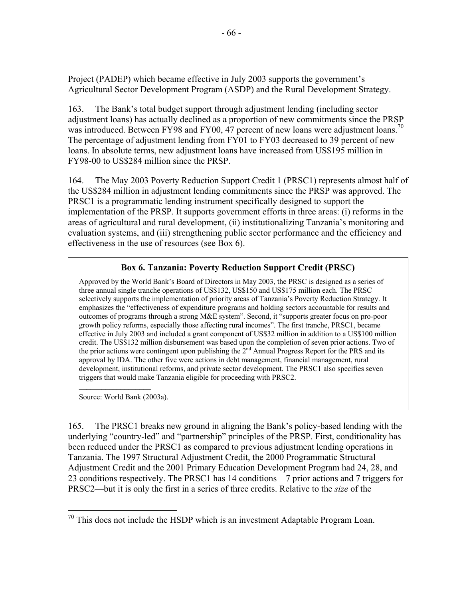Project (PADEP) which became effective in July 2003 supports the government's Agricultural Sector Development Program (ASDP) and the Rural Development Strategy.

163. The Bank's total budget support through adjustment lending (including sector adjustment loans) has actually declined as a proportion of new commitments since the PRSP was introduced. Between FY98 and FY00, 47 percent of new loans were adjustment loans.<sup>70</sup> The percentage of adjustment lending from FY01 to FY03 decreased to 39 percent of new loans. In absolute terms, new adjustment loans have increased from US\$195 million in FY98-00 to US\$284 million since the PRSP.

164. The May 2003 Poverty Reduction Support Credit 1 (PRSC1) represents almost half of the US\$284 million in adjustment lending commitments since the PRSP was approved. The PRSC1 is a programmatic lending instrument specifically designed to support the implementation of the PRSP. It supports government efforts in three areas: (i) reforms in the areas of agricultural and rural development, (ii) institutionalizing Tanzania's monitoring and evaluation systems, and (iii) strengthening public sector performance and the efficiency and effectiveness in the use of resources (see Box 6).

# **Box 6. Tanzania: Poverty Reduction Support Credit (PRSC)**

Approved by the World Bank's Board of Directors in May 2003, the PRSC is designed as a series of three annual single tranche operations of US\$132, US\$150 and US\$175 million each. The PRSC selectively supports the implementation of priority areas of Tanzania's Poverty Reduction Strategy. It emphasizes the "effectiveness of expenditure programs and holding sectors accountable for results and outcomes of programs through a strong M&E system". Second, it "supports greater focus on pro-poor growth policy reforms, especially those affecting rural incomes". The first tranche, PRSC1, became effective in July 2003 and included a grant component of US\$32 million in addition to a US\$100 million credit. The US\$132 million disbursement was based upon the completion of seven prior actions. Two of the prior actions were contingent upon publishing the 2nd Annual Progress Report for the PRS and its approval by IDA. The other five were actions in debt management, financial management, rural development, institutional reforms, and private sector development. The PRSC1 also specifies seven triggers that would make Tanzania eligible for proceeding with PRSC2.

Source: World Bank (2003a).

 $\overline{a}$ 

165. The PRSC1 breaks new ground in aligning the Bank's policy-based lending with the underlying "country-led" and "partnership" principles of the PRSP. First, conditionality has been reduced under the PRSC1 as compared to previous adjustment lending operations in Tanzania. The 1997 Structural Adjustment Credit, the 2000 Programmatic Structural Adjustment Credit and the 2001 Primary Education Development Program had 24, 28, and 23 conditions respectively. The PRSC1 has 14 conditions—7 prior actions and 7 triggers for PRSC2—but it is only the first in a series of three credits. Relative to the *size* of the

 $70$  This does not include the HSDP which is an investment Adaptable Program Loan.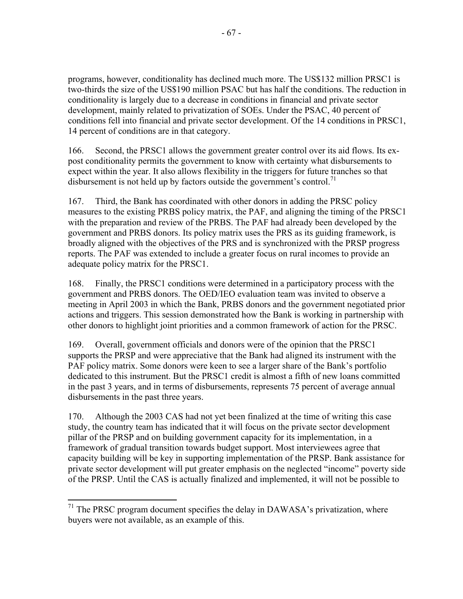programs, however, conditionality has declined much more. The US\$132 million PRSC1 is two-thirds the size of the US\$190 million PSAC but has half the conditions. The reduction in conditionality is largely due to a decrease in conditions in financial and private sector development, mainly related to privatization of SOEs. Under the PSAC, 40 percent of conditions fell into financial and private sector development. Of the 14 conditions in PRSC1, 14 percent of conditions are in that category.

166. Second, the PRSC1 allows the government greater control over its aid flows. Its expost conditionality permits the government to know with certainty what disbursements to expect within the year. It also allows flexibility in the triggers for future tranches so that disbursement is not held up by factors outside the government's control.<sup>71</sup>

167. Third, the Bank has coordinated with other donors in adding the PRSC policy measures to the existing PRBS policy matrix, the PAF, and aligning the timing of the PRSC1 with the preparation and review of the PRBS. The PAF had already been developed by the government and PRBS donors. Its policy matrix uses the PRS as its guiding framework, is broadly aligned with the objectives of the PRS and is synchronized with the PRSP progress reports. The PAF was extended to include a greater focus on rural incomes to provide an adequate policy matrix for the PRSC1.

168. Finally, the PRSC1 conditions were determined in a participatory process with the government and PRBS donors. The OED/IEO evaluation team was invited to observe a meeting in April 2003 in which the Bank, PRBS donors and the government negotiated prior actions and triggers. This session demonstrated how the Bank is working in partnership with other donors to highlight joint priorities and a common framework of action for the PRSC.

169. Overall, government officials and donors were of the opinion that the PRSC1 supports the PRSP and were appreciative that the Bank had aligned its instrument with the PAF policy matrix. Some donors were keen to see a larger share of the Bank's portfolio dedicated to this instrument. But the PRSC1 credit is almost a fifth of new loans committed in the past 3 years, and in terms of disbursements, represents 75 percent of average annual disbursements in the past three years.

170. Although the 2003 CAS had not yet been finalized at the time of writing this case study, the country team has indicated that it will focus on the private sector development pillar of the PRSP and on building government capacity for its implementation, in a framework of gradual transition towards budget support. Most interviewees agree that capacity building will be key in supporting implementation of the PRSP. Bank assistance for private sector development will put greater emphasis on the neglected "income" poverty side of the PRSP. Until the CAS is actually finalized and implemented, it will not be possible to

1

 $71$  The PRSC program document specifies the delay in DAWASA's privatization, where buyers were not available, as an example of this.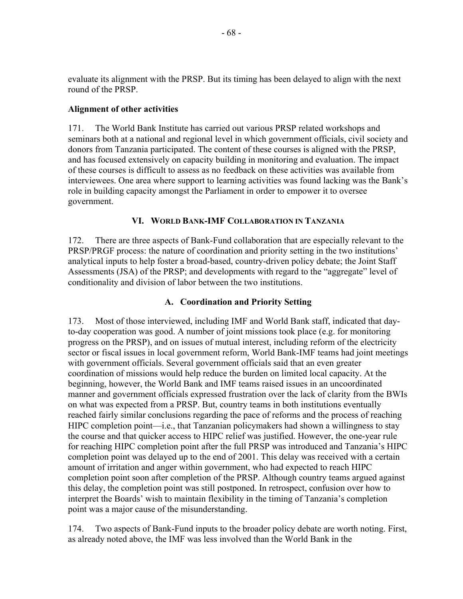evaluate its alignment with the PRSP. But its timing has been delayed to align with the next round of the PRSP.

## **Alignment of other activities**

171. The World Bank Institute has carried out various PRSP related workshops and seminars both at a national and regional level in which government officials, civil society and donors from Tanzania participated. The content of these courses is aligned with the PRSP, and has focused extensively on capacity building in monitoring and evaluation. The impact of these courses is difficult to assess as no feedback on these activities was available from interviewees. One area where support to learning activities was found lacking was the Bank's role in building capacity amongst the Parliament in order to empower it to oversee government.

### **VI. WORLD BANK-IMF COLLABORATION IN TANZANIA**

172. There are three aspects of Bank-Fund collaboration that are especially relevant to the PRSP/PRGF process: the nature of coordination and priority setting in the two institutions' analytical inputs to help foster a broad-based, country-driven policy debate; the Joint Staff Assessments (JSA) of the PRSP; and developments with regard to the "aggregate" level of conditionality and division of labor between the two institutions.

## **A. Coordination and Priority Setting**

173. Most of those interviewed, including IMF and World Bank staff, indicated that dayto-day cooperation was good. A number of joint missions took place (e.g. for monitoring progress on the PRSP), and on issues of mutual interest, including reform of the electricity sector or fiscal issues in local government reform, World Bank-IMF teams had joint meetings with government officials. Several government officials said that an even greater coordination of missions would help reduce the burden on limited local capacity. At the beginning, however, the World Bank and IMF teams raised issues in an uncoordinated manner and government officials expressed frustration over the lack of clarity from the BWIs on what was expected from a PRSP. But, country teams in both institutions eventually reached fairly similar conclusions regarding the pace of reforms and the process of reaching HIPC completion point—i.e., that Tanzanian policymakers had shown a willingness to stay the course and that quicker access to HIPC relief was justified. However, the one-year rule for reaching HIPC completion point after the full PRSP was introduced and Tanzania's HIPC completion point was delayed up to the end of 2001. This delay was received with a certain amount of irritation and anger within government, who had expected to reach HIPC completion point soon after completion of the PRSP. Although country teams argued against this delay, the completion point was still postponed. In retrospect, confusion over how to interpret the Boards' wish to maintain flexibility in the timing of Tanzania's completion point was a major cause of the misunderstanding.

174. Two aspects of Bank-Fund inputs to the broader policy debate are worth noting. First, as already noted above, the IMF was less involved than the World Bank in the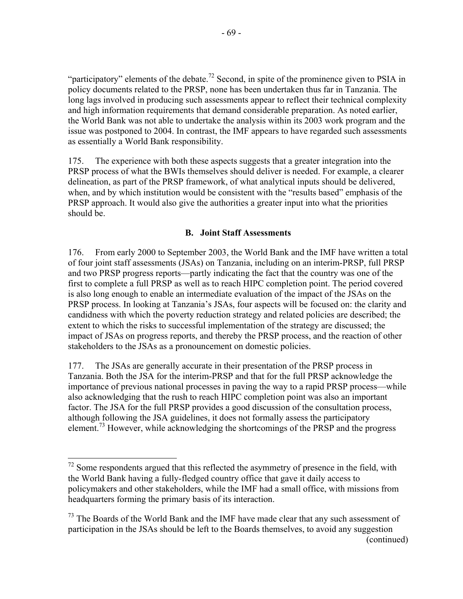"participatory" elements of the debate.<sup>72</sup> Second, in spite of the prominence given to PSIA in policy documents related to the PRSP, none has been undertaken thus far in Tanzania. The long lags involved in producing such assessments appear to reflect their technical complexity and high information requirements that demand considerable preparation. As noted earlier, the World Bank was not able to undertake the analysis within its 2003 work program and the issue was postponed to 2004. In contrast, the IMF appears to have regarded such assessments as essentially a World Bank responsibility.

175. The experience with both these aspects suggests that a greater integration into the PRSP process of what the BWIs themselves should deliver is needed. For example, a clearer delineation, as part of the PRSP framework, of what analytical inputs should be delivered, when, and by which institution would be consistent with the "results based" emphasis of the PRSP approach. It would also give the authorities a greater input into what the priorities should be.

## **B. Joint Staff Assessments**

176. From early 2000 to September 2003, the World Bank and the IMF have written a total of four joint staff assessments (JSAs) on Tanzania, including on an interim-PRSP, full PRSP and two PRSP progress reports—partly indicating the fact that the country was one of the first to complete a full PRSP as well as to reach HIPC completion point. The period covered is also long enough to enable an intermediate evaluation of the impact of the JSAs on the PRSP process. In looking at Tanzania's JSAs, four aspects will be focused on: the clarity and candidness with which the poverty reduction strategy and related policies are described; the extent to which the risks to successful implementation of the strategy are discussed; the impact of JSAs on progress reports, and thereby the PRSP process, and the reaction of other stakeholders to the JSAs as a pronouncement on domestic policies.

177. The JSAs are generally accurate in their presentation of the PRSP process in Tanzania. Both the JSA for the interim-PRSP and that for the full PRSP acknowledge the importance of previous national processes in paving the way to a rapid PRSP process—while also acknowledging that the rush to reach HIPC completion point was also an important factor. The JSA for the full PRSP provides a good discussion of the consultation process, although following the JSA guidelines, it does not formally assess the participatory element.<sup>73</sup> However, while acknowledging the shortcomings of the PRSP and the progress

 $\overline{a}$ 

 $72$  Some respondents argued that this reflected the asymmetry of presence in the field, with the World Bank having a fully-fledged country office that gave it daily access to policymakers and other stakeholders, while the IMF had a small office, with missions from headquarters forming the primary basis of its interaction.

 $73$  The Boards of the World Bank and the IMF have made clear that any such assessment of participation in the JSAs should be left to the Boards themselves, to avoid any suggestion (continued)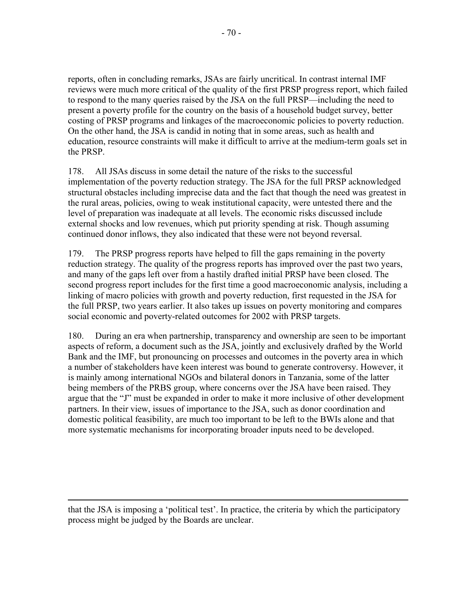reports, often in concluding remarks, JSAs are fairly uncritical. In contrast internal IMF reviews were much more critical of the quality of the first PRSP progress report, which failed to respond to the many queries raised by the JSA on the full PRSP—including the need to present a poverty profile for the country on the basis of a household budget survey, better costing of PRSP programs and linkages of the macroeconomic policies to poverty reduction. On the other hand, the JSA is candid in noting that in some areas, such as health and education, resource constraints will make it difficult to arrive at the medium-term goals set in the PRSP.

178. All JSAs discuss in some detail the nature of the risks to the successful implementation of the poverty reduction strategy. The JSA for the full PRSP acknowledged structural obstacles including imprecise data and the fact that though the need was greatest in the rural areas, policies, owing to weak institutional capacity, were untested there and the level of preparation was inadequate at all levels. The economic risks discussed include external shocks and low revenues, which put priority spending at risk. Though assuming continued donor inflows, they also indicated that these were not beyond reversal.

179. The PRSP progress reports have helped to fill the gaps remaining in the poverty reduction strategy. The quality of the progress reports has improved over the past two years, and many of the gaps left over from a hastily drafted initial PRSP have been closed. The second progress report includes for the first time a good macroeconomic analysis, including a linking of macro policies with growth and poverty reduction, first requested in the JSA for the full PRSP, two years earlier. It also takes up issues on poverty monitoring and compares social economic and poverty-related outcomes for 2002 with PRSP targets.

180. During an era when partnership, transparency and ownership are seen to be important aspects of reform, a document such as the JSA, jointly and exclusively drafted by the World Bank and the IMF, but pronouncing on processes and outcomes in the poverty area in which a number of stakeholders have keen interest was bound to generate controversy. However, it is mainly among international NGOs and bilateral donors in Tanzania, some of the latter being members of the PRBS group, where concerns over the JSA have been raised. They argue that the "J" must be expanded in order to make it more inclusive of other development partners. In their view, issues of importance to the JSA, such as donor coordination and domestic political feasibility, are much too important to be left to the BWIs alone and that more systematic mechanisms for incorporating broader inputs need to be developed.

that the JSA is imposing a 'political test'. In practice, the criteria by which the participatory process might be judged by the Boards are unclear.

 $\overline{a}$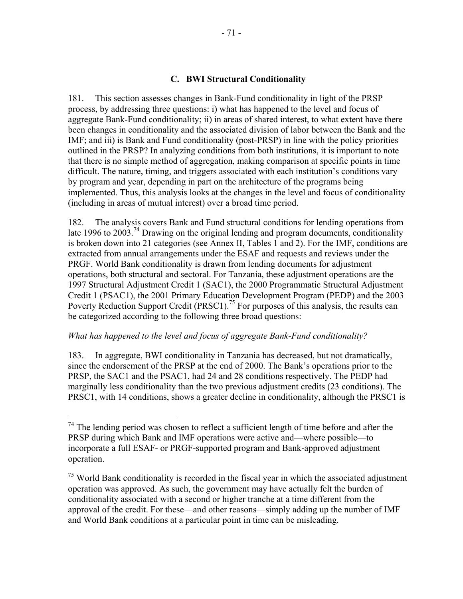### **C. BWI Structural Conditionality**

181. This section assesses changes in Bank-Fund conditionality in light of the PRSP process, by addressing three questions: i) what has happened to the level and focus of aggregate Bank-Fund conditionality; ii) in areas of shared interest, to what extent have there been changes in conditionality and the associated division of labor between the Bank and the IMF; and iii) is Bank and Fund conditionality (post-PRSP) in line with the policy priorities outlined in the PRSP? In analyzing conditions from both institutions, it is important to note that there is no simple method of aggregation, making comparison at specific points in time difficult. The nature, timing, and triggers associated with each institution's conditions vary by program and year, depending in part on the architecture of the programs being implemented. Thus, this analysis looks at the changes in the level and focus of conditionality (including in areas of mutual interest) over a broad time period.

182. The analysis covers Bank and Fund structural conditions for lending operations from late 1996 to 2003.<sup>74</sup> Drawing on the original lending and program documents, conditionality is broken down into 21 categories (see Annex II, Tables 1 and 2). For the IMF, conditions are extracted from annual arrangements under the ESAF and requests and reviews under the PRGF. World Bank conditionality is drawn from lending documents for adjustment operations, both structural and sectoral. For Tanzania, these adjustment operations are the 1997 Structural Adjustment Credit 1 (SAC1), the 2000 Programmatic Structural Adjustment Credit 1 (PSAC1), the 2001 Primary Education Development Program (PEDP) and the 2003 Poverty Reduction Support Credit (PRSC1).<sup>75</sup> For purposes of this analysis, the results can be categorized according to the following three broad questions:

#### *What has happened to the level and focus of aggregate Bank-Fund conditionality?*

 $\overline{a}$ 

183. In aggregate, BWI conditionality in Tanzania has decreased, but not dramatically, since the endorsement of the PRSP at the end of 2000. The Bank's operations prior to the PRSP, the SAC1 and the PSAC1, had 24 and 28 conditions respectively. The PEDP had marginally less conditionality than the two previous adjustment credits (23 conditions). The PRSC1, with 14 conditions, shows a greater decline in conditionality, although the PRSC1 is

 $74$  The lending period was chosen to reflect a sufficient length of time before and after the PRSP during which Bank and IMF operations were active and—where possible—to incorporate a full ESAF- or PRGF-supported program and Bank-approved adjustment operation.

 $<sup>75</sup>$  World Bank conditionality is recorded in the fiscal year in which the associated adjustment</sup> operation was approved. As such, the government may have actually felt the burden of conditionality associated with a second or higher tranche at a time different from the approval of the credit. For these—and other reasons—simply adding up the number of IMF and World Bank conditions at a particular point in time can be misleading.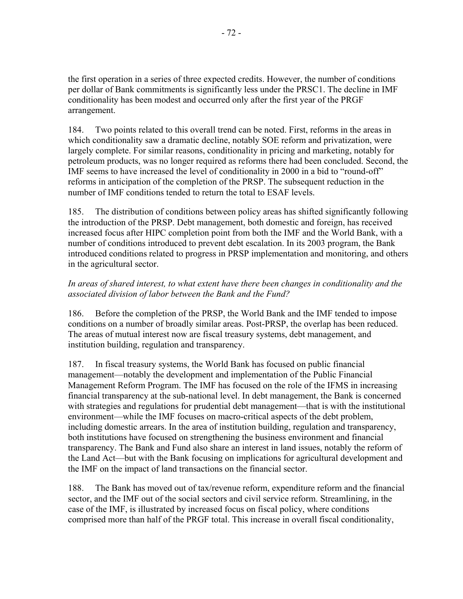the first operation in a series of three expected credits. However, the number of conditions per dollar of Bank commitments is significantly less under the PRSC1. The decline in IMF conditionality has been modest and occurred only after the first year of the PRGF arrangement.

184. Two points related to this overall trend can be noted. First, reforms in the areas in which conditionality saw a dramatic decline, notably SOE reform and privatization, were largely complete. For similar reasons, conditionality in pricing and marketing, notably for petroleum products, was no longer required as reforms there had been concluded. Second, the IMF seems to have increased the level of conditionality in 2000 in a bid to "round-off" reforms in anticipation of the completion of the PRSP. The subsequent reduction in the number of IMF conditions tended to return the total to ESAF levels.

185. The distribution of conditions between policy areas has shifted significantly following the introduction of the PRSP. Debt management, both domestic and foreign, has received increased focus after HIPC completion point from both the IMF and the World Bank, with a number of conditions introduced to prevent debt escalation. In its 2003 program, the Bank introduced conditions related to progress in PRSP implementation and monitoring, and others in the agricultural sector.

# *In areas of shared interest, to what extent have there been changes in conditionality and the associated division of labor between the Bank and the Fund?*

186. Before the completion of the PRSP, the World Bank and the IMF tended to impose conditions on a number of broadly similar areas. Post-PRSP, the overlap has been reduced. The areas of mutual interest now are fiscal treasury systems, debt management, and institution building, regulation and transparency.

187. In fiscal treasury systems, the World Bank has focused on public financial management—notably the development and implementation of the Public Financial Management Reform Program. The IMF has focused on the role of the IFMS in increasing financial transparency at the sub-national level. In debt management, the Bank is concerned with strategies and regulations for prudential debt management—that is with the institutional environment—while the IMF focuses on macro-critical aspects of the debt problem, including domestic arrears. In the area of institution building, regulation and transparency, both institutions have focused on strengthening the business environment and financial transparency. The Bank and Fund also share an interest in land issues, notably the reform of the Land Act—but with the Bank focusing on implications for agricultural development and the IMF on the impact of land transactions on the financial sector.

188. The Bank has moved out of tax/revenue reform, expenditure reform and the financial sector, and the IMF out of the social sectors and civil service reform. Streamlining, in the case of the IMF, is illustrated by increased focus on fiscal policy, where conditions comprised more than half of the PRGF total. This increase in overall fiscal conditionality,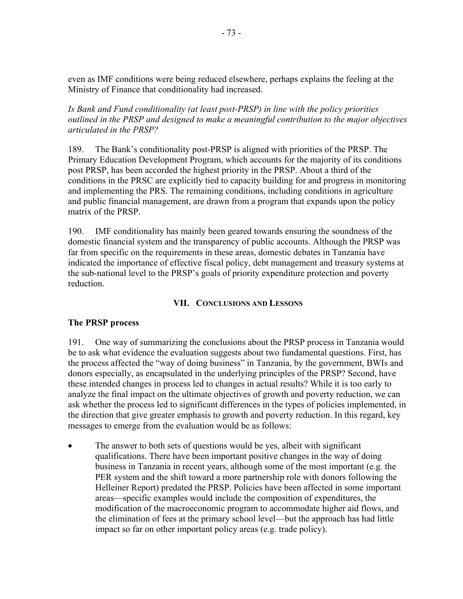even as IMF conditions were being reduced elsewhere, perhaps explains the feeling at the Ministry of Finance that conditionality had increased.

*Is Bank and Fund conditionality (at least post-PRSP) in line with the policy priorities outlined in the PRSP and designed to make a meaningful contribution to the major objectives articulated in the PRSP?* 

189. The Bank's conditionality post-PRSP is aligned with priorities of the PRSP. The Primary Education Development Program, which accounts for the majority of its conditions post PRSP, has been accorded the highest priority in the PRSP. About a third of the conditions in the PRSC are explicitly tied to capacity building for and progress in monitoring and implementing the PRS. The remaining conditions, including conditions in agriculture and public financial management, are drawn from a program that expands upon the policy matrix of the PRSP.

190. IMF conditionality has mainly been geared towards ensuring the soundness of the domestic financial system and the transparency of public accounts. Although the PRSP was far from specific on the requirements in these areas, domestic debates in Tanzania have indicated the importance of effective fiscal policy, debt management and treasury systems at the sub-national level to the PRSP's goals of priority expenditure protection and poverty reduction.

# **VII. CONCLUSIONS AND LESSONS**

# **The PRSP process**

191. One way of summarizing the conclusions about the PRSP process in Tanzania would be to ask what evidence the evaluation suggests about two fundamental questions. First, has the process affected the "way of doing business" in Tanzania, by the government, BWIs and donors especially, as encapsulated in the underlying principles of the PRSP? Second, have these intended changes in process led to changes in actual results? While it is too early to analyze the final impact on the ultimate objectives of growth and poverty reduction, we can ask whether the process led to significant differences in the types of policies implemented, in the direction that give greater emphasis to growth and poverty reduction. In this regard, key messages to emerge from the evaluation would be as follows:

• The answer to both sets of questions would be yes, albeit with significant qualifications. There have been important positive changes in the way of doing business in Tanzania in recent years, although some of the most important (e.g. the PER system and the shift toward a more partnership role with donors following the Helleiner Report) predated the PRSP. Policies have been affected in some important areas—specific examples would include the composition of expenditures, the modification of the macroeconomic program to accommodate higher aid flows, and the elimination of fees at the primary school level—but the approach has had little impact so far on other important policy areas (e.g. trade policy).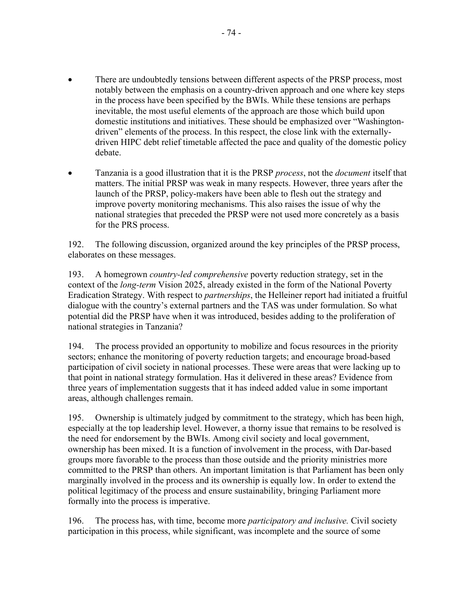- There are undoubtedly tensions between different aspects of the PRSP process, most notably between the emphasis on a country-driven approach and one where key steps in the process have been specified by the BWIs. While these tensions are perhaps inevitable, the most useful elements of the approach are those which build upon domestic institutions and initiatives. These should be emphasized over "Washingtondriven" elements of the process. In this respect, the close link with the externallydriven HIPC debt relief timetable affected the pace and quality of the domestic policy debate.
- Tanzania is a good illustration that it is the PRSP *process*, not the *document* itself that matters. The initial PRSP was weak in many respects. However, three years after the launch of the PRSP, policy-makers have been able to flesh out the strategy and improve poverty monitoring mechanisms. This also raises the issue of why the national strategies that preceded the PRSP were not used more concretely as a basis for the PRS process.

192. The following discussion, organized around the key principles of the PRSP process, elaborates on these messages.

193. A homegrown *country-led comprehensive* poverty reduction strategy, set in the context of the *long-term* Vision 2025, already existed in the form of the National Poverty Eradication Strategy. With respect to *partnerships*, the Helleiner report had initiated a fruitful dialogue with the country's external partners and the TAS was under formulation. So what potential did the PRSP have when it was introduced, besides adding to the proliferation of national strategies in Tanzania?

194. The process provided an opportunity to mobilize and focus resources in the priority sectors; enhance the monitoring of poverty reduction targets; and encourage broad-based participation of civil society in national processes. These were areas that were lacking up to that point in national strategy formulation. Has it delivered in these areas? Evidence from three years of implementation suggests that it has indeed added value in some important areas, although challenges remain.

195. Ownership is ultimately judged by commitment to the strategy, which has been high, especially at the top leadership level. However, a thorny issue that remains to be resolved is the need for endorsement by the BWIs. Among civil society and local government, ownership has been mixed. It is a function of involvement in the process, with Dar-based groups more favorable to the process than those outside and the priority ministries more committed to the PRSP than others. An important limitation is that Parliament has been only marginally involved in the process and its ownership is equally low. In order to extend the political legitimacy of the process and ensure sustainability, bringing Parliament more formally into the process is imperative.

196. The process has, with time, become more *participatory and inclusive.* Civil society participation in this process, while significant, was incomplete and the source of some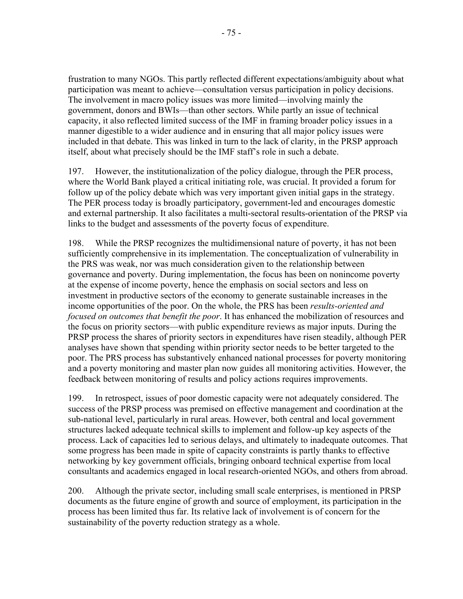frustration to many NGOs. This partly reflected different expectations/ambiguity about what participation was meant to achieve—consultation versus participation in policy decisions. The involvement in macro policy issues was more limited—involving mainly the government, donors and BWIs—than other sectors. While partly an issue of technical capacity, it also reflected limited success of the IMF in framing broader policy issues in a manner digestible to a wider audience and in ensuring that all major policy issues were included in that debate. This was linked in turn to the lack of clarity, in the PRSP approach itself, about what precisely should be the IMF staff's role in such a debate.

197. However, the institutionalization of the policy dialogue, through the PER process, where the World Bank played a critical initiating role, was crucial. It provided a forum for follow up of the policy debate which was very important given initial gaps in the strategy. The PER process today is broadly participatory, government-led and encourages domestic and external partnership. It also facilitates a multi-sectoral results-orientation of the PRSP via links to the budget and assessments of the poverty focus of expenditure.

198. While the PRSP recognizes the multidimensional nature of poverty, it has not been sufficiently comprehensive in its implementation. The conceptualization of vulnerability in the PRS was weak, nor was much consideration given to the relationship between governance and poverty. During implementation, the focus has been on nonincome poverty at the expense of income poverty, hence the emphasis on social sectors and less on investment in productive sectors of the economy to generate sustainable increases in the income opportunities of the poor. On the whole, the PRS has been *results-oriented and focused on outcomes that benefit the poor*. It has enhanced the mobilization of resources and the focus on priority sectors—with public expenditure reviews as major inputs. During the PRSP process the shares of priority sectors in expenditures have risen steadily, although PER analyses have shown that spending within priority sector needs to be better targeted to the poor. The PRS process has substantively enhanced national processes for poverty monitoring and a poverty monitoring and master plan now guides all monitoring activities. However, the feedback between monitoring of results and policy actions requires improvements.

199. In retrospect, issues of poor domestic capacity were not adequately considered. The success of the PRSP process was premised on effective management and coordination at the sub-national level, particularly in rural areas. However, both central and local government structures lacked adequate technical skills to implement and follow-up key aspects of the process. Lack of capacities led to serious delays, and ultimately to inadequate outcomes. That some progress has been made in spite of capacity constraints is partly thanks to effective networking by key government officials, bringing onboard technical expertise from local consultants and academics engaged in local research-oriented NGOs, and others from abroad.

200. Although the private sector, including small scale enterprises, is mentioned in PRSP documents as the future engine of growth and source of employment, its participation in the process has been limited thus far. Its relative lack of involvement is of concern for the sustainability of the poverty reduction strategy as a whole.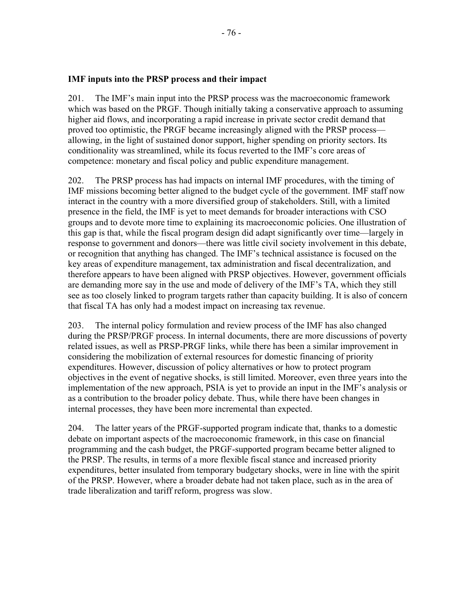## **IMF inputs into the PRSP process and their impact**

201. The IMF's main input into the PRSP process was the macroeconomic framework which was based on the PRGF. Though initially taking a conservative approach to assuming higher aid flows, and incorporating a rapid increase in private sector credit demand that proved too optimistic, the PRGF became increasingly aligned with the PRSP process allowing, in the light of sustained donor support, higher spending on priority sectors. Its conditionality was streamlined, while its focus reverted to the IMF's core areas of competence: monetary and fiscal policy and public expenditure management.

202. The PRSP process has had impacts on internal IMF procedures, with the timing of IMF missions becoming better aligned to the budget cycle of the government. IMF staff now interact in the country with a more diversified group of stakeholders. Still, with a limited presence in the field, the IMF is yet to meet demands for broader interactions with CSO groups and to devote more time to explaining its macroeconomic policies. One illustration of this gap is that, while the fiscal program design did adapt significantly over time—largely in response to government and donors—there was little civil society involvement in this debate, or recognition that anything has changed. The IMF's technical assistance is focused on the key areas of expenditure management, tax administration and fiscal decentralization, and therefore appears to have been aligned with PRSP objectives. However, government officials are demanding more say in the use and mode of delivery of the IMF's TA, which they still see as too closely linked to program targets rather than capacity building. It is also of concern that fiscal TA has only had a modest impact on increasing tax revenue.

203. The internal policy formulation and review process of the IMF has also changed during the PRSP/PRGF process. In internal documents, there are more discussions of poverty related issues, as well as PRSP-PRGF links, while there has been a similar improvement in considering the mobilization of external resources for domestic financing of priority expenditures. However, discussion of policy alternatives or how to protect program objectives in the event of negative shocks, is still limited. Moreover, even three years into the implementation of the new approach, PSIA is yet to provide an input in the IMF's analysis or as a contribution to the broader policy debate. Thus, while there have been changes in internal processes, they have been more incremental than expected.

204. The latter years of the PRGF-supported program indicate that, thanks to a domestic debate on important aspects of the macroeconomic framework, in this case on financial programming and the cash budget, the PRGF-supported program became better aligned to the PRSP. The results, in terms of a more flexible fiscal stance and increased priority expenditures, better insulated from temporary budgetary shocks, were in line with the spirit of the PRSP. However, where a broader debate had not taken place, such as in the area of trade liberalization and tariff reform, progress was slow.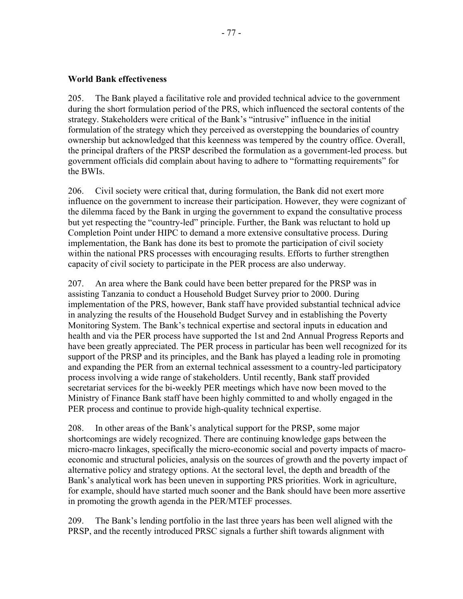## **World Bank effectiveness**

205. The Bank played a facilitative role and provided technical advice to the government during the short formulation period of the PRS, which influenced the sectoral contents of the strategy. Stakeholders were critical of the Bank's "intrusive" influence in the initial formulation of the strategy which they perceived as overstepping the boundaries of country ownership but acknowledged that this keenness was tempered by the country office. Overall, the principal drafters of the PRSP described the formulation as a government-led process. but government officials did complain about having to adhere to "formatting requirements" for the BWIs.

206. Civil society were critical that, during formulation, the Bank did not exert more influence on the government to increase their participation. However, they were cognizant of the dilemma faced by the Bank in urging the government to expand the consultative process but yet respecting the "country-led" principle. Further, the Bank was reluctant to hold up Completion Point under HIPC to demand a more extensive consultative process. During implementation, the Bank has done its best to promote the participation of civil society within the national PRS processes with encouraging results. Efforts to further strengthen capacity of civil society to participate in the PER process are also underway.

207. An area where the Bank could have been better prepared for the PRSP was in assisting Tanzania to conduct a Household Budget Survey prior to 2000. During implementation of the PRS, however, Bank staff have provided substantial technical advice in analyzing the results of the Household Budget Survey and in establishing the Poverty Monitoring System. The Bank's technical expertise and sectoral inputs in education and health and via the PER process have supported the 1st and 2nd Annual Progress Reports and have been greatly appreciated. The PER process in particular has been well recognized for its support of the PRSP and its principles, and the Bank has played a leading role in promoting and expanding the PER from an external technical assessment to a country-led participatory process involving a wide range of stakeholders. Until recently, Bank staff provided secretariat services for the bi-weekly PER meetings which have now been moved to the Ministry of Finance Bank staff have been highly committed to and wholly engaged in the PER process and continue to provide high-quality technical expertise.

208. In other areas of the Bank's analytical support for the PRSP, some major shortcomings are widely recognized. There are continuing knowledge gaps between the micro-macro linkages, specifically the micro-economic social and poverty impacts of macroeconomic and structural policies, analysis on the sources of growth and the poverty impact of alternative policy and strategy options. At the sectoral level, the depth and breadth of the Bank's analytical work has been uneven in supporting PRS priorities. Work in agriculture, for example, should have started much sooner and the Bank should have been more assertive in promoting the growth agenda in the PER/MTEF processes.

209. The Bank's lending portfolio in the last three years has been well aligned with the PRSP, and the recently introduced PRSC signals a further shift towards alignment with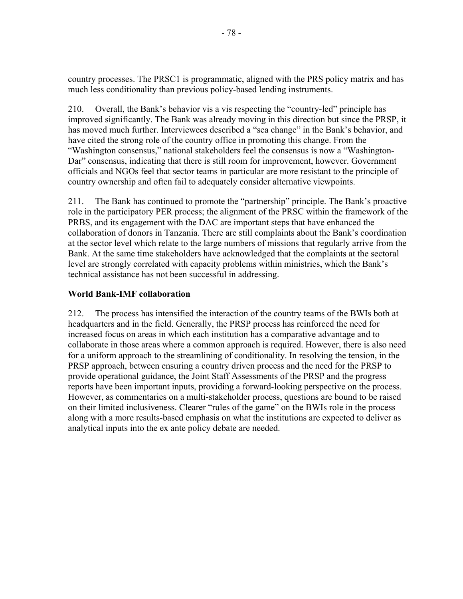country processes. The PRSC1 is programmatic, aligned with the PRS policy matrix and has much less conditionality than previous policy-based lending instruments.

210. Overall, the Bank's behavior vis a vis respecting the "country-led" principle has improved significantly. The Bank was already moving in this direction but since the PRSP, it has moved much further. Interviewees described a "sea change" in the Bank's behavior, and have cited the strong role of the country office in promoting this change. From the "Washington consensus," national stakeholders feel the consensus is now a "Washington-Dar" consensus, indicating that there is still room for improvement, however. Government officials and NGOs feel that sector teams in particular are more resistant to the principle of country ownership and often fail to adequately consider alternative viewpoints.

211. The Bank has continued to promote the "partnership" principle. The Bank's proactive role in the participatory PER process; the alignment of the PRSC within the framework of the PRBS, and its engagement with the DAC are important steps that have enhanced the collaboration of donors in Tanzania. There are still complaints about the Bank's coordination at the sector level which relate to the large numbers of missions that regularly arrive from the Bank. At the same time stakeholders have acknowledged that the complaints at the sectoral level are strongly correlated with capacity problems within ministries, which the Bank's technical assistance has not been successful in addressing.

# **World Bank-IMF collaboration**

212. The process has intensified the interaction of the country teams of the BWIs both at headquarters and in the field. Generally, the PRSP process has reinforced the need for increased focus on areas in which each institution has a comparative advantage and to collaborate in those areas where a common approach is required. However, there is also need for a uniform approach to the streamlining of conditionality. In resolving the tension, in the PRSP approach, between ensuring a country driven process and the need for the PRSP to provide operational guidance, the Joint Staff Assessments of the PRSP and the progress reports have been important inputs, providing a forward-looking perspective on the process. However, as commentaries on a multi-stakeholder process, questions are bound to be raised on their limited inclusiveness. Clearer "rules of the game" on the BWIs role in the process along with a more results-based emphasis on what the institutions are expected to deliver as analytical inputs into the ex ante policy debate are needed.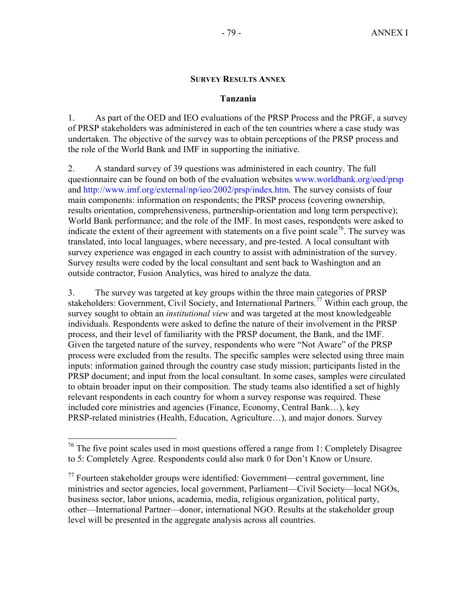### **SURVEY RESULTS ANNEX**

### **Tanzania**

1. As part of the OED and IEO evaluations of the PRSP Process and the PRGF, a survey of PRSP stakeholders was administered in each of the ten countries where a case study was undertaken. The objective of the survey was to obtain perceptions of the PRSP process and the role of the World Bank and IMF in supporting the initiative.

2. A standard survey of 39 questions was administered in each country. The full questionnaire can be found on both of the evaluation websites www.worldbank.org/oed/prsp and http://www.imf.org/external/np/ieo/2002/prsp/index.htm. The survey consists of four main components: information on respondents; the PRSP process (covering ownership, results orientation, comprehensiveness, partnership-orientation and long term perspective); World Bank performance; and the role of the IMF. In most cases, respondents were asked to indicate the extent of their agreement with statements on a five point scale<sup>76</sup>. The survey was translated, into local languages, where necessary, and pre-tested. A local consultant with survey experience was engaged in each country to assist with administration of the survey. Survey results were coded by the local consultant and sent back to Washington and an outside contractor, Fusion Analytics, was hired to analyze the data.

3. The survey was targeted at key groups within the three main categories of PRSP stakeholders: Government, Civil Society, and International Partners.<sup>77</sup> Within each group, the survey sought to obtain an *institutional view* and was targeted at the most knowledgeable individuals. Respondents were asked to define the nature of their involvement in the PRSP process, and their level of familiarity with the PRSP document, the Bank, and the IMF. Given the targeted nature of the survey, respondents who were "Not Aware" of the PRSP process were excluded from the results. The specific samples were selected using three main inputs: information gained through the country case study mission; participants listed in the PRSP document; and input from the local consultant. In some cases, samples were circulated to obtain broader input on their composition. The study teams also identified a set of highly relevant respondents in each country for whom a survey response was required. These included core ministries and agencies (Finance, Economy, Central Bank…), key PRSP-related ministries (Health, Education, Agriculture…), and major donors. Survey

1

 $76$  The five point scales used in most questions offered a range from 1: Completely Disagree to 5: Completely Agree. Respondents could also mark 0 for Don't Know or Unsure.

 $\alpha$ <sup>77</sup> Fourteen stakeholder groups were identified: Government—central government, line ministries and sector agencies, local government, Parliament—Civil Society—local NGOs, business sector, labor unions, academia, media, religious organization, political party, other—International Partner—donor, international NGO. Results at the stakeholder group level will be presented in the aggregate analysis across all countries.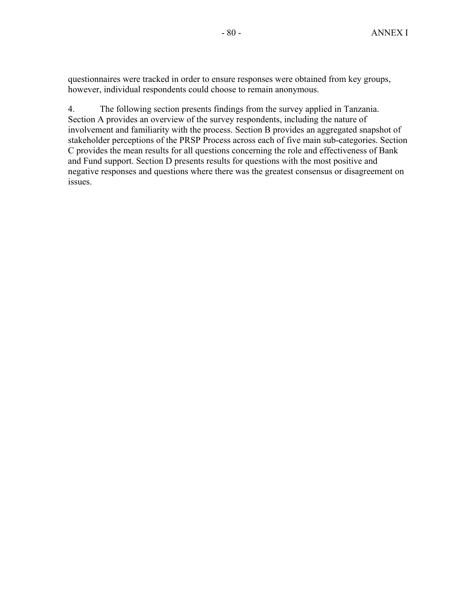questionnaires were tracked in order to ensure responses were obtained from key groups, however, individual respondents could choose to remain anonymous.

4. The following section presents findings from the survey applied in Tanzania. Section A provides an overview of the survey respondents, including the nature of involvement and familiarity with the process. Section B provides an aggregated snapshot of stakeholder perceptions of the PRSP Process across each of five main sub-categories. Section C provides the mean results for all questions concerning the role and effectiveness of Bank and Fund support. Section D presents results for questions with the most positive and negative responses and questions where there was the greatest consensus or disagreement on issues.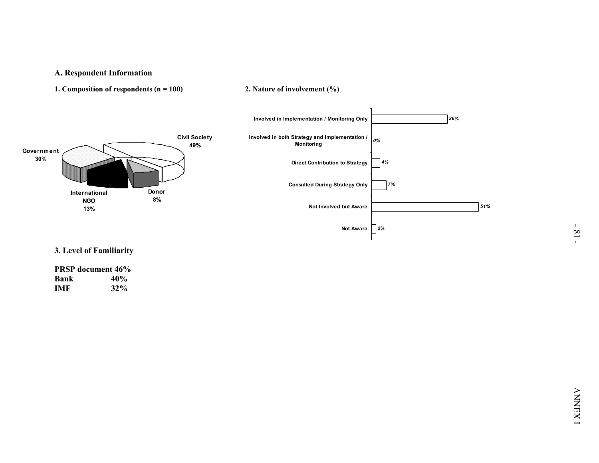

|      | <b>PRSP</b> document 46% |
|------|--------------------------|
| Bank | 40%                      |
| IMF  | $32\%$                   |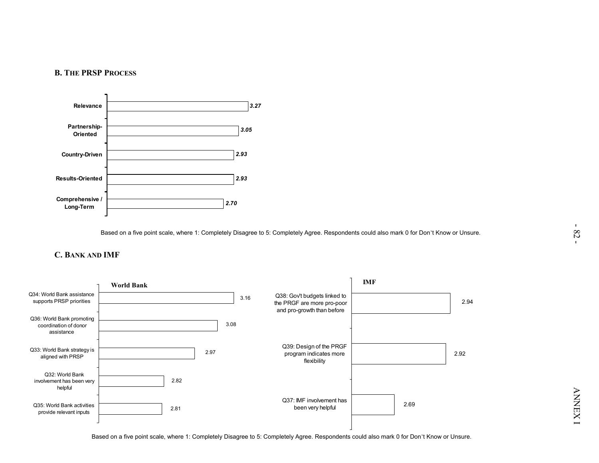



Based on a five point scale, where 1: Completely Disagree to 5: Completely Agree. Respondents could also mark 0 for Don't Know or Unsure.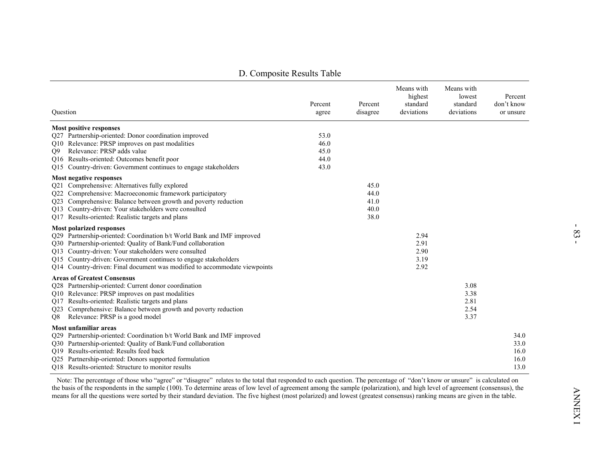|                                                                                                                                                                                                                                                                                                                                                                                   | D. Composite Results Table |                                      |                                                 |                                                |                                      |
|-----------------------------------------------------------------------------------------------------------------------------------------------------------------------------------------------------------------------------------------------------------------------------------------------------------------------------------------------------------------------------------|----------------------------|--------------------------------------|-------------------------------------------------|------------------------------------------------|--------------------------------------|
| Question                                                                                                                                                                                                                                                                                                                                                                          | Percent<br>agree           | Percent<br>disagree                  | Means with<br>highest<br>standard<br>deviations | Means with<br>lowest<br>standard<br>deviations | Percent<br>don't know<br>or unsure   |
| <b>Most positive responses</b><br>Q27 Partnership-oriented: Donor coordination improved<br>Q10 Relevance: PRSP improves on past modalities<br>Relevance: PRSP adds value<br>O9                                                                                                                                                                                                    | 53.0<br>46.0<br>45.0       |                                      |                                                 |                                                |                                      |
| Q16 Results-oriented: Outcomes benefit poor<br>Q15 Country-driven: Government continues to engage stakeholders                                                                                                                                                                                                                                                                    | 44.0<br>43.0               |                                      |                                                 |                                                |                                      |
| Most negative responses<br>Q21 Comprehensive: Alternatives fully explored<br>Q22 Comprehensive: Macroeconomic framework participatory<br>Q23 Comprehensive: Balance between growth and poverty reduction<br>Q13 Country-driven: Your stakeholders were consulted<br>Q17 Results-oriented: Realistic targets and plans                                                             |                            | 45.0<br>44.0<br>41.0<br>40.0<br>38.0 |                                                 |                                                |                                      |
| <b>Most polarized responses</b><br>Q29 Partnership-oriented: Coordination b/t World Bank and IMF improved<br>Q30 Partnership-oriented: Quality of Bank/Fund collaboration<br>Q13 Country-driven: Your stakeholders were consulted<br>Q15 Country-driven: Government continues to engage stakeholders<br>Q14 Country-driven: Final document was modified to accommodate viewpoints |                            |                                      | 2.94<br>2.91<br>2.90<br>3.19<br>2.92            |                                                |                                      |
| <b>Areas of Greatest Consensus</b><br>Q28 Partnership-oriented: Current donor coordination<br>Q10 Relevance: PRSP improves on past modalities<br>Q17 Results-oriented: Realistic targets and plans<br>Q23 Comprehensive: Balance between growth and poverty reduction<br>Relevance: PRSP is a good model<br>Q8                                                                    |                            |                                      |                                                 | 3.08<br>3.38<br>2.81<br>2.54<br>3.37           |                                      |
| Most unfamiliar areas<br>Q29 Partnership-oriented: Coordination b/t World Bank and IMF improved<br>Q30 Partnership-oriented: Quality of Bank/Fund collaboration<br>Q19 Results-oriented: Results feed back<br>Q25 Partnership-oriented: Donors supported formulation<br>Q18 Results-oriented: Structure to monitor results                                                        |                            |                                      |                                                 |                                                | 34.0<br>33.0<br>16.0<br>16.0<br>13.0 |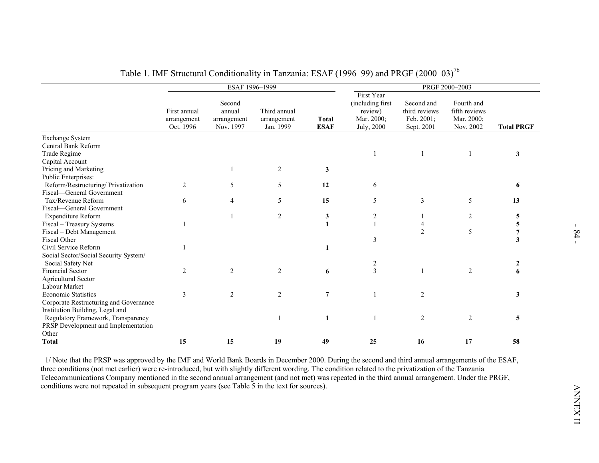|                                                                                                                          | ESAF 1996-1999                           |                                              |                                          |                             |                                                                       |                                                         | PRGF 2000-2003                                         |                              |
|--------------------------------------------------------------------------------------------------------------------------|------------------------------------------|----------------------------------------------|------------------------------------------|-----------------------------|-----------------------------------------------------------------------|---------------------------------------------------------|--------------------------------------------------------|------------------------------|
|                                                                                                                          | First annual<br>arrangement<br>Oct. 1996 | Second<br>annual<br>arrangement<br>Nov. 1997 | Third annual<br>arrangement<br>Jan. 1999 | <b>Total</b><br><b>ESAF</b> | First Year<br>(including first<br>review)<br>Mar. 2000;<br>July, 2000 | Second and<br>third reviews<br>Feb. 2001;<br>Sept. 2001 | Fourth and<br>fifth reviews<br>Mar. 2000;<br>Nov. 2002 | <b>Total PRGF</b>            |
| <b>Exchange System</b><br>Central Bank Reform<br>Trade Regime                                                            |                                          |                                              |                                          |                             | -1                                                                    | -1                                                      |                                                        | 3                            |
| Capital Account<br>Pricing and Marketing<br>Public Enterprises:                                                          |                                          |                                              | $\overline{2}$                           | 3                           |                                                                       |                                                         |                                                        |                              |
| Reform/Restructuring/ Privatization                                                                                      | 2                                        | 5                                            | 5                                        | 12                          | 6                                                                     |                                                         |                                                        | 6                            |
| Fiscal-General Government<br>Tax/Revenue Reform<br>Fiscal-General Government                                             | 6                                        | $\overline{4}$                               | 5                                        | 15                          | 5                                                                     | 3                                                       | 5                                                      | 13                           |
| Expenditure Reform<br>Fiscal - Treasury Systems                                                                          | 1                                        | $\mathbf{1}$                                 | $\overline{c}$                           | 3<br>$\mathbf{1}$           | $\overline{c}$<br>$\mathbf{1}$                                        | 1<br>4                                                  | $\overline{c}$                                         | $\overline{\mathbf{5}}$<br>5 |
| Fiscal - Debt Management<br>Fiscal Other<br>Civil Service Reform                                                         | 1                                        |                                              |                                          | 1                           | 3                                                                     | 2                                                       | 5                                                      | 7<br>3                       |
| Social Sector/Social Security System/<br>Social Safety Net                                                               |                                          |                                              |                                          |                             | $\overline{2}$                                                        |                                                         |                                                        | 2                            |
| Financial Sector<br><b>Agricultural Sector</b>                                                                           | $\overline{2}$                           | $\overline{c}$                               | $\overline{2}$                           | 6                           | $\mathfrak{Z}$                                                        | $\mathbf{1}$                                            | $\overline{c}$                                         | 6                            |
| Labour Market<br><b>Economic Statistics</b><br>Corporate Restructuring and Governance<br>Institution Building, Legal and | 3                                        | $\overline{c}$                               | 2                                        | $\overline{7}$              | $\overline{1}$                                                        | 2                                                       |                                                        | 3                            |
| Regulatory Framework, Transparency<br>PRSP Development and Implementation                                                |                                          |                                              |                                          | 1                           | $\overline{1}$                                                        | 2                                                       | $\overline{c}$                                         | 5                            |
| Other<br><b>Total</b>                                                                                                    | 15                                       | 15                                           | 19                                       | 49                          | 25                                                                    | 16                                                      | 17                                                     | 58                           |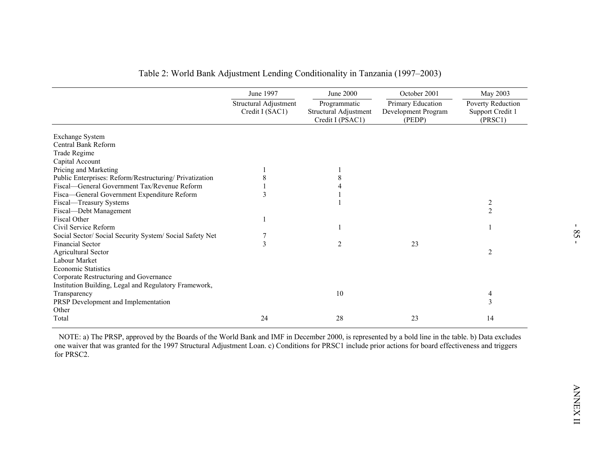|                                                          | June 1997<br>Structural Adjustment | June 2000<br>Programmatic                 | October 2001<br>Primary Education | May 2003<br>Poverty Reduction |
|----------------------------------------------------------|------------------------------------|-------------------------------------------|-----------------------------------|-------------------------------|
|                                                          | Credit I (SAC1)                    | Structural Adjustment<br>Credit I (PSAC1) | Development Program<br>(PEDP)     | Support Credit 1<br>(PRSC1)   |
| <b>Exchange System</b>                                   |                                    |                                           |                                   |                               |
| Central Bank Reform                                      |                                    |                                           |                                   |                               |
| Trade Regime                                             |                                    |                                           |                                   |                               |
| Capital Account                                          |                                    |                                           |                                   |                               |
| Pricing and Marketing                                    |                                    |                                           |                                   |                               |
| Public Enterprises: Reform/Restructuring/ Privatization  | $\,8\,$                            | 8                                         |                                   |                               |
| Fiscal-General Government Tax/Revenue Reform             |                                    | $\overline{4}$                            |                                   |                               |
| Fisca-General Government Expenditure Reform              | 3                                  |                                           |                                   |                               |
| Fiscal-Treasury Systems                                  |                                    |                                           |                                   | $\overline{c}$                |
| Fiscal-Debt Management                                   |                                    |                                           |                                   | $\overline{2}$                |
| Fiscal Other                                             |                                    |                                           |                                   |                               |
| Civil Service Reform                                     |                                    | -1                                        |                                   |                               |
| Social Sector/ Social Security System/ Social Safety Net | 7                                  |                                           |                                   |                               |
| Financial Sector                                         | 3                                  | $\overline{c}$                            | 23                                |                               |
| Agricultural Sector                                      |                                    |                                           |                                   | $\overline{2}$                |
| Labour Market                                            |                                    |                                           |                                   |                               |
| <b>Economic Statistics</b>                               |                                    |                                           |                                   |                               |
| Corporate Restructuring and Governance                   |                                    |                                           |                                   |                               |
| Institution Building, Legal and Regulatory Framework,    |                                    |                                           |                                   |                               |
| Transparency                                             |                                    | 10                                        |                                   | 4                             |
| PRSP Development and Implementation                      |                                    |                                           |                                   | 3                             |
| Other                                                    |                                    |                                           |                                   |                               |
| Total                                                    | 24                                 | 28                                        | 23                                | 14                            |

| Table 2: World Bank Adjustment Lending Conditionality in Tanzania (1997–2003) |  |  |  |  |
|-------------------------------------------------------------------------------|--|--|--|--|
|-------------------------------------------------------------------------------|--|--|--|--|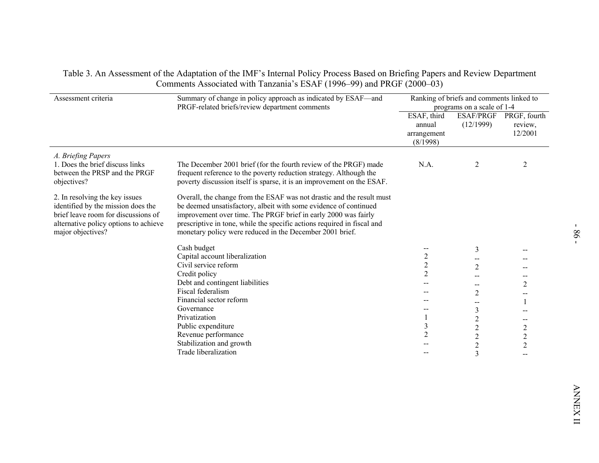|                                                                                                                                                                           | Summary of change in policy approach as indicated by ESAF-and<br>PRGF-related briefs/review department comments                                                                                                                                                                                                                                    |                                                  | Ranking of briefs and comments linked to<br>programs on a scale of 1-4 |                                              |
|---------------------------------------------------------------------------------------------------------------------------------------------------------------------------|----------------------------------------------------------------------------------------------------------------------------------------------------------------------------------------------------------------------------------------------------------------------------------------------------------------------------------------------------|--------------------------------------------------|------------------------------------------------------------------------|----------------------------------------------|
|                                                                                                                                                                           |                                                                                                                                                                                                                                                                                                                                                    | ESAF, third<br>annual<br>arrangement<br>(8/1998) | (12/1999)                                                              | ESAF/PRGF PRGF, fourth<br>review,<br>12/2001 |
| A. Briefing Papers<br>1. Does the brief discuss links<br>between the PRSP and the PRGF<br>objectives?                                                                     | The December 2001 brief (for the fourth review of the PRGF) made<br>frequent reference to the poverty reduction strategy. Although the<br>poverty discussion itself is sparse, it is an improvement on the ESAF.                                                                                                                                   | N.A.                                             | 2                                                                      | $\overline{2}$                               |
| 2. In resolving the key issues<br>identified by the mission does the<br>brief leave room for discussions of<br>alternative policy options to achieve<br>major objectives? | Overall, the change from the ESAF was not drastic and the result must<br>be deemed unsatisfactory, albeit with some evidence of continued<br>improvement over time. The PRGF brief in early 2000 was fairly<br>prescriptive in tone, while the specific actions required in fiscal and<br>monetary policy were reduced in the December 2001 brief. |                                                  |                                                                        |                                              |
|                                                                                                                                                                           | Cash budget                                                                                                                                                                                                                                                                                                                                        |                                                  | 3                                                                      |                                              |
|                                                                                                                                                                           | Capital account liberalization<br>Civil service reform                                                                                                                                                                                                                                                                                             | $\overline{c}$<br>2                              | --                                                                     |                                              |
|                                                                                                                                                                           | Credit policy                                                                                                                                                                                                                                                                                                                                      | 2                                                | $\overline{c}$                                                         | --                                           |
|                                                                                                                                                                           | Debt and contingent liabilities                                                                                                                                                                                                                                                                                                                    | --                                               | --                                                                     | 2                                            |
|                                                                                                                                                                           | Fiscal federalism                                                                                                                                                                                                                                                                                                                                  |                                                  | $\overline{c}$                                                         | $- -$                                        |
|                                                                                                                                                                           | Financial sector reform                                                                                                                                                                                                                                                                                                                            | --                                               | -−                                                                     |                                              |
|                                                                                                                                                                           | Governance                                                                                                                                                                                                                                                                                                                                         | $\overline{\phantom{a}}$                         | 3                                                                      |                                              |
|                                                                                                                                                                           | Privatization                                                                                                                                                                                                                                                                                                                                      |                                                  | $\overline{c}$                                                         | $- -$                                        |
|                                                                                                                                                                           | Public expenditure                                                                                                                                                                                                                                                                                                                                 | 3                                                | $\overline{c}$                                                         | $\overline{c}$                               |
|                                                                                                                                                                           | Revenue performance                                                                                                                                                                                                                                                                                                                                | $\overline{2}$                                   | $\overline{c}$                                                         | $\overline{c}$                               |
|                                                                                                                                                                           | Stabilization and growth<br>Trade liberalization                                                                                                                                                                                                                                                                                                   |                                                  | $\overline{c}$                                                         | $\overline{2}$                               |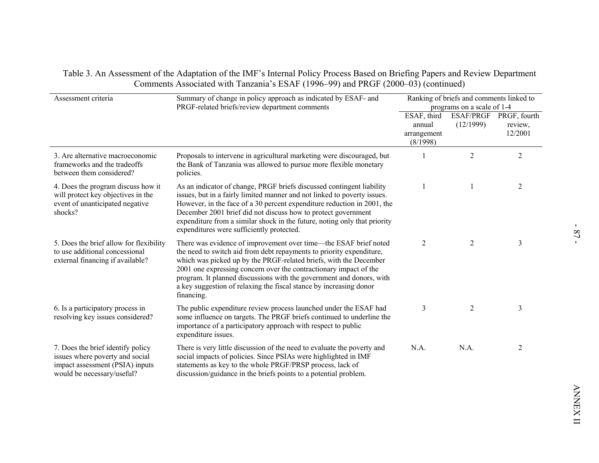| Assessment criteria                                                                                                                   | Summary of change in policy approach as indicated by ESAF- and<br>Ranking of briefs and comments linked to<br>PRGF-related briefs/review department comments<br>programs on a scale of 1-4                                                                                                                                                                                                                                                     |                                                                       |                |                                              |  |
|---------------------------------------------------------------------------------------------------------------------------------------|------------------------------------------------------------------------------------------------------------------------------------------------------------------------------------------------------------------------------------------------------------------------------------------------------------------------------------------------------------------------------------------------------------------------------------------------|-----------------------------------------------------------------------|----------------|----------------------------------------------|--|
|                                                                                                                                       |                                                                                                                                                                                                                                                                                                                                                                                                                                                | $\overline{\text{ESAF}}$ , third<br>annual<br>arrangement<br>(8/1998) | (12/1999)      | ESAF/PRGF PRGF, fourth<br>review,<br>12/2001 |  |
| 3. Are alternative macroeconomic<br>frameworks and the tradeoffs<br>between them considered?                                          | Proposals to intervene in agricultural marketing were discouraged, but<br>the Bank of Tanzania was allowed to pursue more flexible monetary<br>policies.                                                                                                                                                                                                                                                                                       |                                                                       | $\overline{2}$ | $\overline{2}$                               |  |
| 4. Does the program discuss how it<br>will protect key objectives in the<br>event of unanticipated negative<br>shocks?                | As an indicator of change, PRGF briefs discussed contingent liability<br>issues, but in a fairly limited manner and not linked to poverty issues.<br>However, in the face of a 30 percent expenditure reduction in 2001, the<br>December 2001 brief did not discuss how to protect government<br>expenditure from a similar shock in the future, noting only that priority<br>expenditures were sufficiently protected.                        | -1                                                                    |                | $\overline{2}$                               |  |
| 5. Does the brief allow for flexibility<br>to use additional concessional<br>external financing if available?                         | There was evidence of improvement over time—the ESAF brief noted<br>the need to switch aid from debt repayments to priority expenditure,<br>which was picked up by the PRGF-related briefs, with the December<br>2001 one expressing concern over the contractionary impact of the<br>program. It planned discussions with the government and donors, with<br>a key suggestion of relaxing the fiscal stance by increasing donor<br>financing. | $\overline{2}$                                                        | $\overline{2}$ | $\mathfrak{Z}$                               |  |
| 6. Is a participatory process in<br>resolving key issues considered?                                                                  | The public expenditure review process launched under the ESAF had<br>some influence on targets. The PRGF briefs continued to underline the<br>importance of a participatory approach with respect to public<br>expenditure issues.                                                                                                                                                                                                             | 3                                                                     | $\overline{2}$ | 3                                            |  |
| 7. Does the brief identify policy<br>issues where poverty and social<br>impact assessment (PSIA) inputs<br>would be necessary/useful? | There is very little discussion of the need to evaluate the poverty and<br>social impacts of policies. Since PSIAs were highlighted in IMF<br>statements as key to the whole PRGF/PRSP process, lack of<br>discussion/guidance in the briefs points to a potential problem.                                                                                                                                                                    | N.A.                                                                  | N.A.           | $\overline{2}$                               |  |
|                                                                                                                                       |                                                                                                                                                                                                                                                                                                                                                                                                                                                |                                                                       |                |                                              |  |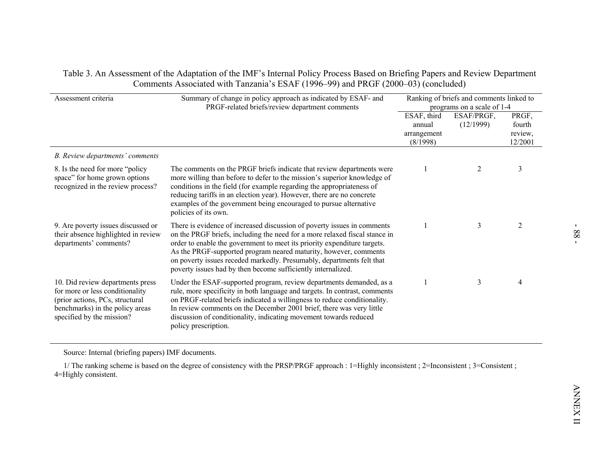| Assessment criteria                                                                                                                                                    | Summary of change in policy approach as indicated by ESAF- and<br>PRGF-related briefs/review department comments                                                                                                                                                                                                                                                                                                                               |                                                  | Ranking of briefs and comments linked to<br>programs on a scale of 1-4 |                                       |
|------------------------------------------------------------------------------------------------------------------------------------------------------------------------|------------------------------------------------------------------------------------------------------------------------------------------------------------------------------------------------------------------------------------------------------------------------------------------------------------------------------------------------------------------------------------------------------------------------------------------------|--------------------------------------------------|------------------------------------------------------------------------|---------------------------------------|
|                                                                                                                                                                        |                                                                                                                                                                                                                                                                                                                                                                                                                                                | ESAF, third<br>annual<br>arrangement<br>(8/1998) | ESAF/PRGF,<br>(12/1999)                                                | PRGF,<br>fourth<br>review,<br>12/2001 |
| B. Review departments' comments                                                                                                                                        |                                                                                                                                                                                                                                                                                                                                                                                                                                                |                                                  |                                                                        |                                       |
| 8. Is the need for more "policy"<br>space" for home grown options<br>recognized in the review process?                                                                 | The comments on the PRGF briefs indicate that review departments were<br>more willing than before to defer to the mission's superior knowledge of<br>conditions in the field (for example regarding the appropriateness of<br>reducing tariffs in an election year). However, there are no concrete<br>examples of the government being encouraged to pursue alternative<br>policies of its own.                                               | $\mathbf{1}$                                     | 2                                                                      | 3                                     |
| 9. Are poverty issues discussed or<br>their absence highlighted in review<br>departments' comments?                                                                    | There is evidence of increased discussion of poverty issues in comments<br>on the PRGF briefs, including the need for a more relaxed fiscal stance in<br>order to enable the government to meet its priority expenditure targets.<br>As the PRGF-supported program neared maturity, however, comments<br>on poverty issues receded markedly. Presumably, departments felt that<br>poverty issues had by then become sufficiently internalized. | $\mathbf{1}$                                     | 3                                                                      | $\overline{2}$                        |
| 10. Did review departments press<br>for more or less conditionality<br>(prior actions, PCs, structural<br>benchmarks) in the policy areas<br>specified by the mission? | Under the ESAF-supported program, review departments demanded, as a<br>rule, more specificity in both language and targets. In contrast, comments<br>on PRGF-related briefs indicated a willingness to reduce conditionality.<br>In review comments on the December 2001 brief, there was very little<br>discussion of conditionality, indicating movement towards reduced<br>policy prescription.                                             | $\mathbf{1}$                                     | 3                                                                      | $\overline{4}$                        |
| Source: Internal (briefing papers) IMF documents.                                                                                                                      |                                                                                                                                                                                                                                                                                                                                                                                                                                                |                                                  |                                                                        |                                       |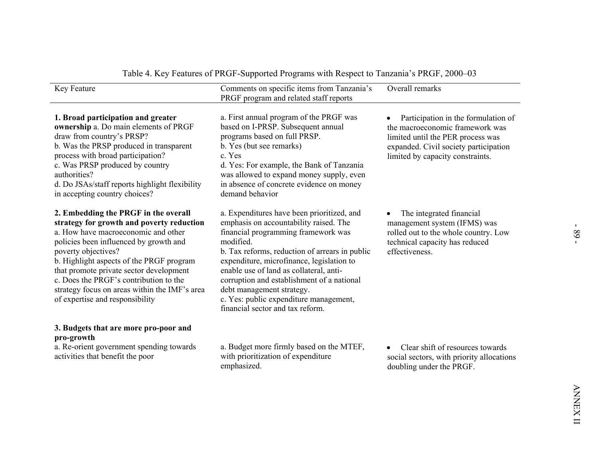| Key Feature                                                                                                                                                                                                                                                                                                                                                                                                    | Comments on specific items from Tanzania's<br>PRGF program and related staff reports                                                                                                                                                                                                                                                                                                                                                        | Overall remarks                                                                                                                                                                          |
|----------------------------------------------------------------------------------------------------------------------------------------------------------------------------------------------------------------------------------------------------------------------------------------------------------------------------------------------------------------------------------------------------------------|---------------------------------------------------------------------------------------------------------------------------------------------------------------------------------------------------------------------------------------------------------------------------------------------------------------------------------------------------------------------------------------------------------------------------------------------|------------------------------------------------------------------------------------------------------------------------------------------------------------------------------------------|
| 1. Broad participation and greater<br>ownership a. Do main elements of PRGF<br>draw from country's PRSP?<br>b. Was the PRSP produced in transparent<br>process with broad participation?<br>c. Was PRSP produced by country<br>authorities?<br>d. Do JSAs/staff reports highlight flexibility<br>in accepting country choices?                                                                                 | a. First annual program of the PRGF was<br>based on I-PRSP. Subsequent annual<br>programs based on full PRSP.<br>b. Yes (but see remarks)<br>c. Yes<br>d. Yes: For example, the Bank of Tanzania<br>was allowed to expand money supply, even<br>in absence of concrete evidence on money<br>demand behavior                                                                                                                                 | Participation in the formulation of<br>the macroeconomic framework was<br>limited until the PER process was<br>expanded. Civil society participation<br>limited by capacity constraints. |
| 2. Embedding the PRGF in the overall<br>strategy for growth and poverty reduction<br>a. How have macroeconomic and other<br>policies been influenced by growth and<br>poverty objectives?<br>b. Highlight aspects of the PRGF program<br>that promote private sector development<br>c. Does the PRGF's contribution to the<br>strategy focus on areas within the IMF's area<br>of expertise and responsibility | a. Expenditures have been prioritized, and<br>emphasis on accountability raised. The<br>financial programming framework was<br>modified.<br>b. Tax reforms, reduction of arrears in public<br>expenditure, microfinance, legislation to<br>enable use of land as collateral, anti-<br>corruption and establishment of a national<br>debt management strategy.<br>c. Yes: public expenditure management,<br>financial sector and tax reform. | The integrated financial<br>management system (IFMS) was<br>rolled out to the whole country. Low<br>technical capacity has reduced<br>effectiveness.                                     |
| 3. Budgets that are more pro-poor and<br>pro-growth                                                                                                                                                                                                                                                                                                                                                            |                                                                                                                                                                                                                                                                                                                                                                                                                                             |                                                                                                                                                                                          |
| a. Re-orient government spending towards<br>activities that benefit the poor                                                                                                                                                                                                                                                                                                                                   | a. Budget more firmly based on the MTEF,<br>with prioritization of expenditure<br>emphasized.                                                                                                                                                                                                                                                                                                                                               | Clear shift of resources towards<br>social sectors, with priority allocations<br>doubling under the PRGF.                                                                                |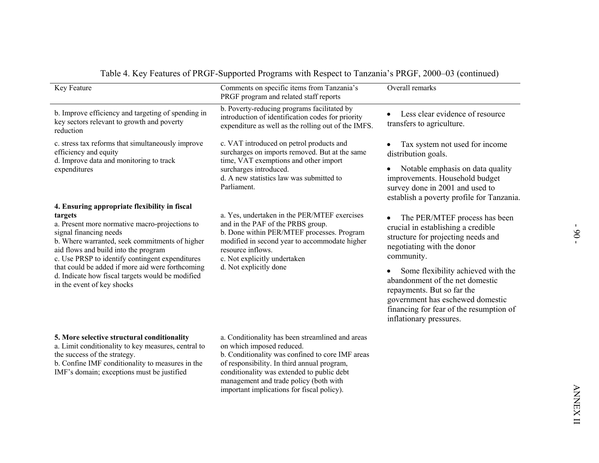| Key Feature                                                                                                                                                                                                                                                                                                                                                                                                             | Comments on specific items from Tanzania's<br>PRGF program and related staff reports                                                                                                                                                                                                                                   | Overall remarks                                                                                                                                                                                                                                                                                                                                                        |
|-------------------------------------------------------------------------------------------------------------------------------------------------------------------------------------------------------------------------------------------------------------------------------------------------------------------------------------------------------------------------------------------------------------------------|------------------------------------------------------------------------------------------------------------------------------------------------------------------------------------------------------------------------------------------------------------------------------------------------------------------------|------------------------------------------------------------------------------------------------------------------------------------------------------------------------------------------------------------------------------------------------------------------------------------------------------------------------------------------------------------------------|
| b. Improve efficiency and targeting of spending in<br>key sectors relevant to growth and poverty<br>reduction                                                                                                                                                                                                                                                                                                           | b. Poverty-reducing programs facilitated by<br>introduction of identification codes for priority<br>expenditure as well as the rolling out of the IMFS.                                                                                                                                                                | Less clear evidence of resource<br>transfers to agriculture.                                                                                                                                                                                                                                                                                                           |
| c. stress tax reforms that simultaneously improve<br>efficiency and equity<br>d. Improve data and monitoring to track<br>expenditures                                                                                                                                                                                                                                                                                   | c. VAT introduced on petrol products and<br>surcharges on imports removed. But at the same<br>time, VAT exemptions and other import<br>surcharges introduced.<br>d. A new statistics law was submitted to<br>Parliament.                                                                                               | Tax system not used for income<br>distribution goals.<br>Notable emphasis on data quality<br>improvements. Household budget<br>survey done in 2001 and used to<br>establish a poverty profile for Tanzania.                                                                                                                                                            |
| 4. Ensuring appropriate flexibility in fiscal<br>targets<br>a. Present more normative macro-projections to<br>signal financing needs<br>b. Where warranted, seek commitments of higher<br>aid flows and build into the program<br>c. Use PRSP to identify contingent expenditures<br>that could be added if more aid were forthcoming<br>d. Indicate how fiscal targets would be modified<br>in the event of key shocks | a. Yes, undertaken in the PER/MTEF exercises<br>and in the PAF of the PRBS group.<br>b. Done within PER/MTEF processes. Program<br>modified in second year to accommodate higher<br>resource inflows.<br>c. Not explicitly undertaken<br>d. Not explicitly done                                                        | The PER/MTEF process has been<br>crucial in establishing a credible<br>structure for projecting needs and<br>negotiating with the donor<br>community.<br>Some flexibility achieved with the<br>abandonment of the net domestic<br>repayments. But so far the<br>government has eschewed domestic<br>financing for fear of the resumption of<br>inflationary pressures. |
| 5. More selective structural conditionality<br>a. Limit conditionality to key measures, central to<br>the success of the strategy.<br>b. Confine IMF conditionality to measures in the<br>IMF's domain; exceptions must be justified                                                                                                                                                                                    | a. Conditionality has been streamlined and areas<br>on which imposed reduced.<br>b. Conditionality was confined to core IMF areas<br>of responsibility. In third annual program,<br>conditionality was extended to public debt<br>management and trade policy (both with<br>important implications for fiscal policy). |                                                                                                                                                                                                                                                                                                                                                                        |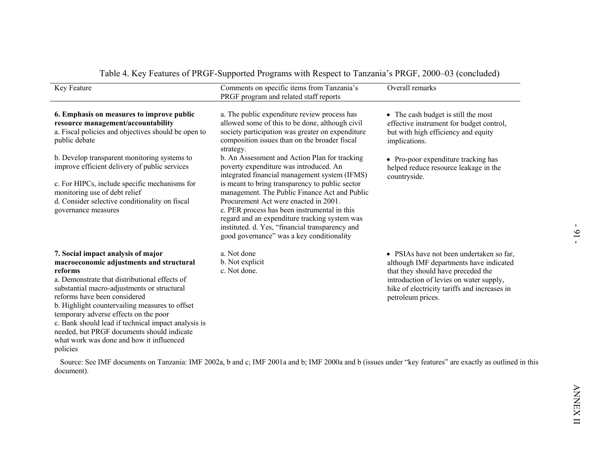| 6. Emphasis on measures to improve public<br>a. The public expenditure review process has                                                                                                                                                                                                                                                                                                                                                                                                                                                                                                                                                                                                                                                          |                                                                                                                                                                                                                                           |
|----------------------------------------------------------------------------------------------------------------------------------------------------------------------------------------------------------------------------------------------------------------------------------------------------------------------------------------------------------------------------------------------------------------------------------------------------------------------------------------------------------------------------------------------------------------------------------------------------------------------------------------------------------------------------------------------------------------------------------------------------|-------------------------------------------------------------------------------------------------------------------------------------------------------------------------------------------------------------------------------------------|
| allowed some of this to be done, although civil<br>resource management/accountability<br>a. Fiscal policies and objectives should be open to<br>society participation was greater on expenditure<br>composition issues than on the broader fiscal<br>public debate<br>strategy.                                                                                                                                                                                                                                                                                                                                                                                                                                                                    | • The cash budget is still the most<br>effective instrument for budget control,<br>but with high efficiency and equity<br>implications.                                                                                                   |
| b. Develop transparent monitoring systems to<br>b. An Assessment and Action Plan for tracking<br>improve efficient delivery of public services<br>poverty expenditure was introduced. An<br>integrated financial management system (IFMS)<br>is meant to bring transparency to public sector<br>c. For HIPCs, include specific mechanisms for<br>monitoring use of debt relief<br>management. The Public Finance Act and Public<br>d. Consider selective conditionality on fiscal<br>Procurement Act were enacted in 2001.<br>c. PER process has been instrumental in this<br>governance measures<br>regard and an expenditure tracking system was<br>instituted. d. Yes, "financial transparency and<br>good governance" was a key conditionality | • Pro-poor expenditure tracking has<br>helped reduce resource leakage in the<br>countryside.                                                                                                                                              |
| 7. Social impact analysis of major<br>a. Not done<br>b. Not explicit<br>macroeconomic adjustments and structural<br>c. Not done.<br>reforms<br>a. Demonstrate that distributional effects of<br>substantial macro-adjustments or structural<br>reforms have been considered<br>b. Highlight countervailing measures to offset<br>temporary adverse effects on the poor<br>c. Bank should lead if technical impact analysis is<br>needed, but PRGF documents should indicate<br>what work was done and how it influenced<br>policies<br>Source: See IMF documents on Tanzania: IMF 2002a, b and c; IMF 2001a and b; IMF 2000a and b (issues under "key features" are exactly as outlined in this                                                    | • PSIAs have not been undertaken so far,<br>although IMF departments have indicated<br>that they should have preceded the<br>introduction of levies on water supply,<br>hike of electricity tariffs and increases in<br>petroleum prices. |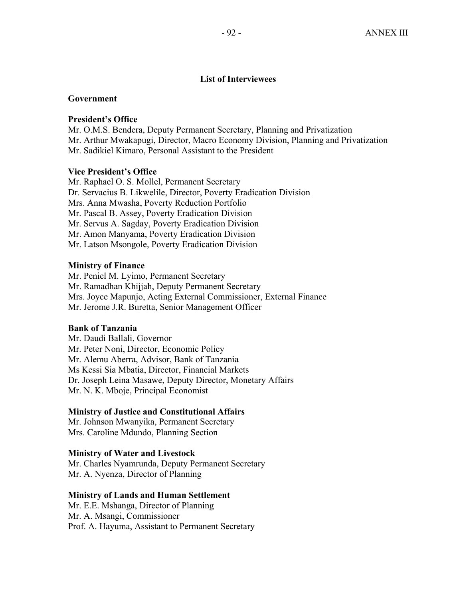## **List of Interviewees**

## **Government**

### **President's Office**

Mr. O.M.S. Bendera, Deputy Permanent Secretary, Planning and Privatization Mr. Arthur Mwakapugi, Director, Macro Economy Division, Planning and Privatization Mr. Sadikiel Kimaro, Personal Assistant to the President

## **Vice President's Office**

Mr. Raphael O. S. Mollel, Permanent Secretary Dr. Servacius B. Likwelile, Director, Poverty Eradication Division Mrs. Anna Mwasha, Poverty Reduction Portfolio Mr. Pascal B. Assey, Poverty Eradication Division Mr. Servus A. Sagday, Poverty Eradication Division Mr. Amon Manyama, Poverty Eradication Division Mr. Latson Msongole, Poverty Eradication Division

## **Ministry of Finance**

Mr. Peniel M. Lyimo, Permanent Secretary Mr. Ramadhan Khijjah, Deputy Permanent Secretary Mrs. Joyce Mapunjo, Acting External Commissioner, External Finance Mr. Jerome J.R. Buretta, Senior Management Officer

### **Bank of Tanzania**

Mr. Daudi Ballali, Governor Mr. Peter Noni, Director, Economic Policy Mr. Alemu Aberra, Advisor, Bank of Tanzania Ms Kessi Sia Mbatia, Director, Financial Markets Dr. Joseph Leina Masawe, Deputy Director, Monetary Affairs Mr. N. K. Mboje, Principal Economist

## **Ministry of Justice and Constitutional Affairs**

Mr. Johnson Mwanyika, Permanent Secretary Mrs. Caroline Mdundo, Planning Section

## **Ministry of Water and Livestock**

Mr. Charles Nyamrunda, Deputy Permanent Secretary Mr. A. Nyenza, Director of Planning

### **Ministry of Lands and Human Settlement**

Mr. E.E. Mshanga, Director of Planning Mr. A. Msangi, Commissioner Prof. A. Hayuma, Assistant to Permanent Secretary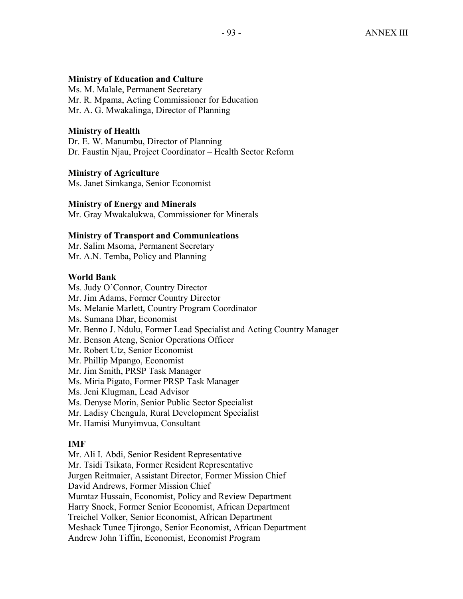## **Ministry of Education and Culture**

Ms. M. Malale, Permanent Secretary Mr. R. Mpama, Acting Commissioner for Education Mr. A. G. Mwakalinga, Director of Planning

# **Ministry of Health**

Dr. E. W. Manumbu, Director of Planning Dr. Faustin Njau, Project Coordinator – Health Sector Reform

# **Ministry of Agriculture**

Ms. Janet Simkanga, Senior Economist

# **Ministry of Energy and Minerals**

Mr. Gray Mwakalukwa, Commissioner for Minerals

# **Ministry of Transport and Communications**

Mr. Salim Msoma, Permanent Secretary Mr. A.N. Temba, Policy and Planning

# **World Bank**

Ms. Judy O'Connor, Country Director Mr. Jim Adams, Former Country Director Ms. Melanie Marlett, Country Program Coordinator Ms. Sumana Dhar, Economist Mr. Benno J. Ndulu, Former Lead Specialist and Acting Country Manager Mr. Benson Ateng, Senior Operations Officer Mr. Robert Utz, Senior Economist Mr. Phillip Mpango, Economist Mr. Jim Smith, PRSP Task Manager Ms. Miria Pigato, Former PRSP Task Manager Ms. Jeni Klugman, Lead Advisor Ms. Denyse Morin, Senior Public Sector Specialist

Mr. Ladisy Chengula, Rural Development Specialist

Mr. Hamisi Munyimvua, Consultant

# **IMF**

Mr. Ali I. Abdi, Senior Resident Representative Mr. Tsidi Tsikata, Former Resident Representative Jurgen Reitmaier, Assistant Director, Former Mission Chief David Andrews, Former Mission Chief Mumtaz Hussain, Economist, Policy and Review Department Harry Snoek, Former Senior Economist, African Department Treichel Volker, Senior Economist, African Department Meshack Tunee Tjirongo, Senior Economist, African Department Andrew John Tiffin, Economist, Economist Program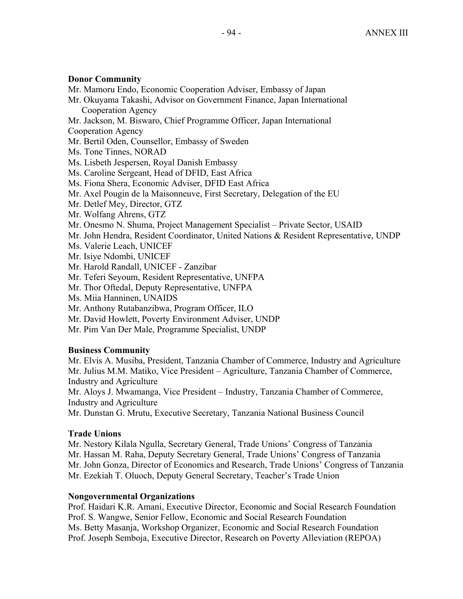## **Donor Community**

- Mr. Mamoru Endo, Economic Cooperation Adviser, Embassy of Japan
- Mr. Okuyama Takashi, Advisor on Government Finance, Japan International Cooperation Agency
- Mr. Jackson, M. Biswaro, Chief Programme Officer, Japan International

Cooperation Agency

- Mr. Bertil Oden, Counsellor, Embassy of Sweden
- Ms. Tone Tinnes, NORAD
- Ms. Lisbeth Jespersen, Royal Danish Embassy
- Ms. Caroline Sergeant, Head of DFID, East Africa
- Ms. Fiona Shera, Economic Adviser, DFID East Africa
- Mr. Axel Pougin de la Maisonneuve, First Secretary, Delegation of the EU
- Mr. Detlef Mey, Director, GTZ
- Mr. Wolfang Ahrens, GTZ
- Mr. Onesmo N. Shuma, Project Management Specialist Private Sector, USAID
- Mr. John Hendra, Resident Coordinator, United Nations & Resident Representative, UNDP
- Ms. Valerie Leach, UNICEF
- Mr. Isiye Ndombi, UNICEF
- Mr. Harold Randall, UNICEF Zanzibar
- Mr. Teferi Seyoum, Resident Representative, UNFPA
- Mr. Thor Oftedal, Deputy Representative, UNFPA
- Ms. Miia Hanninen, UNAIDS
- Mr. Anthony Rutabanzibwa, Program Officer, ILO
- Mr. David Howlett, Poverty Environment Adviser, UNDP
- Mr. Pim Van Der Male, Programme Specialist, UNDP

# **Business Community**

Mr. Elvis A. Musiba, President, Tanzania Chamber of Commerce, Industry and Agriculture Mr. Julius M.M. Matiko, Vice President – Agriculture, Tanzania Chamber of Commerce, Industry and Agriculture

Mr. Aloys J. Mwamanga, Vice President – Industry, Tanzania Chamber of Commerce, Industry and Agriculture

Mr. Dunstan G. Mrutu, Executive Secretary, Tanzania National Business Council

# **Trade Unions**

Mr. Nestory Kilala Ngulla, Secretary General, Trade Unions' Congress of Tanzania Mr. Hassan M. Raha, Deputy Secretary General, Trade Unions' Congress of Tanzania Mr. John Gonza, Director of Economics and Research, Trade Unions' Congress of Tanzania Mr. Ezekiah T. Oluoch, Deputy General Secretary, Teacher's Trade Union

# **Nongovernmental Organizations**

Prof. Haidari K.R. Amani, Executive Director, Economic and Social Research Foundation Prof. S. Wangwe, Senior Fellow, Economic and Social Research Foundation Ms. Betty Masanja, Workshop Organizer, Economic and Social Research Foundation Prof. Joseph Semboja, Executive Director, Research on Poverty Alleviation (REPOA)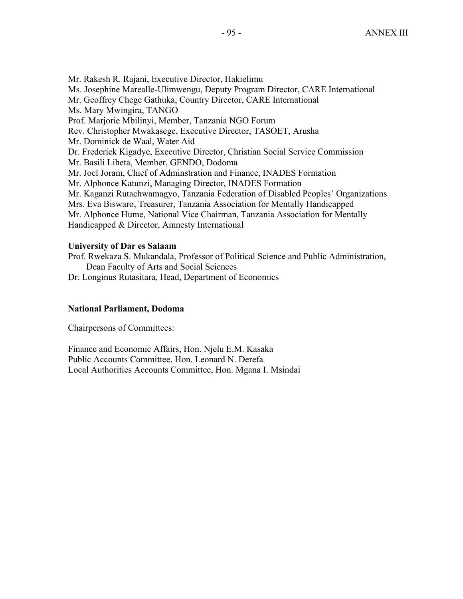Mr. Rakesh R. Rajani, Executive Director, Hakielimu Ms. Josephine Marealle-Ulimwengu, Deputy Program Director, CARE International Mr. Geoffrey Chege Gathuka, Country Director, CARE International Ms. Mary Mwingira, TANGO Prof. Marjorie Mbilinyi, Member, Tanzania NGO Forum Rev. Christopher Mwakasege, Executive Director, TASOET, Arusha Mr. Dominick de Waal, Water Aid Dr. Frederick Kigadye, Executive Director, Christian Social Service Commission Mr. Basili Liheta, Member, GENDO, Dodoma Mr. Joel Joram, Chief of Adminstration and Finance, INADES Formation Mr. Alphonce Katunzi, Managing Director, INADES Formation Mr. Kaganzi Rutachwamagyo, Tanzania Federation of Disabled Peoples' Organizations Mrs. Eva Biswaro, Treasurer, Tanzania Association for Mentally Handicapped Mr. Alphonce Hume, National Vice Chairman, Tanzania Association for Mentally Handicapped & Director, Amnesty International

## **University of Dar es Salaam**

Prof. Rwekaza S. Mukandala, Professor of Political Science and Public Administration, Dean Faculty of Arts and Social Sciences

Dr. Longinus Rutasitara, Head, Department of Economics

## **National Parliament, Dodoma**

Chairpersons of Committees:

Finance and Economic Affairs, Hon. Njelu E.M. Kasaka Public Accounts Committee, Hon. Leonard N. Derefa Local Authorities Accounts Committee, Hon. Mgana I. Msindai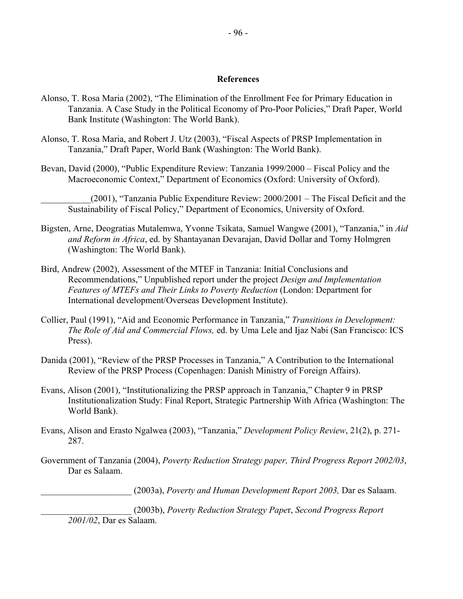### **References**

- Alonso, T. Rosa Maria (2002), "The Elimination of the Enrollment Fee for Primary Education in Tanzania. A Case Study in the Political Economy of Pro-Poor Policies," Draft Paper, World Bank Institute (Washington: The World Bank).
- Alonso, T. Rosa Maria, and Robert J. Utz (2003), "Fiscal Aspects of PRSP Implementation in Tanzania," Draft Paper, World Bank (Washington: The World Bank).
- Bevan, David (2000), "Public Expenditure Review: Tanzania 1999/2000 Fiscal Policy and the Macroeconomic Context," Department of Economics (Oxford: University of Oxford).
	- $(2001)$ , "Tanzania Public Expenditure Review:  $2000/2001$  The Fiscal Deficit and the Sustainability of Fiscal Policy," Department of Economics, University of Oxford.
- Bigsten, Arne, Deogratias Mutalemwa, Yvonne Tsikata, Samuel Wangwe (2001), "Tanzania," in *Aid and Reform in Africa*, ed. by Shantayanan Devarajan, David Dollar and Torny Holmgren (Washington: The World Bank).
- Bird, Andrew (2002), Assessment of the MTEF in Tanzania: Initial Conclusions and Recommendations," Unpublished report under the project *Design and Implementation Features of MTEFs and Their Links to Poverty Reduction* (London: Department for International development/Overseas Development Institute).
- Collier, Paul (1991), "Aid and Economic Performance in Tanzania," *Transitions in Development: The Role of Aid and Commercial Flows,* ed. by Uma Lele and Ijaz Nabi (San Francisco: ICS Press).
- Danida (2001), "Review of the PRSP Processes in Tanzania," A Contribution to the International Review of the PRSP Process (Copenhagen: Danish Ministry of Foreign Affairs).
- Evans, Alison (2001), "Institutionalizing the PRSP approach in Tanzania," Chapter 9 in PRSP Institutionalization Study: Final Report, Strategic Partnership With Africa (Washington: The World Bank).
- Evans, Alison and Erasto Ngalwea (2003), "Tanzania," *Development Policy Review*, 21(2), p. 271- 287.
- Government of Tanzania (2004), *Poverty Reduction Strategy paper, Third Progress Report 2002/03*, Dar es Salaam.

\_\_\_\_\_\_\_\_\_\_\_\_\_\_\_\_\_\_\_\_ (2003a), *Poverty and Human Development Report 2003,* Dar es Salaam.

\_\_\_\_\_\_\_\_\_\_\_\_\_\_\_\_\_\_\_\_ (2003b), *Poverty Reduction Strategy Pape*r, *Second Progress Report 2001/02*, Dar es Salaam.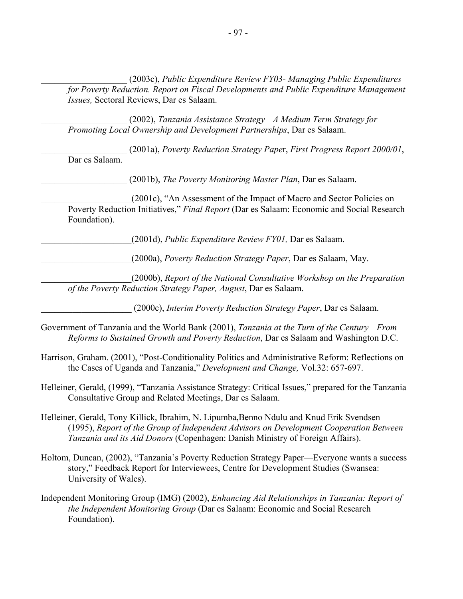\_\_\_\_\_\_\_\_\_\_\_\_\_\_\_\_\_\_\_ (2003c), *Public Expenditure Review FY03- Managing Public Expenditures for Poverty Reduction. Report on Fiscal Developments and Public Expenditure Management Issues,* Sectoral Reviews, Dar es Salaam.

\_\_\_\_\_\_\_\_\_\_\_\_\_\_\_\_\_\_\_ (2002), *Tanzania Assistance Strategy—A Medium Term Strategy for Promoting Local Ownership and Development Partnerships*, Dar es Salaam.

\_\_\_\_\_\_\_\_\_\_\_\_\_\_\_\_\_\_\_ (2001a), *Poverty Reduction Strategy Pape*r, *First Progress Report 2000/01*, Dar es Salaam.

\_\_\_\_\_\_\_\_\_\_\_\_\_\_\_\_\_\_\_ (2001b), *The Poverty Monitoring Master Plan*, Dar es Salaam.

\_\_\_\_\_\_\_\_\_\_\_\_\_\_\_\_\_\_\_\_(2001c), "An Assessment of the Impact of Macro and Sector Policies on Poverty Reduction Initiatives," *Final Report* (Dar es Salaam: Economic and Social Research Foundation).

\_\_\_\_\_\_\_\_\_\_\_\_\_\_\_\_\_\_\_\_(2001d), *Public Expenditure Review FY01,* Dar es Salaam.

\_\_\_\_\_\_\_\_\_\_\_\_\_\_\_\_\_\_\_\_(2000a), *Poverty Reduction Strategy Paper*, Dar es Salaam, May.

\_\_\_\_\_\_\_\_\_\_\_\_\_\_\_\_\_\_\_\_(2000b), *Report of the National Consultative Workshop on the Preparation of the Poverty Reduction Strategy Paper, August*, Dar es Salaam.

\_\_\_\_\_\_\_\_\_\_\_\_\_\_\_\_\_\_\_\_ (2000c), *Interim Poverty Reduction Strategy Paper*, Dar es Salaam.

Government of Tanzania and the World Bank (2001), *Tanzania at the Turn of the Century—From Reforms to Sustained Growth and Poverty Reduction*, Dar es Salaam and Washington D.C.

- Harrison, Graham. (2001), "Post-Conditionality Politics and Administrative Reform: Reflections on the Cases of Uganda and Tanzania," *Development and Change,* Vol.32: 657-697.
- Helleiner, Gerald, (1999), "Tanzania Assistance Strategy: Critical Issues," prepared for the Tanzania Consultative Group and Related Meetings, Dar es Salaam.
- Helleiner, Gerald, Tony Killick, Ibrahim, N. Lipumba,Benno Ndulu and Knud Erik Svendsen (1995), *Report of the Group of Independent Advisors on Development Cooperation Between Tanzania and its Aid Donors* (Copenhagen: Danish Ministry of Foreign Affairs).
- Holtom, Duncan, (2002), "Tanzania's Poverty Reduction Strategy Paper—Everyone wants a success story," Feedback Report for Interviewees, Centre for Development Studies (Swansea: University of Wales).
- Independent Monitoring Group (IMG) (2002), *Enhancing Aid Relationships in Tanzania: Report of the Independent Monitoring Group* (Dar es Salaam: Economic and Social Research Foundation).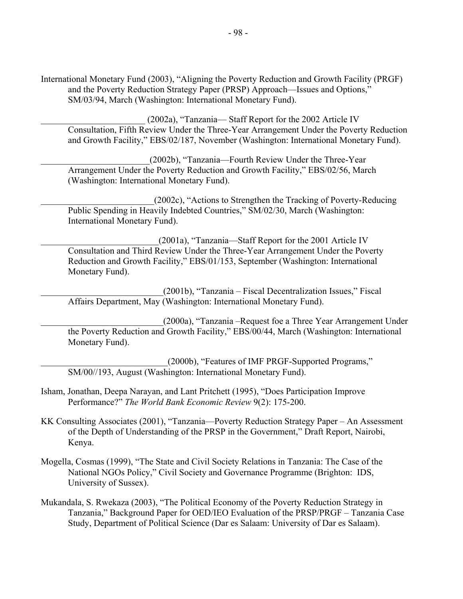International Monetary Fund (2003), "Aligning the Poverty Reduction and Growth Facility (PRGF) and the Poverty Reduction Strategy Paper (PRSP) Approach—Issues and Options," SM/03/94, March (Washington: International Monetary Fund).

(2002a), "Tanzania— Staff Report for the 2002 Article IV Consultation, Fifth Review Under the Three-Year Arrangement Under the Poverty Reduction and Growth Facility," EBS/02/187, November (Washington: International Monetary Fund).

\_\_\_\_\_\_\_\_\_\_\_\_\_\_\_\_\_\_\_\_\_\_\_\_(2002b), "Tanzania—Fourth Review Under the Three-Year Arrangement Under the Poverty Reduction and Growth Facility," EBS/02/56, March (Washington: International Monetary Fund).

\_\_\_\_\_\_\_\_\_\_\_\_\_\_\_\_\_\_\_\_\_\_\_\_\_(2002c), "Actions to Strengthen the Tracking of Poverty-Reducing Public Spending in Heavily Indebted Countries," SM/02/30, March (Washington: International Monetary Fund).

\_\_\_\_\_\_\_\_\_\_\_\_\_\_\_\_\_\_\_\_\_\_\_\_\_\_(2001a), "Tanzania—Staff Report for the 2001 Article IV Consultation and Third Review Under the Three-Year Arrangement Under the Poverty Reduction and Growth Facility," EBS/01/153, September (Washington: International Monetary Fund).

\_\_\_\_\_\_\_\_\_\_\_\_\_\_\_\_\_\_\_\_\_\_\_\_\_\_\_(2001b), "Tanzania – Fiscal Decentralization Issues," Fiscal Affairs Department, May (Washington: International Monetary Fund).

\_\_\_\_\_\_\_\_\_\_\_\_\_\_\_\_\_\_\_\_\_\_\_\_\_\_\_(2000a), "Tanzania –Request foe a Three Year Arrangement Under the Poverty Reduction and Growth Facility," EBS/00/44, March (Washington: International Monetary Fund).

(2000b), "Features of IMF PRGF-Supported Programs," SM/00//193, August (Washington: International Monetary Fund).

- Isham, Jonathan, Deepa Narayan, and Lant Pritchett (1995), "Does Participation Improve Performance?" *The World Bank Economic Review* 9(2): 175-200.
- KK Consulting Associates (2001), "Tanzania—Poverty Reduction Strategy Paper An Assessment of the Depth of Understanding of the PRSP in the Government," Draft Report, Nairobi, Kenya.
- Mogella, Cosmas (1999), "The State and Civil Society Relations in Tanzania: The Case of the National NGOs Policy," Civil Society and Governance Programme (Brighton: IDS, University of Sussex).
- Mukandala, S. Rwekaza (2003), "The Political Economy of the Poverty Reduction Strategy in Tanzania," Background Paper for OED/IEO Evaluation of the PRSP/PRGF – Tanzania Case Study, Department of Political Science (Dar es Salaam: University of Dar es Salaam).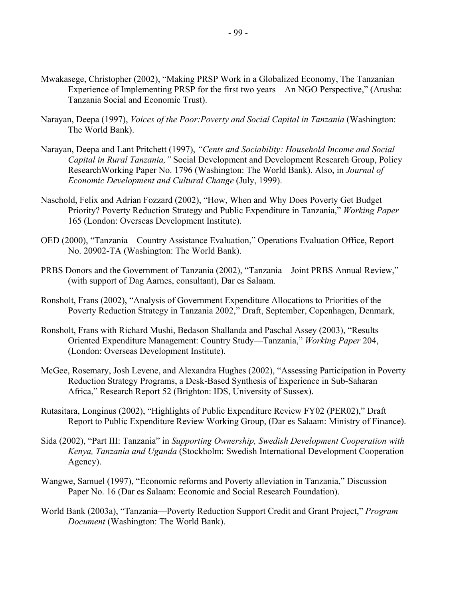- Mwakasege, Christopher (2002), "Making PRSP Work in a Globalized Economy, The Tanzanian Experience of Implementing PRSP for the first two years—An NGO Perspective," (Arusha: Tanzania Social and Economic Trust).
- Narayan, Deepa (1997), *Voices of the Poor:Poverty and Social Capital in Tanzania* (Washington: The World Bank).
- Narayan, Deepa and Lant Pritchett (1997), *"Cents and Sociability: Household Income and Social Capital in Rural Tanzania,"* Social Development and Development Research Group, Policy ResearchWorking Paper No. 1796 (Washington: The World Bank). Also, in *Journal of Economic Development and Cultural Change* (July, 1999).
- Naschold, Felix and Adrian Fozzard (2002), "How, When and Why Does Poverty Get Budget Priority? Poverty Reduction Strategy and Public Expenditure in Tanzania," *Working Paper* 165 (London: Overseas Development Institute).
- OED (2000), "Tanzania—Country Assistance Evaluation," Operations Evaluation Office, Report No. 20902-TA (Washington: The World Bank).
- PRBS Donors and the Government of Tanzania (2002), "Tanzania—Joint PRBS Annual Review," (with support of Dag Aarnes, consultant), Dar es Salaam.
- Ronsholt, Frans (2002), "Analysis of Government Expenditure Allocations to Priorities of the Poverty Reduction Strategy in Tanzania 2002," Draft, September, Copenhagen, Denmark,
- Ronsholt, Frans with Richard Mushi, Bedason Shallanda and Paschal Assey (2003), "Results Oriented Expenditure Management: Country Study—Tanzania," *Working Paper* 204, (London: Overseas Development Institute).
- McGee, Rosemary, Josh Levene, and Alexandra Hughes (2002), "Assessing Participation in Poverty Reduction Strategy Programs, a Desk-Based Synthesis of Experience in Sub-Saharan Africa," Research Report 52 (Brighton: IDS, University of Sussex).
- Rutasitara, Longinus (2002), "Highlights of Public Expenditure Review FY02 (PER02)," Draft Report to Public Expenditure Review Working Group, (Dar es Salaam: Ministry of Finance).
- Sida (2002), "Part III: Tanzania" in *Supporting Ownership, Swedish Development Cooperation with Kenya, Tanzania and Uganda* (Stockholm: Swedish International Development Cooperation Agency).
- Wangwe, Samuel (1997), "Economic reforms and Poverty alleviation in Tanzania," Discussion Paper No. 16 (Dar es Salaam: Economic and Social Research Foundation).
- World Bank (2003a), "Tanzania—Poverty Reduction Support Credit and Grant Project," *Program Document* (Washington: The World Bank).